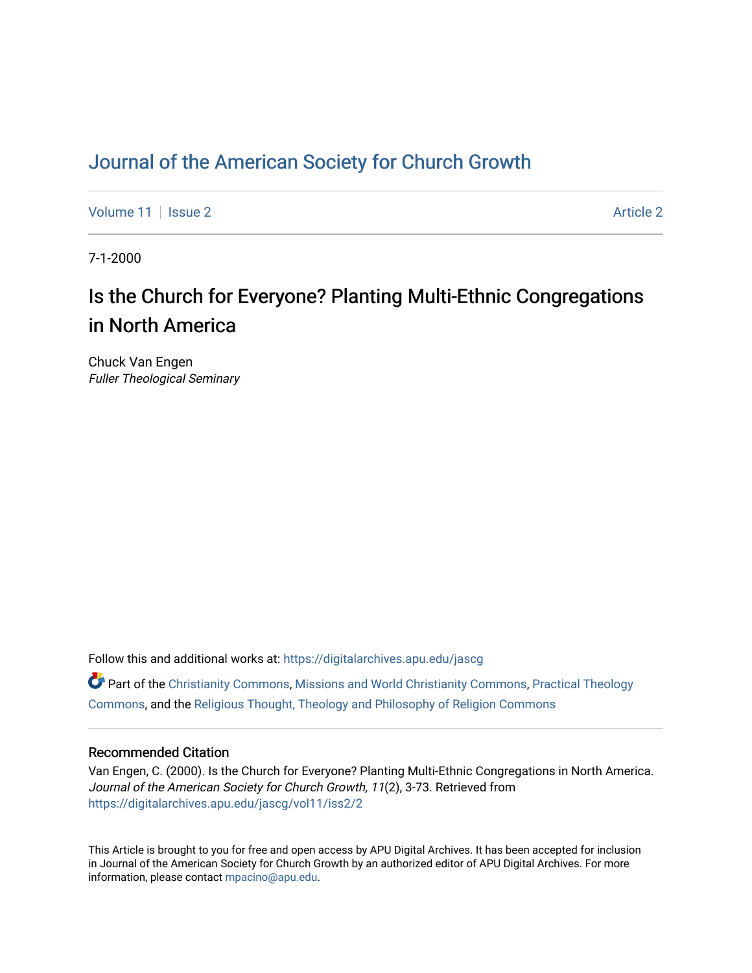## [Journal of the American Society for Church Growth](https://digitalarchives.apu.edu/jascg)

[Volume 11](https://digitalarchives.apu.edu/jascg/vol11) | [Issue 2](https://digitalarchives.apu.edu/jascg/vol11/iss2) Article 2

7-1-2000

# Is the Church for Everyone? Planting Multi-Ethnic Congregations in North America

Chuck Van Engen Fuller Theological Seminary

Follow this and additional works at: [https://digitalarchives.apu.edu/jascg](https://digitalarchives.apu.edu/jascg?utm_source=digitalarchives.apu.edu%2Fjascg%2Fvol11%2Fiss2%2F2&utm_medium=PDF&utm_campaign=PDFCoverPages) 

 $\bullet$  Part of the [Christianity Commons,](http://network.bepress.com/hgg/discipline/1181?utm_source=digitalarchives.apu.edu%2Fjascg%2Fvol11%2Fiss2%2F2&utm_medium=PDF&utm_campaign=PDFCoverPages) [Missions and World Christianity Commons](http://network.bepress.com/hgg/discipline/1187?utm_source=digitalarchives.apu.edu%2Fjascg%2Fvol11%2Fiss2%2F2&utm_medium=PDF&utm_campaign=PDFCoverPages), Practical Theology [Commons](http://network.bepress.com/hgg/discipline/1186?utm_source=digitalarchives.apu.edu%2Fjascg%2Fvol11%2Fiss2%2F2&utm_medium=PDF&utm_campaign=PDFCoverPages), and the [Religious Thought, Theology and Philosophy of Religion Commons](http://network.bepress.com/hgg/discipline/544?utm_source=digitalarchives.apu.edu%2Fjascg%2Fvol11%2Fiss2%2F2&utm_medium=PDF&utm_campaign=PDFCoverPages) 

## Recommended Citation

Van Engen, C. (2000). Is the Church for Everyone? Planting Multi-Ethnic Congregations in North America. Journal of the American Society for Church Growth, 11(2), 3-73. Retrieved from [https://digitalarchives.apu.edu/jascg/vol11/iss2/2](https://digitalarchives.apu.edu/jascg/vol11/iss2/2?utm_source=digitalarchives.apu.edu%2Fjascg%2Fvol11%2Fiss2%2F2&utm_medium=PDF&utm_campaign=PDFCoverPages)

This Article is brought to you for free and open access by APU Digital Archives. It has been accepted for inclusion in Journal of the American Society for Church Growth by an authorized editor of APU Digital Archives. For more information, please contact [mpacino@apu.edu](mailto:mpacino@apu.edu).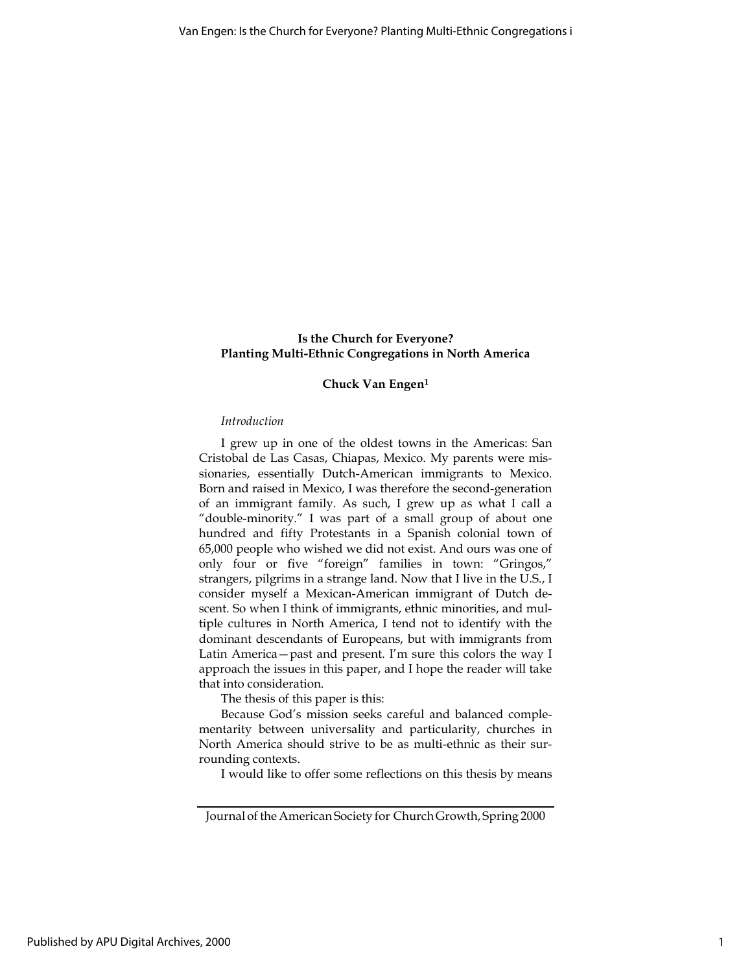## Is the Church for Everyone? Planting Multi-Ethnic Congregations in North America

## Chuck Van Engen<sup>1</sup>

#### Introduction

I grew up in one of the oldest towns in the Americas: San Cristobal de Las Casas, Chiapas, Mexico. My parents were missionaries, essentially Dutch-American immigrants to Mexico. Born and raised in Mexico, I was therefore the second-generation of an immigrant family. As such, I grew up as what I call a "double-minority." I was part of a small group of about one hundred and fifty Protestants in a Spanish colonial town of 65,000 people who wished we did not exist. And ours was one of only four or five "foreign" families in town: "Gringos," strangers, pilgrims in a strange land. Now that I live in the U.S., I consider myself a Mexican-American immigrant of Dutch descent. So when I think of immigrants, ethnic minorities, and multiple cultures in North America, I tend not to identify with the dominant descendants of Europeans, but with immigrants from Latin America—past and present. I'm sure this colors the way I approach the issues in this paper, and I hope the reader will take that into consideration.

The thesis of this paper is this:

Because God's mission seeks careful and balanced complementarity between universality and particularity, churches in North America should strive to be as multi-ethnic as their surrounding contexts.

I would like to offer some reflections on this thesis by means

Journal of the American Society for Church Growth, Spring 2000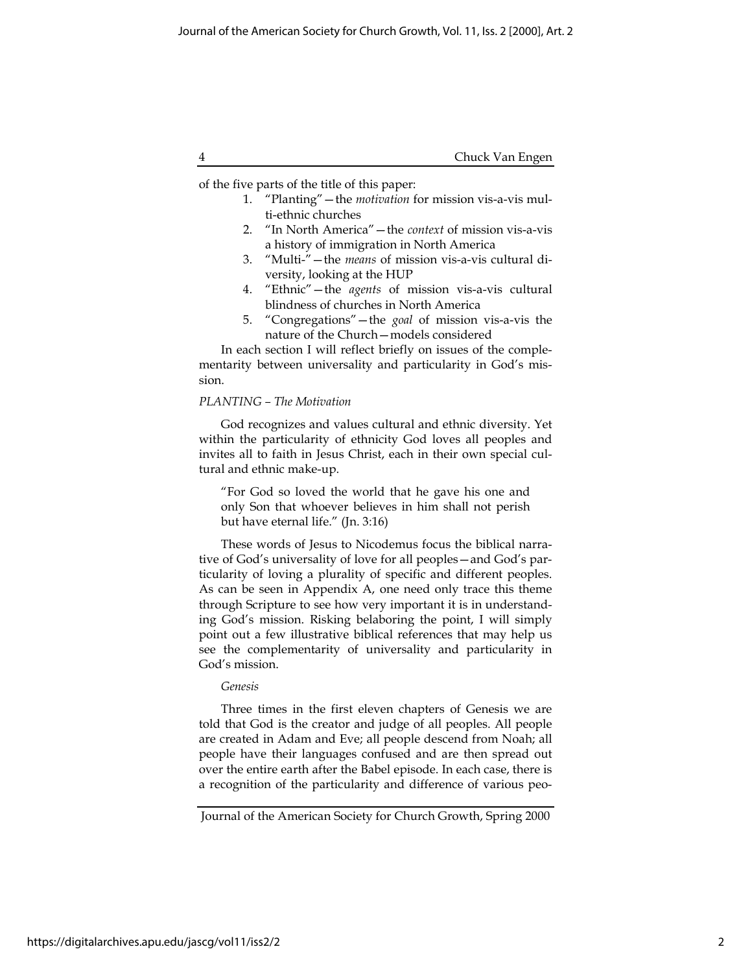|  | Chuck Van Engen |
|--|-----------------|
|--|-----------------|

of the five parts of the title of this paper:

- 1. "Planting"—the *motivation* for mission vis-a-vis multi-ethnic churches
- 2. "In North America"—the context of mission vis-a-vis a history of immigration in North America
- 3. "Multi-"—the means of mission vis-a-vis cultural diversity, looking at the HUP
- 4. "Ethnic" the agents of mission vis-a-vis cultural blindness of churches in North America
- 5. "Congregations"—the goal of mission vis-a-vis the nature of the Church—models considered

In each section I will reflect briefly on issues of the complementarity between universality and particularity in God's mission.

## PLANTING – The Motivation

God recognizes and values cultural and ethnic diversity. Yet within the particularity of ethnicity God loves all peoples and invites all to faith in Jesus Christ, each in their own special cultural and ethnic make-up.

"For God so loved the world that he gave his one and only Son that whoever believes in him shall not perish but have eternal life." (Jn. 3:16)

These words of Jesus to Nicodemus focus the biblical narrative of God's universality of love for all peoples—and God's particularity of loving a plurality of specific and different peoples. As can be seen in Appendix A, one need only trace this theme through Scripture to see how very important it is in understanding God's mission. Risking belaboring the point, I will simply point out a few illustrative biblical references that may help us see the complementarity of universality and particularity in God's mission.

## Genesis

Three times in the first eleven chapters of Genesis we are told that God is the creator and judge of all peoples. All people are created in Adam and Eve; all people descend from Noah; all people have their languages confused and are then spread out over the entire earth after the Babel episode. In each case, there is a recognition of the particularity and difference of various peo-

Journal of the American Society for Church Growth, Spring 2000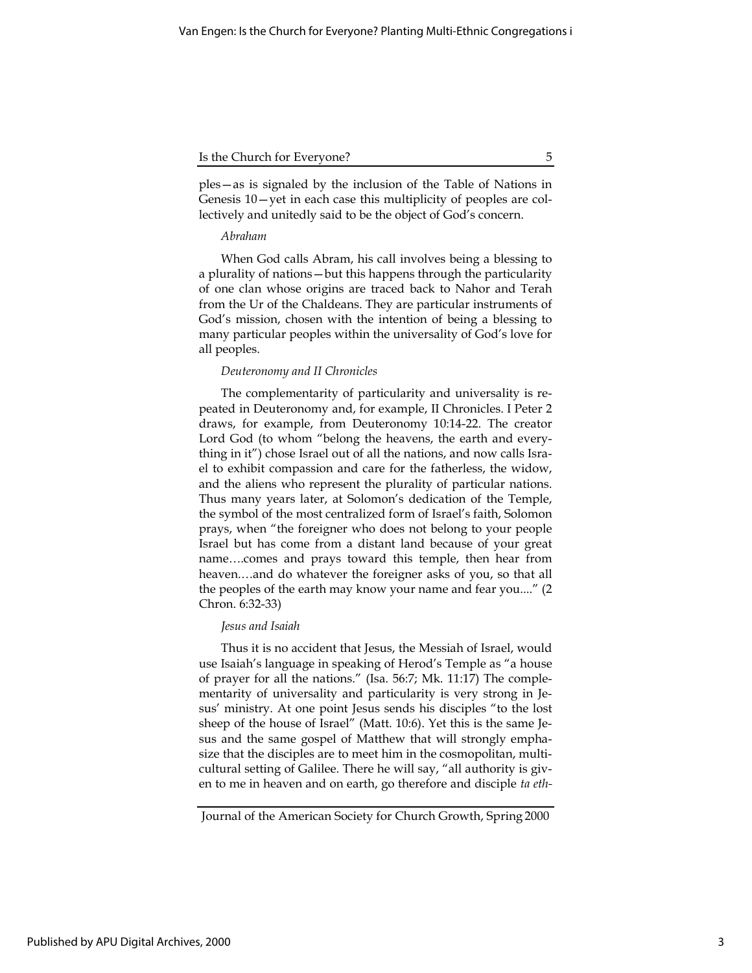ples—as is signaled by the inclusion of the Table of Nations in Genesis 10—yet in each case this multiplicity of peoples are collectively and unitedly said to be the object of God's concern.

## Abraham

When God calls Abram, his call involves being a blessing to a plurality of nations—but this happens through the particularity of one clan whose origins are traced back to Nahor and Terah from the Ur of the Chaldeans. They are particular instruments of God's mission, chosen with the intention of being a blessing to many particular peoples within the universality of God's love for all peoples.

#### Deuteronomy and II Chronicles

The complementarity of particularity and universality is repeated in Deuteronomy and, for example, II Chronicles. I Peter 2 draws, for example, from Deuteronomy 10:14-22. The creator Lord God (to whom "belong the heavens, the earth and everything in it") chose Israel out of all the nations, and now calls Israel to exhibit compassion and care for the fatherless, the widow, and the aliens who represent the plurality of particular nations. Thus many years later, at Solomon's dedication of the Temple, the symbol of the most centralized form of Israel's faith, Solomon prays, when "the foreigner who does not belong to your people Israel but has come from a distant land because of your great name….comes and prays toward this temple, then hear from heaven.…and do whatever the foreigner asks of you, so that all the peoples of the earth may know your name and fear you...." (2 Chron. 6:32-33)

## Jesus and Isaiah

Thus it is no accident that Jesus, the Messiah of Israel, would use Isaiah's language in speaking of Herod's Temple as "a house of prayer for all the nations." (Isa. 56:7; Mk. 11:17) The complementarity of universality and particularity is very strong in Jesus' ministry. At one point Jesus sends his disciples "to the lost sheep of the house of Israel" (Matt. 10:6). Yet this is the same Jesus and the same gospel of Matthew that will strongly emphasize that the disciples are to meet him in the cosmopolitan, multicultural setting of Galilee. There he will say, "all authority is given to me in heaven and on earth, go therefore and disciple ta eth-

Journal of the American Society for Church Growth, Spring 2000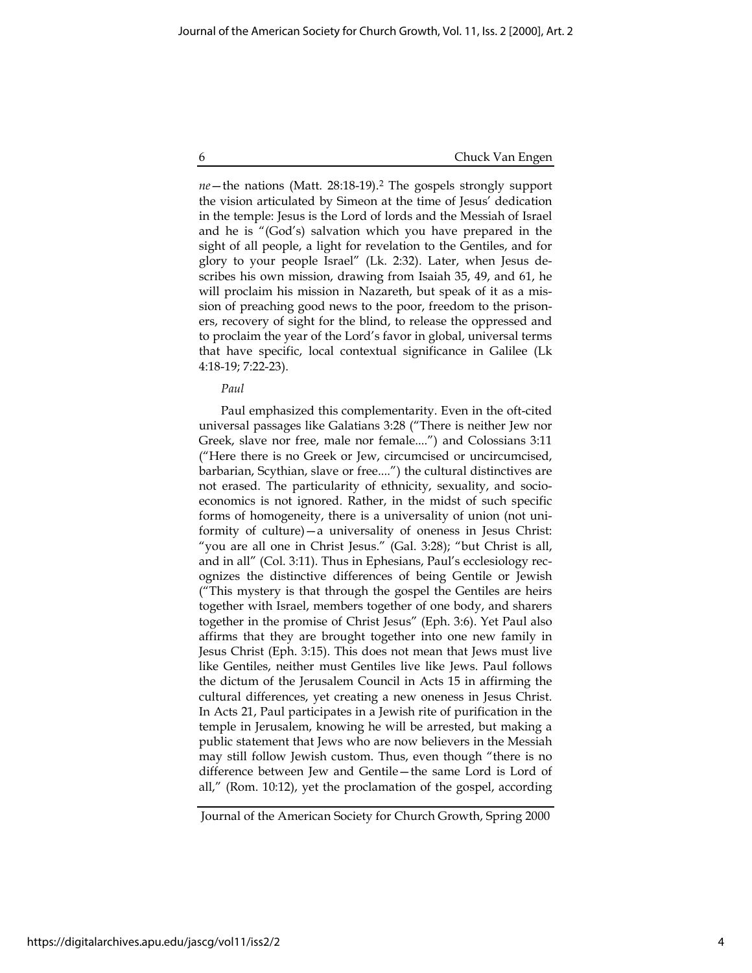$ne$ —the nations (Matt. 28:18-19).<sup>2</sup> The gospels strongly support the vision articulated by Simeon at the time of Jesus' dedication in the temple: Jesus is the Lord of lords and the Messiah of Israel and he is "(God's) salvation which you have prepared in the sight of all people, a light for revelation to the Gentiles, and for glory to your people Israel" (Lk. 2:32). Later, when Jesus describes his own mission, drawing from Isaiah 35, 49, and 61, he will proclaim his mission in Nazareth, but speak of it as a mission of preaching good news to the poor, freedom to the prisoners, recovery of sight for the blind, to release the oppressed and to proclaim the year of the Lord's favor in global, universal terms that have specific, local contextual significance in Galilee (Lk 4:18-19; 7:22-23).

#### Paul

Paul emphasized this complementarity. Even in the oft-cited universal passages like Galatians 3:28 ("There is neither Jew nor Greek, slave nor free, male nor female....") and Colossians 3:11 ("Here there is no Greek or Jew, circumcised or uncircumcised, barbarian, Scythian, slave or free....") the cultural distinctives are not erased. The particularity of ethnicity, sexuality, and socioeconomics is not ignored. Rather, in the midst of such specific forms of homogeneity, there is a universality of union (not uniformity of culture)—a universality of oneness in Jesus Christ: "you are all one in Christ Jesus." (Gal. 3:28); "but Christ is all, and in all" (Col. 3:11). Thus in Ephesians, Paul's ecclesiology recognizes the distinctive differences of being Gentile or Jewish ("This mystery is that through the gospel the Gentiles are heirs together with Israel, members together of one body, and sharers together in the promise of Christ Jesus" (Eph. 3:6). Yet Paul also affirms that they are brought together into one new family in Jesus Christ (Eph. 3:15). This does not mean that Jews must live like Gentiles, neither must Gentiles live like Jews. Paul follows the dictum of the Jerusalem Council in Acts 15 in affirming the cultural differences, yet creating a new oneness in Jesus Christ. In Acts 21, Paul participates in a Jewish rite of purification in the temple in Jerusalem, knowing he will be arrested, but making a public statement that Jews who are now believers in the Messiah may still follow Jewish custom. Thus, even though "there is no difference between Jew and Gentile—the same Lord is Lord of all," (Rom. 10:12), yet the proclamation of the gospel, according

Journal of the American Society for Church Growth, Spring 2000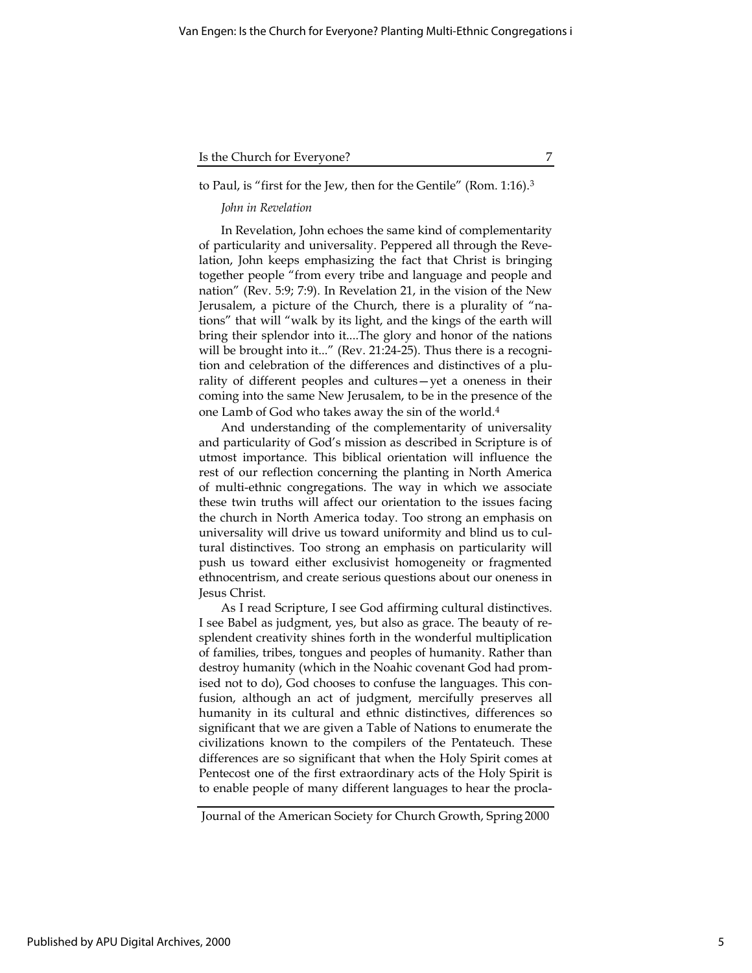## to Paul, is "first for the Jew, then for the Gentile" (Rom. 1:16).<sup>3</sup>

## John in Revelation

In Revelation, John echoes the same kind of complementarity of particularity and universality. Peppered all through the Revelation, John keeps emphasizing the fact that Christ is bringing together people "from every tribe and language and people and nation" (Rev. 5:9; 7:9). In Revelation 21, in the vision of the New Jerusalem, a picture of the Church, there is a plurality of "nations" that will "walk by its light, and the kings of the earth will bring their splendor into it....The glory and honor of the nations will be brought into it..." (Rev. 21:24-25). Thus there is a recognition and celebration of the differences and distinctives of a plurality of different peoples and cultures—yet a oneness in their coming into the same New Jerusalem, to be in the presence of the one Lamb of God who takes away the sin of the world.<sup>4</sup>

And understanding of the complementarity of universality and particularity of God's mission as described in Scripture is of utmost importance. This biblical orientation will influence the rest of our reflection concerning the planting in North America of multi-ethnic congregations. The way in which we associate these twin truths will affect our orientation to the issues facing the church in North America today. Too strong an emphasis on universality will drive us toward uniformity and blind us to cultural distinctives. Too strong an emphasis on particularity will push us toward either exclusivist homogeneity or fragmented ethnocentrism, and create serious questions about our oneness in Jesus Christ.

As I read Scripture, I see God affirming cultural distinctives. I see Babel as judgment, yes, but also as grace. The beauty of resplendent creativity shines forth in the wonderful multiplication of families, tribes, tongues and peoples of humanity. Rather than destroy humanity (which in the Noahic covenant God had promised not to do), God chooses to confuse the languages. This confusion, although an act of judgment, mercifully preserves all humanity in its cultural and ethnic distinctives, differences so significant that we are given a Table of Nations to enumerate the civilizations known to the compilers of the Pentateuch. These differences are so significant that when the Holy Spirit comes at Pentecost one of the first extraordinary acts of the Holy Spirit is to enable people of many different languages to hear the procla-

Journal of the American Society for Church Growth, Spring 2000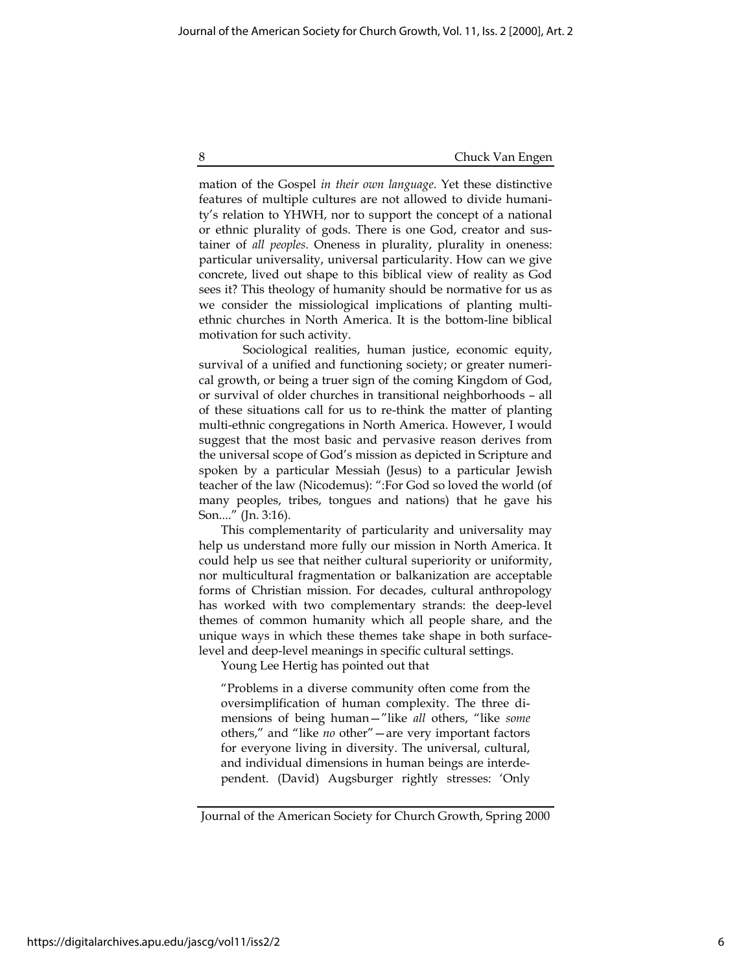mation of the Gospel in their own language. Yet these distinctive features of multiple cultures are not allowed to divide humanity's relation to YHWH, nor to support the concept of a national or ethnic plurality of gods. There is one God, creator and sustainer of all peoples. Oneness in plurality, plurality in oneness: particular universality, universal particularity. How can we give concrete, lived out shape to this biblical view of reality as God sees it? This theology of humanity should be normative for us as we consider the missiological implications of planting multiethnic churches in North America. It is the bottom-line biblical motivation for such activity.

Sociological realities, human justice, economic equity, survival of a unified and functioning society; or greater numerical growth, or being a truer sign of the coming Kingdom of God, or survival of older churches in transitional neighborhoods – all of these situations call for us to re-think the matter of planting multi-ethnic congregations in North America. However, I would suggest that the most basic and pervasive reason derives from the universal scope of God's mission as depicted in Scripture and spoken by a particular Messiah (Jesus) to a particular Jewish teacher of the law (Nicodemus): ":For God so loved the world (of many peoples, tribes, tongues and nations) that he gave his Son...." (Jn. 3:16).

This complementarity of particularity and universality may help us understand more fully our mission in North America. It could help us see that neither cultural superiority or uniformity, nor multicultural fragmentation or balkanization are acceptable forms of Christian mission. For decades, cultural anthropology has worked with two complementary strands: the deep-level themes of common humanity which all people share, and the unique ways in which these themes take shape in both surfacelevel and deep-level meanings in specific cultural settings.

Young Lee Hertig has pointed out that

"Problems in a diverse community often come from the oversimplification of human complexity. The three dimensions of being human—"like all others, "like some others," and "like no other"—are very important factors for everyone living in diversity. The universal, cultural, and individual dimensions in human beings are interdependent. (David) Augsburger rightly stresses: 'Only

https://digitalarchives.apu.edu/jascg/vol11/iss2/2

Journal of the American Society for Church Growth, Spring 2000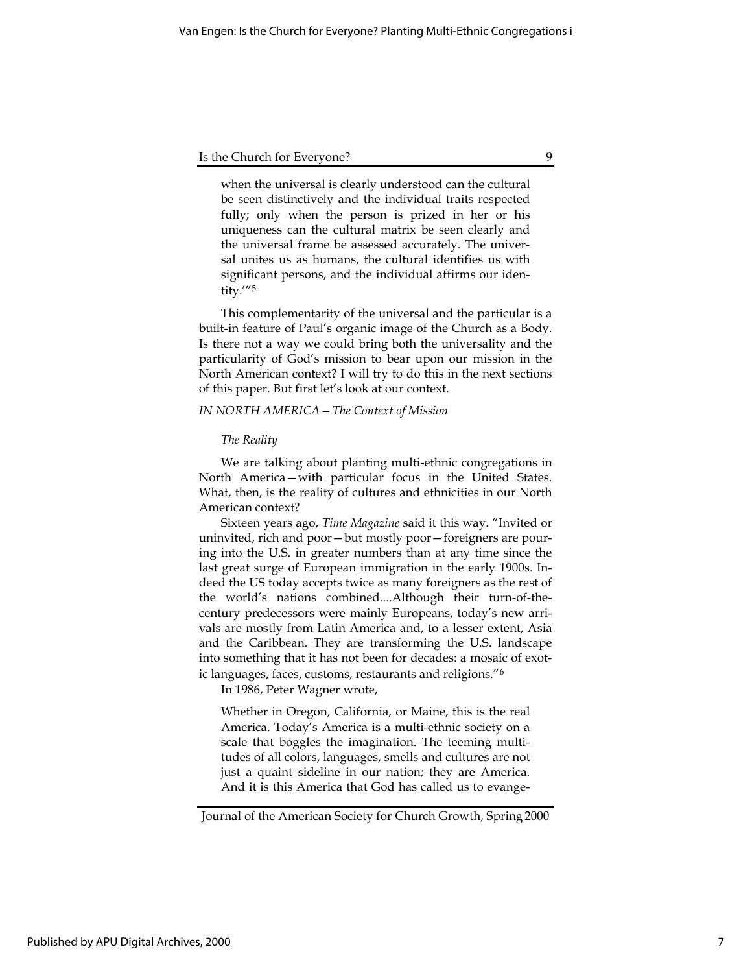when the universal is clearly understood can the cultural be seen distinctively and the individual traits respected fully; only when the person is prized in her or his uniqueness can the cultural matrix be seen clearly and the universal frame be assessed accurately. The universal unites us as humans, the cultural identifies us with significant persons, and the individual affirms our identity.'"<sup>5</sup>

This complementarity of the universal and the particular is a built-in feature of Paul's organic image of the Church as a Body. Is there not a way we could bring both the universality and the particularity of God's mission to bear upon our mission in the North American context? I will try to do this in the next sections of this paper. But first let's look at our context.

## IN NORTH AMERICA—The Context of Mission

#### The Reality

We are talking about planting multi-ethnic congregations in North America—with particular focus in the United States. What, then, is the reality of cultures and ethnicities in our North American context?

Sixteen years ago, Time Magazine said it this way. "Invited or uninvited, rich and poor—but mostly poor—foreigners are pouring into the U.S. in greater numbers than at any time since the last great surge of European immigration in the early 1900s. Indeed the US today accepts twice as many foreigners as the rest of the world's nations combined....Although their turn-of-thecentury predecessors were mainly Europeans, today's new arrivals are mostly from Latin America and, to a lesser extent, Asia and the Caribbean. They are transforming the U.S. landscape into something that it has not been for decades: a mosaic of exotic languages, faces, customs, restaurants and religions."<sup>6</sup>

In 1986, Peter Wagner wrote,

Whether in Oregon, California, or Maine, this is the real America. Today's America is a multi-ethnic society on a scale that boggles the imagination. The teeming multitudes of all colors, languages, smells and cultures are not just a quaint sideline in our nation; they are America. And it is this America that God has called us to evange-

Journal of the American Society for Church Growth, Spring 2000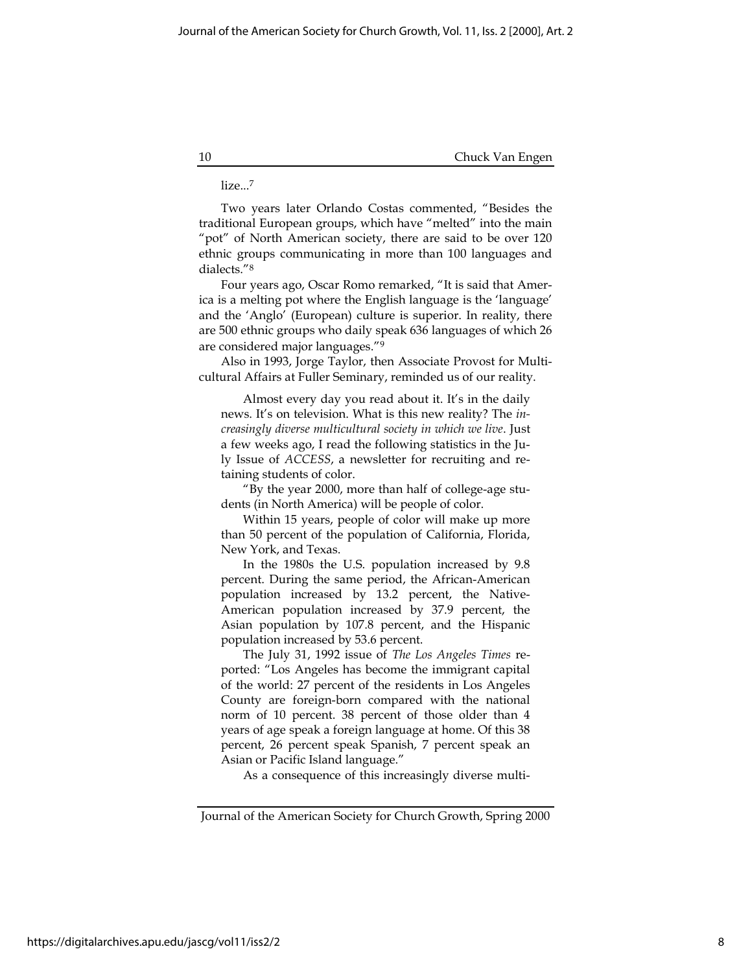## lize...<sup>7</sup>

Two years later Orlando Costas commented, "Besides the traditional European groups, which have "melted" into the main "pot" of North American society, there are said to be over 120 ethnic groups communicating in more than 100 languages and dialects."<sup>8</sup>

Four years ago, Oscar Romo remarked, "It is said that America is a melting pot where the English language is the 'language' and the 'Anglo' (European) culture is superior. In reality, there are 500 ethnic groups who daily speak 636 languages of which 26 are considered major languages."<sup>9</sup>

Also in 1993, Jorge Taylor, then Associate Provost for Multicultural Affairs at Fuller Seminary, reminded us of our reality.

Almost every day you read about it. It's in the daily news. It's on television. What is this new reality? The increasingly diverse multicultural society in which we live. Just a few weeks ago, I read the following statistics in the July Issue of ACCESS, a newsletter for recruiting and retaining students of color.

"By the year 2000, more than half of college-age students (in North America) will be people of color.

Within 15 years, people of color will make up more than 50 percent of the population of California, Florida, New York, and Texas.

In the 1980s the U.S. population increased by 9.8 percent. During the same period, the African-American population increased by 13.2 percent, the Native-American population increased by 37.9 percent, the Asian population by 107.8 percent, and the Hispanic population increased by 53.6 percent.

The July 31, 1992 issue of The Los Angeles Times reported: "Los Angeles has become the immigrant capital of the world: 27 percent of the residents in Los Angeles County are foreign-born compared with the national norm of 10 percent. 38 percent of those older than 4 years of age speak a foreign language at home. Of this 38 percent, 26 percent speak Spanish, 7 percent speak an Asian or Pacific Island language."

As a consequence of this increasingly diverse multi-

https://digitalarchives.apu.edu/jascg/vol11/iss2/2

Journal of the American Society for Church Growth, Spring 2000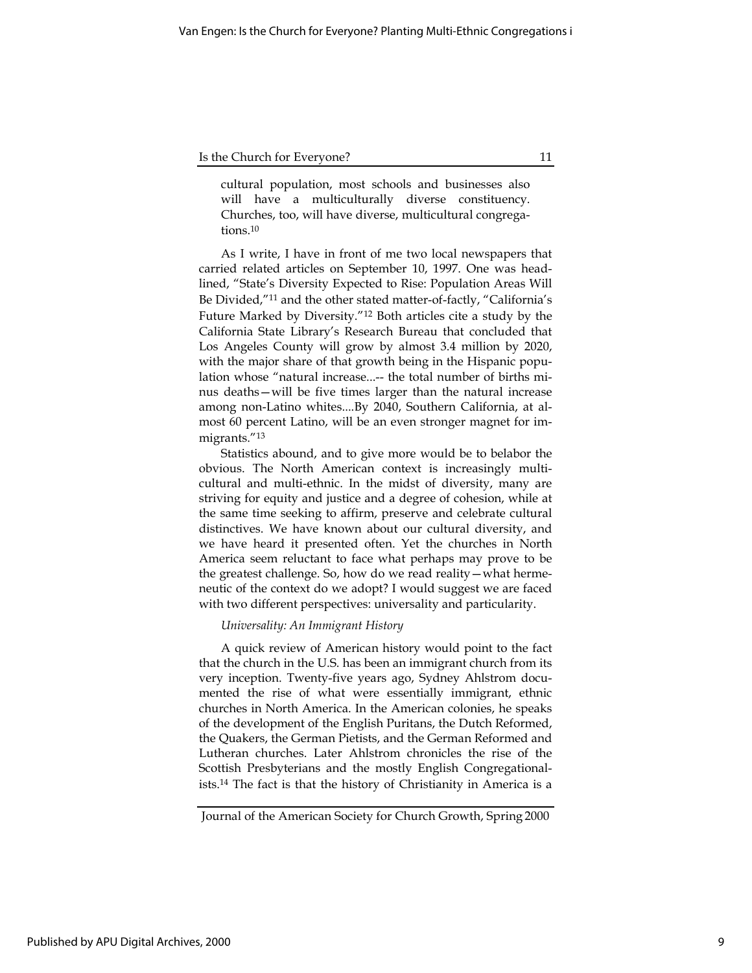cultural population, most schools and businesses also will have a multiculturally diverse constituency. Churches, too, will have diverse, multicultural congregations.<sup>10</sup>

As I write, I have in front of me two local newspapers that carried related articles on September 10, 1997. One was headlined, "State's Diversity Expected to Rise: Population Areas Will Be Divided,"<sup>11</sup> and the other stated matter-of-factly, "California's Future Marked by Diversity."<sup>12</sup> Both articles cite a study by the California State Library's Research Bureau that concluded that Los Angeles County will grow by almost 3.4 million by 2020, with the major share of that growth being in the Hispanic population whose "natural increase...-- the total number of births minus deaths—will be five times larger than the natural increase among non-Latino whites....By 2040, Southern California, at almost 60 percent Latino, will be an even stronger magnet for immigrants."<sup>13</sup>

Statistics abound, and to give more would be to belabor the obvious. The North American context is increasingly multicultural and multi-ethnic. In the midst of diversity, many are striving for equity and justice and a degree of cohesion, while at the same time seeking to affirm, preserve and celebrate cultural distinctives. We have known about our cultural diversity, and we have heard it presented often. Yet the churches in North America seem reluctant to face what perhaps may prove to be the greatest challenge. So, how do we read reality—what hermeneutic of the context do we adopt? I would suggest we are faced with two different perspectives: universality and particularity.

## Universality: An Immigrant History

A quick review of American history would point to the fact that the church in the U.S. has been an immigrant church from its very inception. Twenty-five years ago, Sydney Ahlstrom documented the rise of what were essentially immigrant, ethnic churches in North America. In the American colonies, he speaks of the development of the English Puritans, the Dutch Reformed, the Quakers, the German Pietists, and the German Reformed and Lutheran churches. Later Ahlstrom chronicles the rise of the Scottish Presbyterians and the mostly English Congregationalists.<sup>14</sup> The fact is that the history of Christianity in America is a

Published by APU Digital Archives, 2000

Journal of the American Society for Church Growth, Spring 2000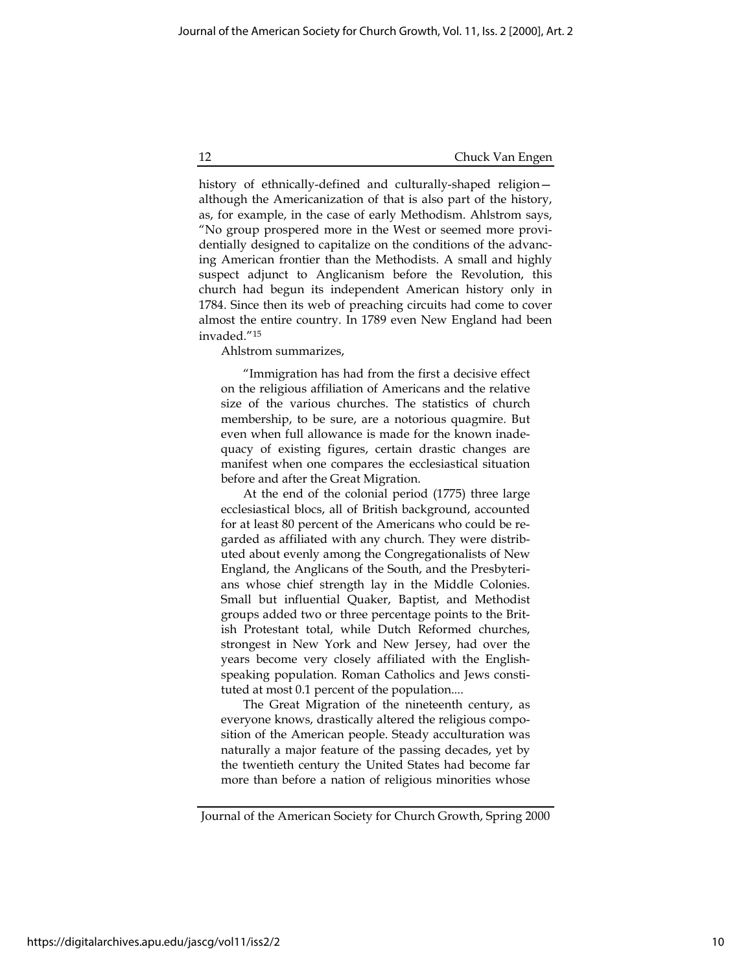history of ethnically-defined and culturally-shaped religion although the Americanization of that is also part of the history, as, for example, in the case of early Methodism. Ahlstrom says, "No group prospered more in the West or seemed more providentially designed to capitalize on the conditions of the advancing American frontier than the Methodists. A small and highly suspect adjunct to Anglicanism before the Revolution, this church had begun its independent American history only in 1784. Since then its web of preaching circuits had come to cover almost the entire country. In 1789 even New England had been invaded."<sup>15</sup>

Ahlstrom summarizes,

"Immigration has had from the first a decisive effect on the religious affiliation of Americans and the relative size of the various churches. The statistics of church membership, to be sure, are a notorious quagmire. But even when full allowance is made for the known inadequacy of existing figures, certain drastic changes are manifest when one compares the ecclesiastical situation before and after the Great Migration.

At the end of the colonial period (1775) three large ecclesiastical blocs, all of British background, accounted for at least 80 percent of the Americans who could be regarded as affiliated with any church. They were distributed about evenly among the Congregationalists of New England, the Anglicans of the South, and the Presbyterians whose chief strength lay in the Middle Colonies. Small but influential Quaker, Baptist, and Methodist groups added two or three percentage points to the British Protestant total, while Dutch Reformed churches, strongest in New York and New Jersey, had over the years become very closely affiliated with the Englishspeaking population. Roman Catholics and Jews constituted at most 0.1 percent of the population....

The Great Migration of the nineteenth century, as everyone knows, drastically altered the religious composition of the American people. Steady acculturation was naturally a major feature of the passing decades, yet by the twentieth century the United States had become far more than before a nation of religious minorities whose

Journal of the American Society for Church Growth, Spring 2000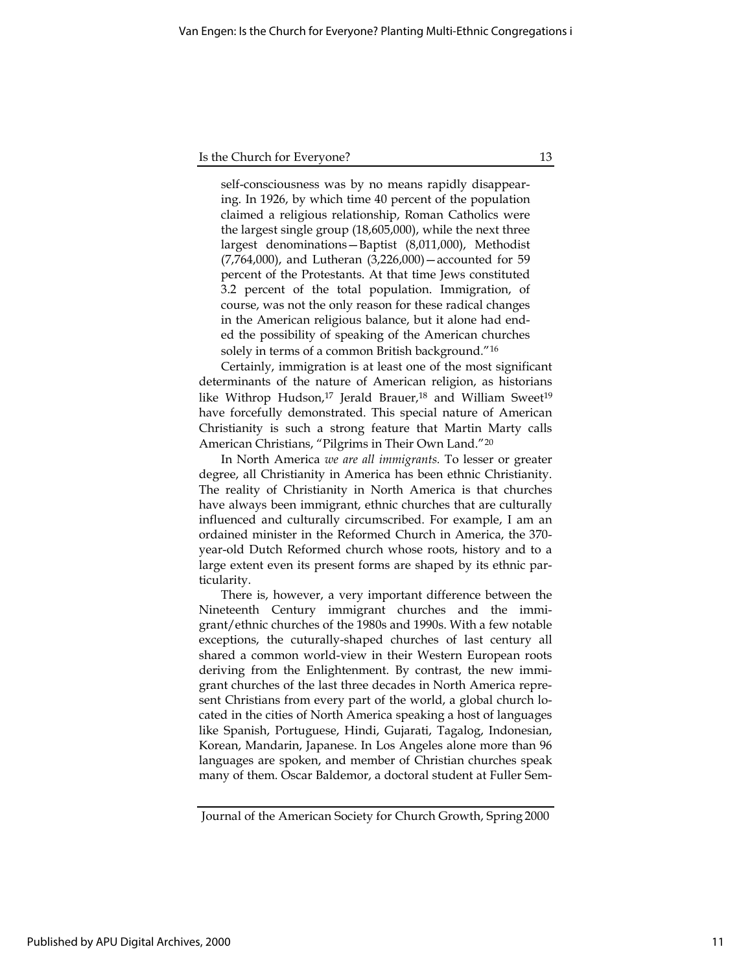self-consciousness was by no means rapidly disappearing. In 1926, by which time 40 percent of the population claimed a religious relationship, Roman Catholics were the largest single group (18,605,000), while the next three largest denominations—Baptist (8,011,000), Methodist (7,764,000), and Lutheran (3,226,000)—accounted for 59 percent of the Protestants. At that time Jews constituted 3.2 percent of the total population. Immigration, of course, was not the only reason for these radical changes in the American religious balance, but it alone had ended the possibility of speaking of the American churches solely in terms of a common British background."<sup>16</sup>

Certainly, immigration is at least one of the most significant determinants of the nature of American religion, as historians like Withrop Hudson,<sup>17</sup> Jerald Brauer,<sup>18</sup> and William Sweet<sup>19</sup> have forcefully demonstrated. This special nature of American Christianity is such a strong feature that Martin Marty calls American Christians, "Pilgrims in Their Own Land."<sup>20</sup>

In North America we are all immigrants. To lesser or greater degree, all Christianity in America has been ethnic Christianity. The reality of Christianity in North America is that churches have always been immigrant, ethnic churches that are culturally influenced and culturally circumscribed. For example, I am an ordained minister in the Reformed Church in America, the 370 year-old Dutch Reformed church whose roots, history and to a large extent even its present forms are shaped by its ethnic particularity.

There is, however, a very important difference between the Nineteenth Century immigrant churches and the immigrant/ethnic churches of the 1980s and 1990s. With a few notable exceptions, the cuturally-shaped churches of last century all shared a common world-view in their Western European roots deriving from the Enlightenment. By contrast, the new immigrant churches of the last three decades in North America represent Christians from every part of the world, a global church located in the cities of North America speaking a host of languages like Spanish, Portuguese, Hindi, Gujarati, Tagalog, Indonesian, Korean, Mandarin, Japanese. In Los Angeles alone more than 96 languages are spoken, and member of Christian churches speak many of them. Oscar Baldemor, a doctoral student at Fuller Sem-

11

Journal of the American Society for Church Growth, Spring 2000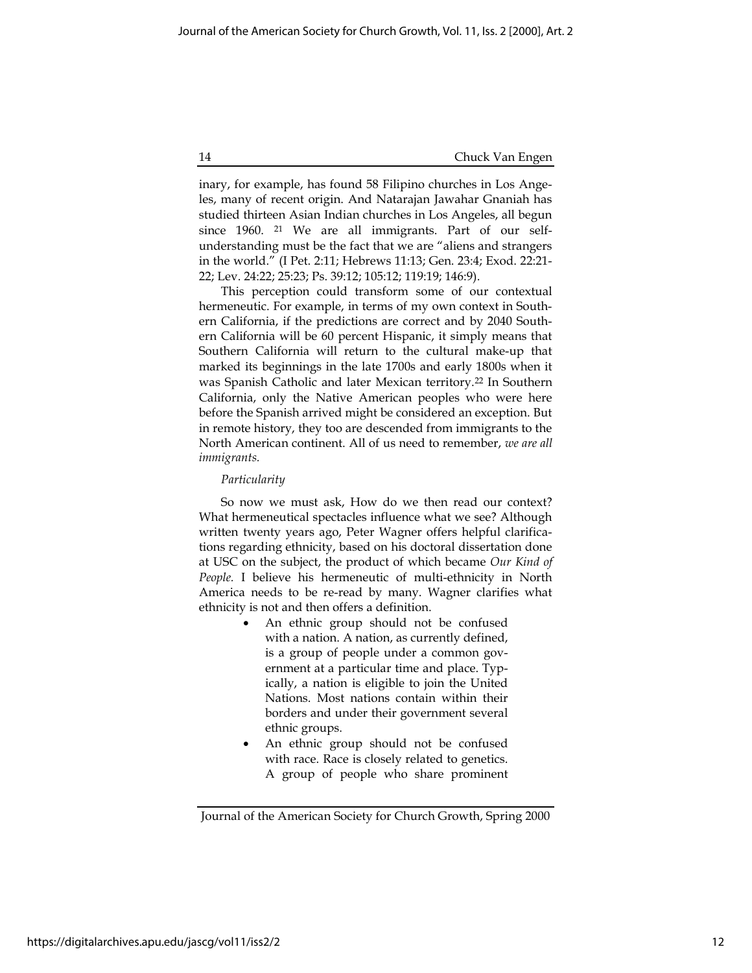inary, for example, has found 58 Filipino churches in Los Angeles, many of recent origin. And Natarajan Jawahar Gnaniah has studied thirteen Asian Indian churches in Los Angeles, all begun since 1960. 21 We are all immigrants. Part of our selfunderstanding must be the fact that we are "aliens and strangers in the world." (I Pet. 2:11; Hebrews 11:13; Gen. 23:4; Exod. 22:21- 22; Lev. 24:22; 25:23; Ps. 39:12; 105:12; 119:19; 146:9).

This perception could transform some of our contextual hermeneutic. For example, in terms of my own context in Southern California, if the predictions are correct and by 2040 Southern California will be 60 percent Hispanic, it simply means that Southern California will return to the cultural make-up that marked its beginnings in the late 1700s and early 1800s when it was Spanish Catholic and later Mexican territory.<sup>22</sup> In Southern California, only the Native American peoples who were here before the Spanish arrived might be considered an exception. But in remote history, they too are descended from immigrants to the North American continent. All of us need to remember, we are all immigrants.

## Particularity

So now we must ask, How do we then read our context? What hermeneutical spectacles influence what we see? Although written twenty years ago, Peter Wagner offers helpful clarifications regarding ethnicity, based on his doctoral dissertation done at USC on the subject, the product of which became Our Kind of People. I believe his hermeneutic of multi-ethnicity in North America needs to be re-read by many. Wagner clarifies what ethnicity is not and then offers a definition.

- An ethnic group should not be confused with a nation. A nation, as currently defined, is a group of people under a common government at a particular time and place. Typically, a nation is eligible to join the United Nations. Most nations contain within their borders and under their government several ethnic groups.
- An ethnic group should not be confused with race. Race is closely related to genetics. A group of people who share prominent

Journal of the American Society for Church Growth, Spring 2000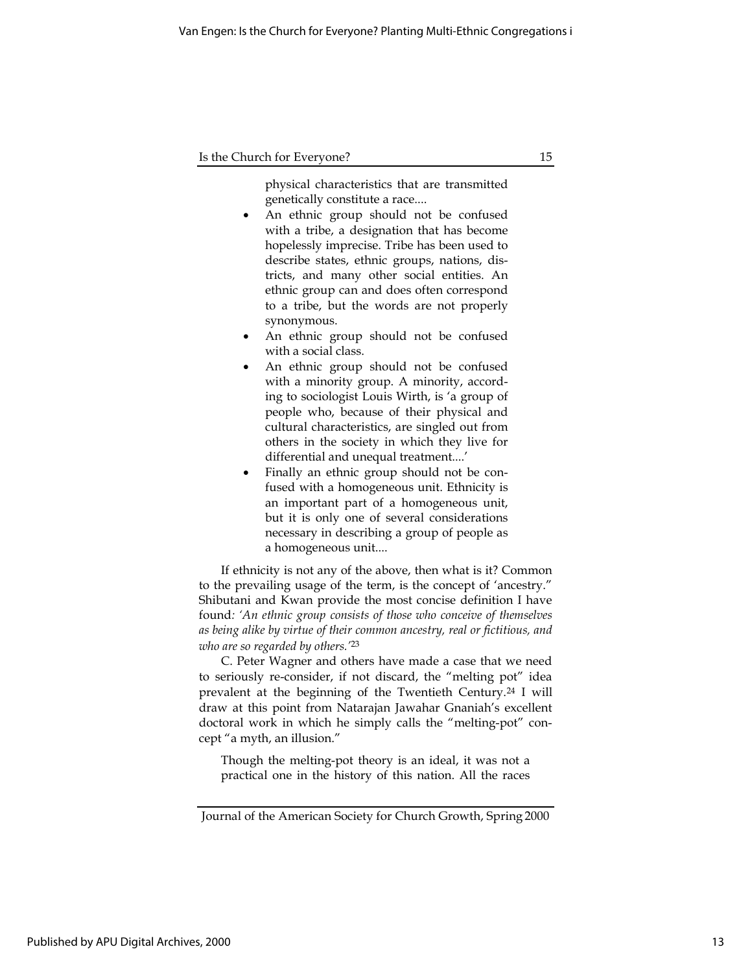physical characteristics that are transmitted genetically constitute a race....

- An ethnic group should not be confused with a tribe, a designation that has become hopelessly imprecise. Tribe has been used to describe states, ethnic groups, nations, districts, and many other social entities. An ethnic group can and does often correspond to a tribe, but the words are not properly synonymous.
- An ethnic group should not be confused with a social class.
- An ethnic group should not be confused with a minority group. A minority, according to sociologist Louis Wirth, is 'a group of people who, because of their physical and cultural characteristics, are singled out from others in the society in which they live for differential and unequal treatment....'
- Finally an ethnic group should not be confused with a homogeneous unit. Ethnicity is an important part of a homogeneous unit, but it is only one of several considerations necessary in describing a group of people as a homogeneous unit....

If ethnicity is not any of the above, then what is it? Common to the prevailing usage of the term, is the concept of 'ancestry." Shibutani and Kwan provide the most concise definition I have found: 'An ethnic group consists of those who conceive of themselves as being alike by virtue of their common ancestry, real or fictitious, and who are so regarded by others.<sup>'23</sup>

C. Peter Wagner and others have made a case that we need to seriously re-consider, if not discard, the "melting pot" idea prevalent at the beginning of the Twentieth Century.<sup>24</sup> I will draw at this point from Natarajan Jawahar Gnaniah's excellent doctoral work in which he simply calls the "melting-pot" concept "a myth, an illusion."

Though the melting-pot theory is an ideal, it was not a practical one in the history of this nation. All the races

Journal of the American Society for Church Growth, Spring 2000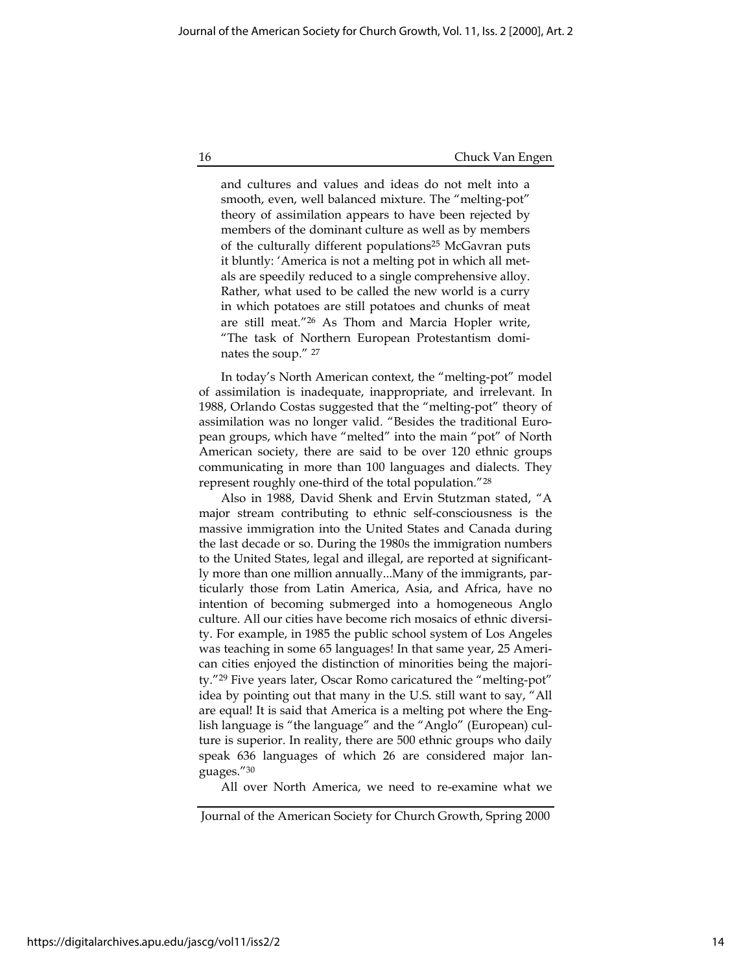and cultures and values and ideas do not melt into a smooth, even, well balanced mixture. The "melting-pot" theory of assimilation appears to have been rejected by members of the dominant culture as well as by members of the culturally different populations<sup>25</sup> McGavran puts it bluntly: 'America is not a melting pot in which all metals are speedily reduced to a single comprehensive alloy. Rather, what used to be called the new world is a curry in which potatoes are still potatoes and chunks of meat are still meat."<sup>26</sup> As Thom and Marcia Hopler write, "The task of Northern European Protestantism dominates the soup." <sup>27</sup>

In today's North American context, the "melting-pot" model of assimilation is inadequate, inappropriate, and irrelevant. In 1988, Orlando Costas suggested that the "melting-pot" theory of assimilation was no longer valid. "Besides the traditional European groups, which have "melted" into the main "pot" of North American society, there are said to be over 120 ethnic groups communicating in more than 100 languages and dialects. They represent roughly one-third of the total population."<sup>28</sup>

Also in 1988, David Shenk and Ervin Stutzman stated, "A major stream contributing to ethnic self-consciousness is the massive immigration into the United States and Canada during the last decade or so. During the 1980s the immigration numbers to the United States, legal and illegal, are reported at significantly more than one million annually...Many of the immigrants, particularly those from Latin America, Asia, and Africa, have no intention of becoming submerged into a homogeneous Anglo culture. All our cities have become rich mosaics of ethnic diversity. For example, in 1985 the public school system of Los Angeles was teaching in some 65 languages! In that same year, 25 American cities enjoyed the distinction of minorities being the majority."<sup>29</sup> Five years later, Oscar Romo caricatured the "melting-pot" idea by pointing out that many in the U.S. still want to say, "All are equal! It is said that America is a melting pot where the English language is "the language" and the "Anglo" (European) culture is superior. In reality, there are 500 ethnic groups who daily speak 636 languages of which 26 are considered major languages."<sup>30</sup>

All over North America, we need to re-examine what we

Journal of the American Society for Church Growth, Spring 2000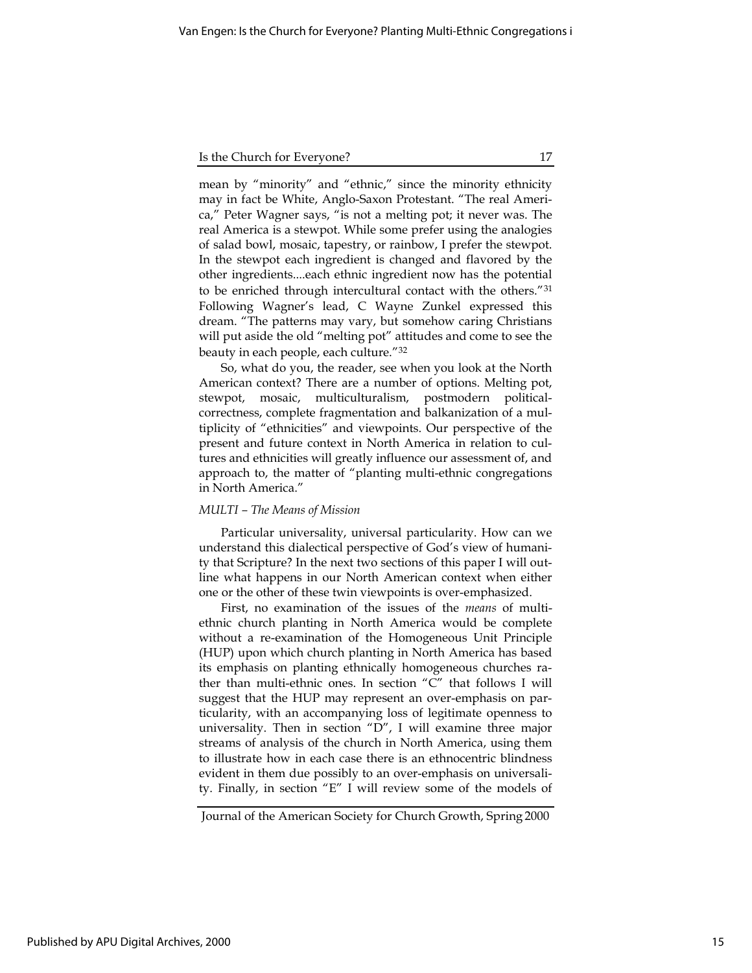mean by "minority" and "ethnic," since the minority ethnicity may in fact be White, Anglo-Saxon Protestant. "The real America," Peter Wagner says, "is not a melting pot; it never was. The real America is a stewpot. While some prefer using the analogies of salad bowl, mosaic, tapestry, or rainbow, I prefer the stewpot. In the stewpot each ingredient is changed and flavored by the other ingredients....each ethnic ingredient now has the potential to be enriched through intercultural contact with the others."<sup>31</sup> Following Wagner's lead, C Wayne Zunkel expressed this dream. "The patterns may vary, but somehow caring Christians will put aside the old "melting pot" attitudes and come to see the beauty in each people, each culture."<sup>32</sup>

So, what do you, the reader, see when you look at the North American context? There are a number of options. Melting pot, stewpot, mosaic, multiculturalism, postmodern politicalcorrectness, complete fragmentation and balkanization of a multiplicity of "ethnicities" and viewpoints. Our perspective of the present and future context in North America in relation to cultures and ethnicities will greatly influence our assessment of, and approach to, the matter of "planting multi-ethnic congregations in North America."

## MULTI – The Means of Mission

Particular universality, universal particularity. How can we understand this dialectical perspective of God's view of humanity that Scripture? In the next two sections of this paper I will outline what happens in our North American context when either one or the other of these twin viewpoints is over-emphasized.

First, no examination of the issues of the means of multiethnic church planting in North America would be complete without a re-examination of the Homogeneous Unit Principle (HUP) upon which church planting in North America has based its emphasis on planting ethnically homogeneous churches rather than multi-ethnic ones. In section "C" that follows I will suggest that the HUP may represent an over-emphasis on particularity, with an accompanying loss of legitimate openness to universality. Then in section "D", I will examine three major streams of analysis of the church in North America, using them to illustrate how in each case there is an ethnocentric blindness evident in them due possibly to an over-emphasis on universality. Finally, in section "E" I will review some of the models of

Journal of the American Society for Church Growth, Spring 2000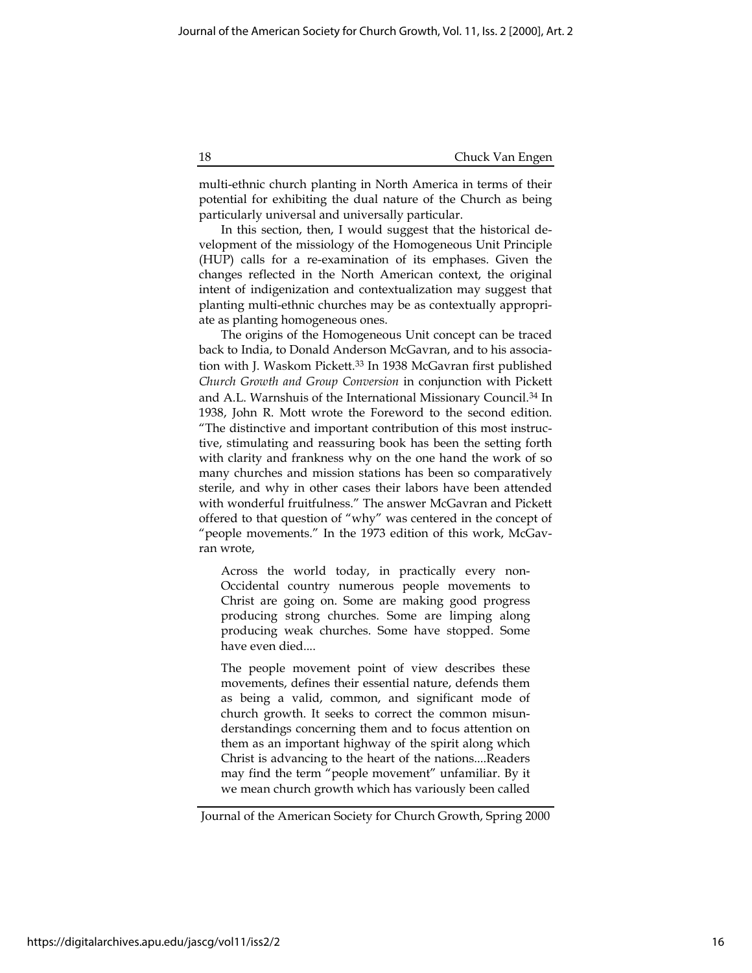multi-ethnic church planting in North America in terms of their potential for exhibiting the dual nature of the Church as being particularly universal and universally particular.

In this section, then, I would suggest that the historical development of the missiology of the Homogeneous Unit Principle (HUP) calls for a re-examination of its emphases. Given the changes reflected in the North American context, the original intent of indigenization and contextualization may suggest that planting multi-ethnic churches may be as contextually appropriate as planting homogeneous ones.

The origins of the Homogeneous Unit concept can be traced back to India, to Donald Anderson McGavran, and to his association with J. Waskom Pickett.<sup>33</sup> In 1938 McGavran first published Church Growth and Group Conversion in conjunction with Pickett and A.L. Warnshuis of the International Missionary Council.<sup>34</sup> In 1938, John R. Mott wrote the Foreword to the second edition. "The distinctive and important contribution of this most instructive, stimulating and reassuring book has been the setting forth with clarity and frankness why on the one hand the work of so many churches and mission stations has been so comparatively sterile, and why in other cases their labors have been attended with wonderful fruitfulness." The answer McGavran and Pickett offered to that question of "why" was centered in the concept of "people movements." In the 1973 edition of this work, McGavran wrote,

Across the world today, in practically every non-Occidental country numerous people movements to Christ are going on. Some are making good progress producing strong churches. Some are limping along producing weak churches. Some have stopped. Some have even died....

The people movement point of view describes these movements, defines their essential nature, defends them as being a valid, common, and significant mode of church growth. It seeks to correct the common misunderstandings concerning them and to focus attention on them as an important highway of the spirit along which Christ is advancing to the heart of the nations....Readers may find the term "people movement" unfamiliar. By it we mean church growth which has variously been called

Journal of the American Society for Church Growth, Spring 2000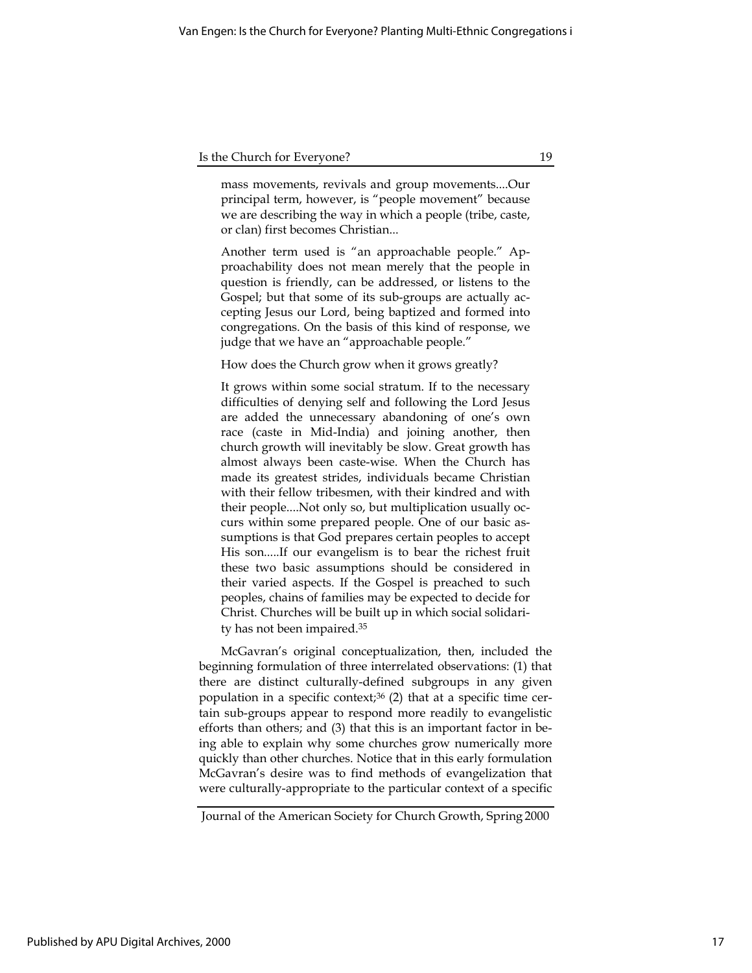mass movements, revivals and group movements....Our principal term, however, is "people movement" because we are describing the way in which a people (tribe, caste, or clan) first becomes Christian...

Another term used is "an approachable people." Approachability does not mean merely that the people in question is friendly, can be addressed, or listens to the Gospel; but that some of its sub-groups are actually accepting Jesus our Lord, being baptized and formed into congregations. On the basis of this kind of response, we judge that we have an "approachable people."

How does the Church grow when it grows greatly?

It grows within some social stratum. If to the necessary difficulties of denying self and following the Lord Jesus are added the unnecessary abandoning of one's own race (caste in Mid-India) and joining another, then church growth will inevitably be slow. Great growth has almost always been caste-wise. When the Church has made its greatest strides, individuals became Christian with their fellow tribesmen, with their kindred and with their people....Not only so, but multiplication usually occurs within some prepared people. One of our basic assumptions is that God prepares certain peoples to accept His son.....If our evangelism is to bear the richest fruit these two basic assumptions should be considered in their varied aspects. If the Gospel is preached to such peoples, chains of families may be expected to decide for Christ. Churches will be built up in which social solidarity has not been impaired.<sup>35</sup>

McGavran's original conceptualization, then, included the beginning formulation of three interrelated observations: (1) that there are distinct culturally-defined subgroups in any given population in a specific context; $36$  (2) that at a specific time certain sub-groups appear to respond more readily to evangelistic efforts than others; and (3) that this is an important factor in being able to explain why some churches grow numerically more quickly than other churches. Notice that in this early formulation McGavran's desire was to find methods of evangelization that were culturally-appropriate to the particular context of a specific

Journal of the American Society for Church Growth, Spring 2000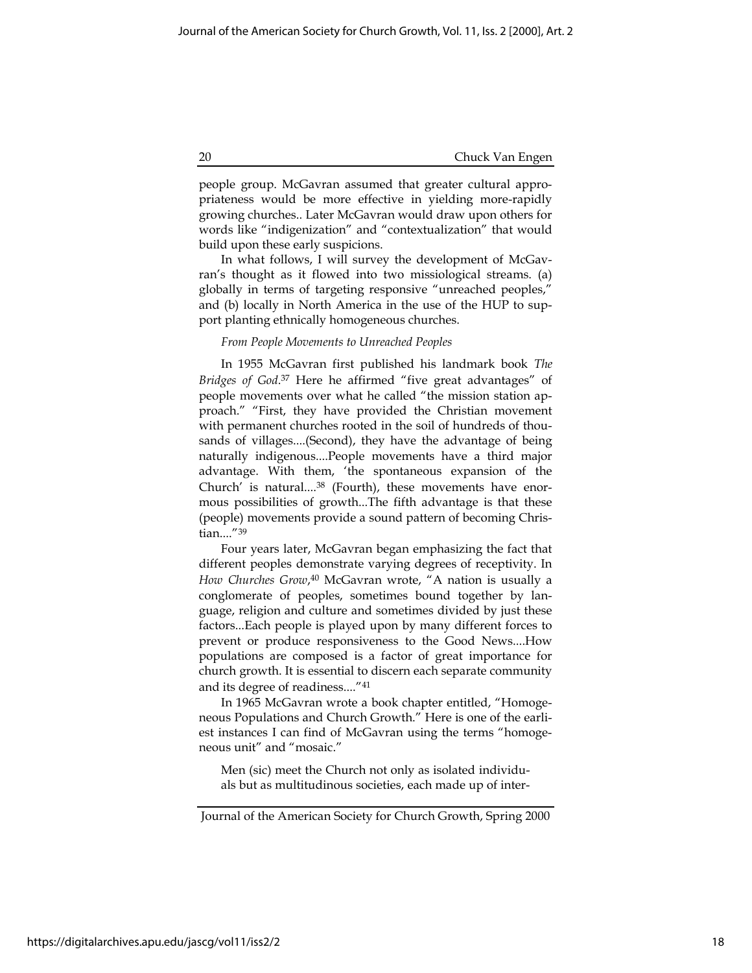people group. McGavran assumed that greater cultural appropriateness would be more effective in yielding more-rapidly growing churches.. Later McGavran would draw upon others for words like "indigenization" and "contextualization" that would build upon these early suspicions.

In what follows, I will survey the development of McGavran's thought as it flowed into two missiological streams. (a) globally in terms of targeting responsive "unreached peoples," and (b) locally in North America in the use of the HUP to support planting ethnically homogeneous churches.

#### From People Movements to Unreached Peoples

In 1955 McGavran first published his landmark book The Bridges of God.<sup>37</sup> Here he affirmed "five great advantages" of people movements over what he called "the mission station approach." "First, they have provided the Christian movement with permanent churches rooted in the soil of hundreds of thousands of villages....(Second), they have the advantage of being naturally indigenous....People movements have a third major advantage. With them, 'the spontaneous expansion of the Church' is natural....38 (Fourth), these movements have enormous possibilities of growth...The fifth advantage is that these (people) movements provide a sound pattern of becoming Christian...."<sup>39</sup>

Four years later, McGavran began emphasizing the fact that different peoples demonstrate varying degrees of receptivity. In How Churches Grow,<sup>40</sup> McGavran wrote, "A nation is usually a conglomerate of peoples, sometimes bound together by language, religion and culture and sometimes divided by just these factors...Each people is played upon by many different forces to prevent or produce responsiveness to the Good News....How populations are composed is a factor of great importance for church growth. It is essential to discern each separate community and its degree of readiness...."<sup>41</sup>

In 1965 McGavran wrote a book chapter entitled, "Homogeneous Populations and Church Growth." Here is one of the earliest instances I can find of McGavran using the terms "homogeneous unit" and "mosaic."

Men (sic) meet the Church not only as isolated individuals but as multitudinous societies, each made up of inter-

Journal of the American Society for Church Growth, Spring 2000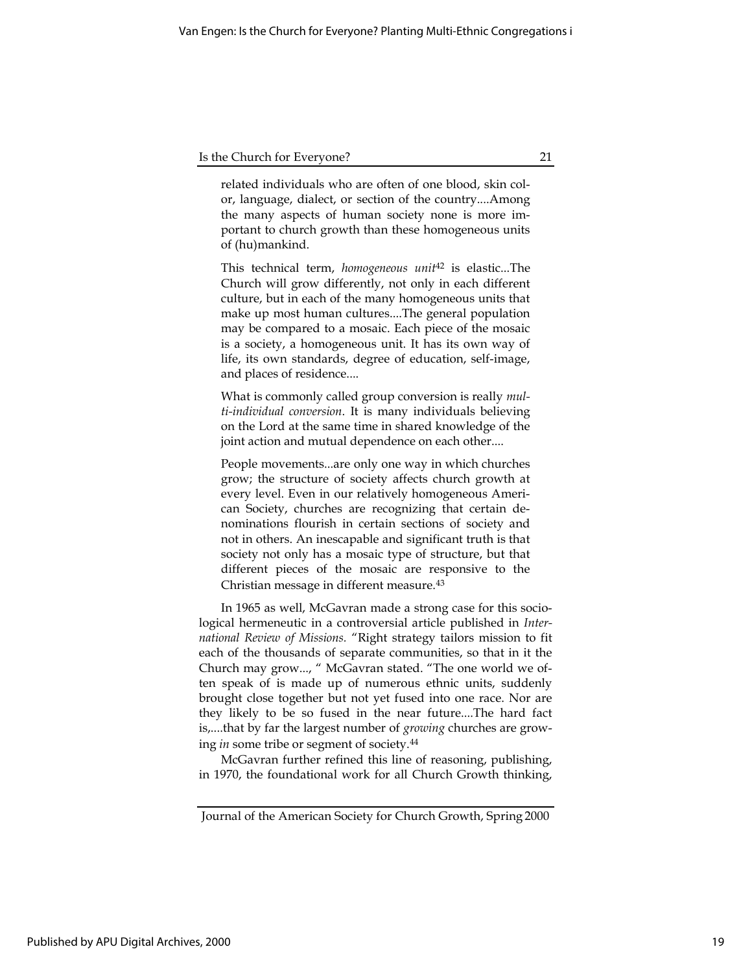related individuals who are often of one blood, skin color, language, dialect, or section of the country....Among the many aspects of human society none is more important to church growth than these homogeneous units of (hu)mankind.

This technical term, homogeneous unit<sup>42</sup> is elastic...The Church will grow differently, not only in each different culture, but in each of the many homogeneous units that make up most human cultures....The general population may be compared to a mosaic. Each piece of the mosaic is a society, a homogeneous unit. It has its own way of life, its own standards, degree of education, self-image, and places of residence....

What is commonly called group conversion is really *mul*ti-individual conversion. It is many individuals believing on the Lord at the same time in shared knowledge of the joint action and mutual dependence on each other....

People movements...are only one way in which churches grow; the structure of society affects church growth at every level. Even in our relatively homogeneous American Society, churches are recognizing that certain denominations flourish in certain sections of society and not in others. An inescapable and significant truth is that society not only has a mosaic type of structure, but that different pieces of the mosaic are responsive to the Christian message in different measure.<sup>43</sup>

In 1965 as well, McGavran made a strong case for this sociological hermeneutic in a controversial article published in International Review of Missions. "Right strategy tailors mission to fit each of the thousands of separate communities, so that in it the Church may grow..., " McGavran stated. "The one world we often speak of is made up of numerous ethnic units, suddenly brought close together but not yet fused into one race. Nor are they likely to be so fused in the near future....The hard fact is,....that by far the largest number of *growing* churches are growing in some tribe or segment of society.<sup>44</sup>

McGavran further refined this line of reasoning, publishing, in 1970, the foundational work for all Church Growth thinking,

Journal of the American Society for Church Growth, Spring 2000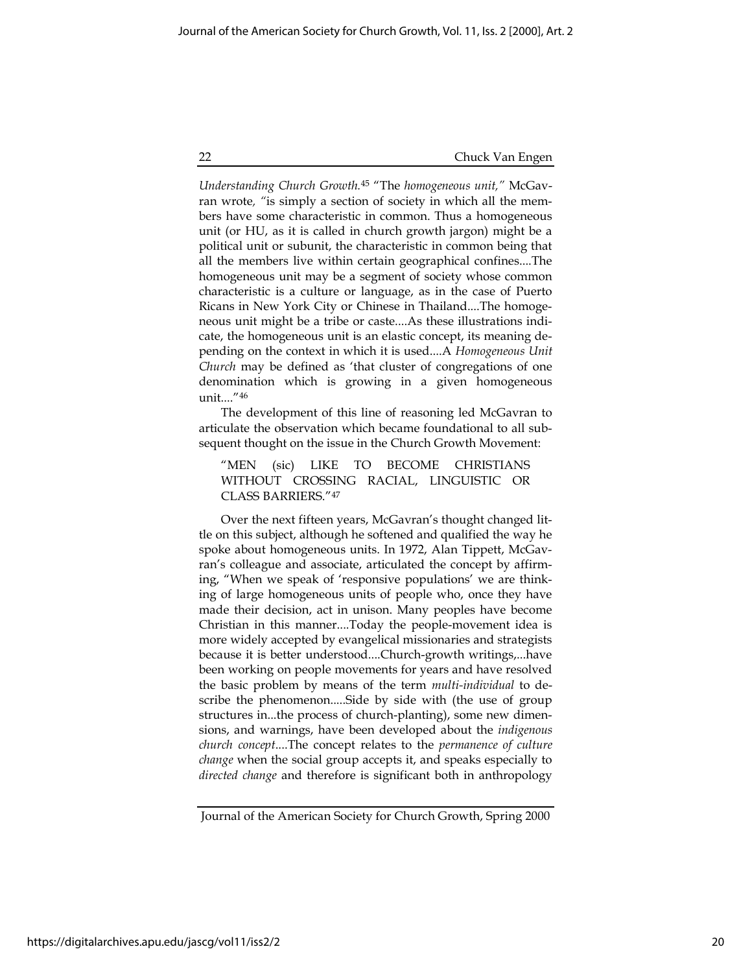Understanding Church Growth.<sup>45</sup> "The homogeneous unit," McGavran wrote, "is simply a section of society in which all the members have some characteristic in common. Thus a homogeneous unit (or HU, as it is called in church growth jargon) might be a political unit or subunit, the characteristic in common being that all the members live within certain geographical confines....The homogeneous unit may be a segment of society whose common characteristic is a culture or language, as in the case of Puerto Ricans in New York City or Chinese in Thailand....The homogeneous unit might be a tribe or caste....As these illustrations indicate, the homogeneous unit is an elastic concept, its meaning depending on the context in which it is used....A Homogeneous Unit Church may be defined as 'that cluster of congregations of one denomination which is growing in a given homogeneous unit...."<sup>46</sup>

The development of this line of reasoning led McGavran to articulate the observation which became foundational to all subsequent thought on the issue in the Church Growth Movement:

"MEN (sic) LIKE TO BECOME CHRISTIANS WITHOUT CROSSING RACIAL, LINGUISTIC OR CLASS BARRIERS."<sup>47</sup>

Over the next fifteen years, McGavran's thought changed little on this subject, although he softened and qualified the way he spoke about homogeneous units. In 1972, Alan Tippett, McGavran's colleague and associate, articulated the concept by affirming, "When we speak of 'responsive populations' we are thinking of large homogeneous units of people who, once they have made their decision, act in unison. Many peoples have become Christian in this manner....Today the people-movement idea is more widely accepted by evangelical missionaries and strategists because it is better understood....Church-growth writings,...have been working on people movements for years and have resolved the basic problem by means of the term multi-individual to describe the phenomenon.....Side by side with (the use of group structures in...the process of church-planting), some new dimensions, and warnings, have been developed about the indigenous church concept....The concept relates to the permanence of culture change when the social group accepts it, and speaks especially to directed change and therefore is significant both in anthropology

Journal of the American Society for Church Growth, Spring 2000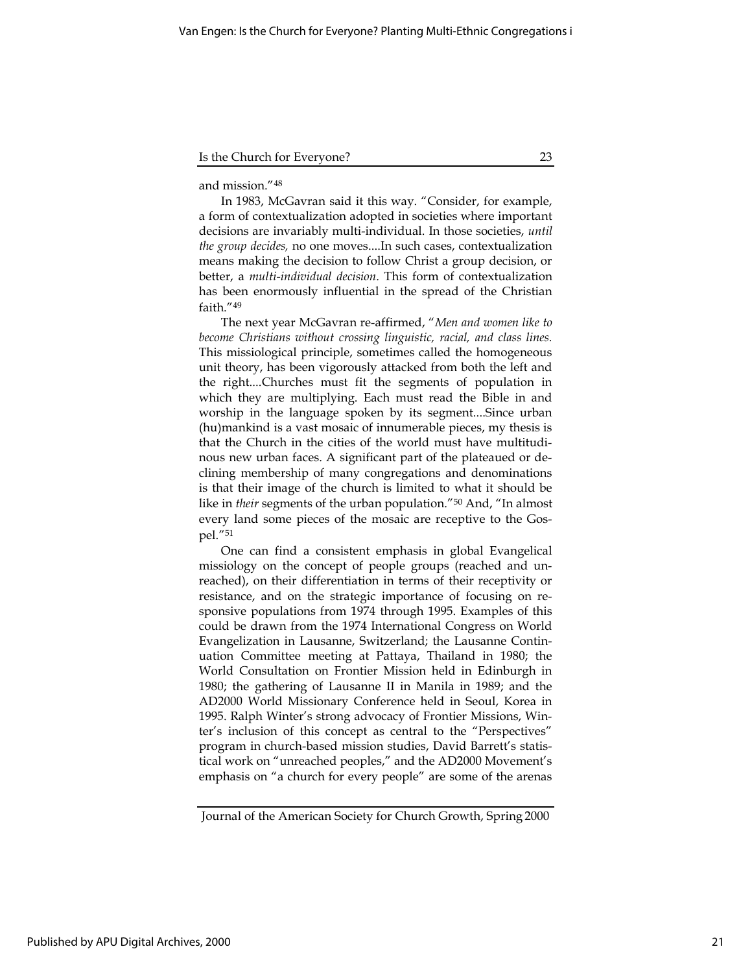and mission."<sup>48</sup>

In 1983, McGavran said it this way. "Consider, for example, a form of contextualization adopted in societies where important decisions are invariably multi-individual. In those societies, until the group decides, no one moves....In such cases, contextualization means making the decision to follow Christ a group decision, or better, a multi-individual decision. This form of contextualization has been enormously influential in the spread of the Christian faith."<sup>49</sup>

The next year McGavran re-affirmed, "Men and women like to become Christians without crossing linguistic, racial, and class lines. This missiological principle, sometimes called the homogeneous unit theory, has been vigorously attacked from both the left and the right....Churches must fit the segments of population in which they are multiplying. Each must read the Bible in and worship in the language spoken by its segment....Since urban (hu)mankind is a vast mosaic of innumerable pieces, my thesis is that the Church in the cities of the world must have multitudinous new urban faces. A significant part of the plateaued or declining membership of many congregations and denominations is that their image of the church is limited to what it should be like in their segments of the urban population."<sup>50</sup> And, "In almost every land some pieces of the mosaic are receptive to the Gospel."<sup>51</sup>

One can find a consistent emphasis in global Evangelical missiology on the concept of people groups (reached and unreached), on their differentiation in terms of their receptivity or resistance, and on the strategic importance of focusing on responsive populations from 1974 through 1995. Examples of this could be drawn from the 1974 International Congress on World Evangelization in Lausanne, Switzerland; the Lausanne Continuation Committee meeting at Pattaya, Thailand in 1980; the World Consultation on Frontier Mission held in Edinburgh in 1980; the gathering of Lausanne II in Manila in 1989; and the AD2000 World Missionary Conference held in Seoul, Korea in 1995. Ralph Winter's strong advocacy of Frontier Missions, Winter's inclusion of this concept as central to the "Perspectives" program in church-based mission studies, David Barrett's statistical work on "unreached peoples," and the AD2000 Movement's emphasis on "a church for every people" are some of the arenas

Journal of the American Society for Church Growth, Spring 2000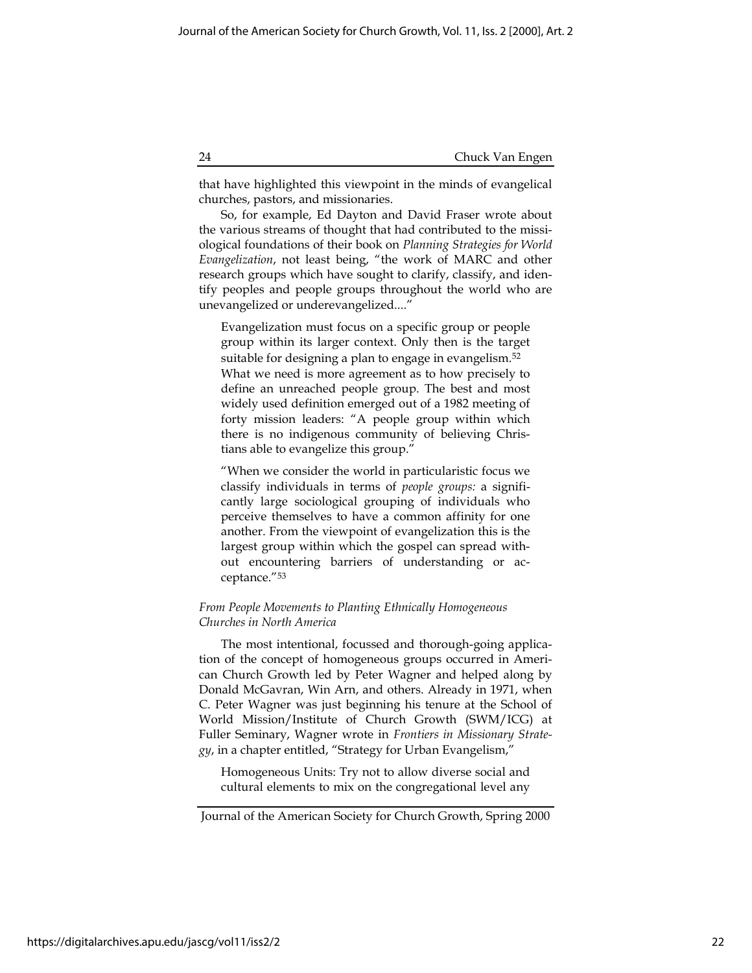that have highlighted this viewpoint in the minds of evangelical churches, pastors, and missionaries.

So, for example, Ed Dayton and David Fraser wrote about the various streams of thought that had contributed to the missiological foundations of their book on Planning Strategies for World Evangelization, not least being, "the work of MARC and other research groups which have sought to clarify, classify, and identify peoples and people groups throughout the world who are unevangelized or underevangelized...."

Evangelization must focus on a specific group or people group within its larger context. Only then is the target suitable for designing a plan to engage in evangelism.<sup>52</sup> What we need is more agreement as to how precisely to define an unreached people group. The best and most widely used definition emerged out of a 1982 meeting of forty mission leaders: "A people group within which there is no indigenous community of believing Christians able to evangelize this group."

"When we consider the world in particularistic focus we classify individuals in terms of people groups: a significantly large sociological grouping of individuals who perceive themselves to have a common affinity for one another. From the viewpoint of evangelization this is the largest group within which the gospel can spread without encountering barriers of understanding or acceptance."<sup>53</sup>

## From People Movements to Planting Ethnically Homogeneous Churches in North America

The most intentional, focussed and thorough-going application of the concept of homogeneous groups occurred in American Church Growth led by Peter Wagner and helped along by Donald McGavran, Win Arn, and others. Already in 1971, when C. Peter Wagner was just beginning his tenure at the School of World Mission/Institute of Church Growth (SWM/ICG) at Fuller Seminary, Wagner wrote in Frontiers in Missionary Strategy, in a chapter entitled, "Strategy for Urban Evangelism,"

Homogeneous Units: Try not to allow diverse social and cultural elements to mix on the congregational level any

Journal of the American Society for Church Growth, Spring 2000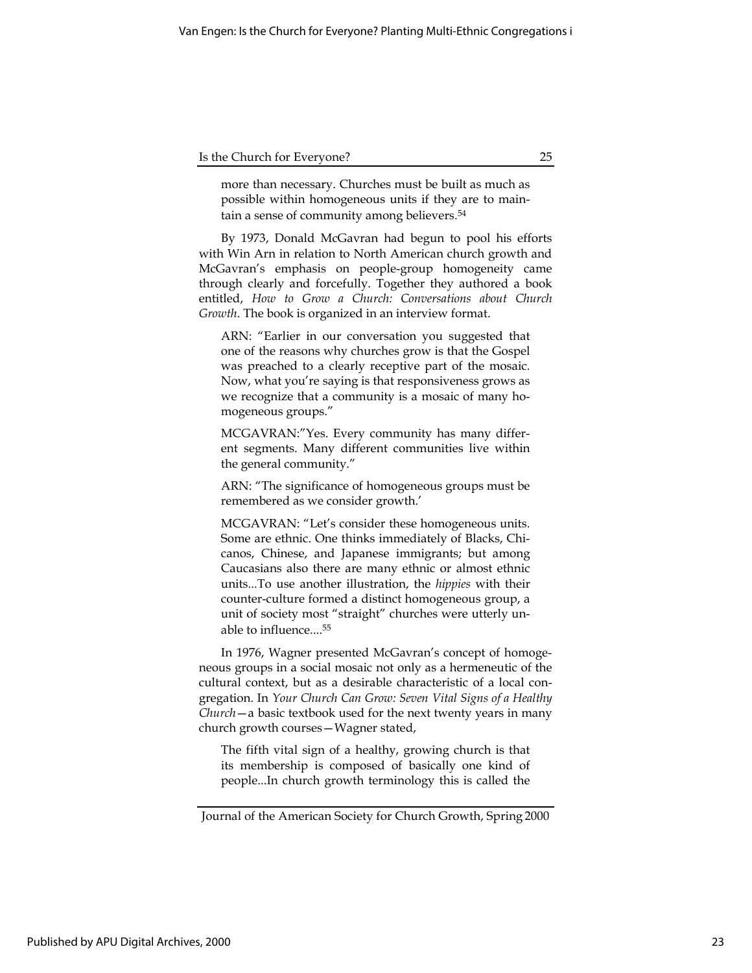more than necessary. Churches must be built as much as possible within homogeneous units if they are to maintain a sense of community among believers.<sup>54</sup>

By 1973, Donald McGavran had begun to pool his efforts with Win Arn in relation to North American church growth and McGavran's emphasis on people-group homogeneity came through clearly and forcefully. Together they authored a book entitled, How to Grow a Church: Conversations about Church Growth. The book is organized in an interview format.

ARN: "Earlier in our conversation you suggested that one of the reasons why churches grow is that the Gospel was preached to a clearly receptive part of the mosaic. Now, what you're saying is that responsiveness grows as we recognize that a community is a mosaic of many homogeneous groups."

MCGAVRAN:"Yes. Every community has many different segments. Many different communities live within the general community."

ARN: "The significance of homogeneous groups must be remembered as we consider growth.'

MCGAVRAN: "Let's consider these homogeneous units. Some are ethnic. One thinks immediately of Blacks, Chicanos, Chinese, and Japanese immigrants; but among Caucasians also there are many ethnic or almost ethnic units...To use another illustration, the hippies with their counter-culture formed a distinct homogeneous group, a unit of society most "straight" churches were utterly unable to influence....<sup>55</sup>

In 1976, Wagner presented McGavran's concept of homogeneous groups in a social mosaic not only as a hermeneutic of the cultural context, but as a desirable characteristic of a local congregation. In Your Church Can Grow: Seven Vital Signs of a Healthy Church—a basic textbook used for the next twenty years in many church growth courses—Wagner stated,

The fifth vital sign of a healthy, growing church is that its membership is composed of basically one kind of people...In church growth terminology this is called the

Journal of the American Society for Church Growth, Spring 2000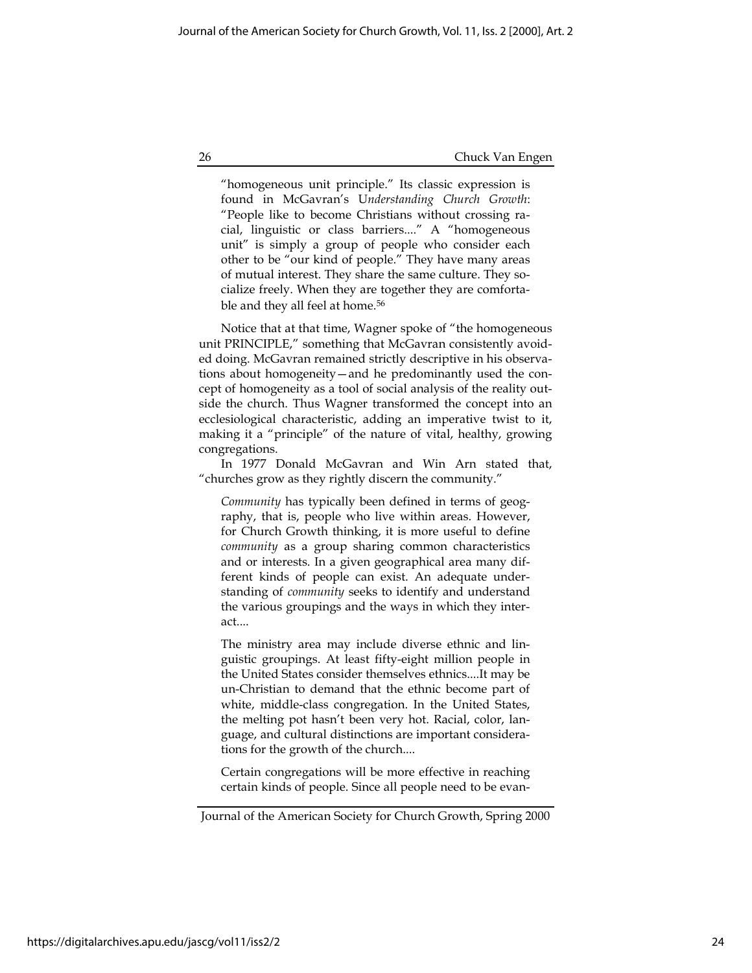"homogeneous unit principle." Its classic expression is found in McGavran's Understanding Church Growth: "People like to become Christians without crossing racial, linguistic or class barriers...." A "homogeneous unit" is simply a group of people who consider each other to be "our kind of people." They have many areas of mutual interest. They share the same culture. They socialize freely. When they are together they are comfortable and they all feel at home.<sup>56</sup>

Notice that at that time, Wagner spoke of "the homogeneous unit PRINCIPLE," something that McGavran consistently avoided doing. McGavran remained strictly descriptive in his observations about homogeneity—and he predominantly used the concept of homogeneity as a tool of social analysis of the reality outside the church. Thus Wagner transformed the concept into an ecclesiological characteristic, adding an imperative twist to it, making it a "principle" of the nature of vital, healthy, growing congregations.

In 1977 Donald McGavran and Win Arn stated that, "churches grow as they rightly discern the community."

Community has typically been defined in terms of geography, that is, people who live within areas. However, for Church Growth thinking, it is more useful to define community as a group sharing common characteristics and or interests. In a given geographical area many different kinds of people can exist. An adequate understanding of community seeks to identify and understand the various groupings and the ways in which they interact....

The ministry area may include diverse ethnic and linguistic groupings. At least fifty-eight million people in the United States consider themselves ethnics....It may be un-Christian to demand that the ethnic become part of white, middle-class congregation. In the United States, the melting pot hasn't been very hot. Racial, color, language, and cultural distinctions are important considerations for the growth of the church....

Certain congregations will be more effective in reaching certain kinds of people. Since all people need to be evan-

Journal of the American Society for Church Growth, Spring 2000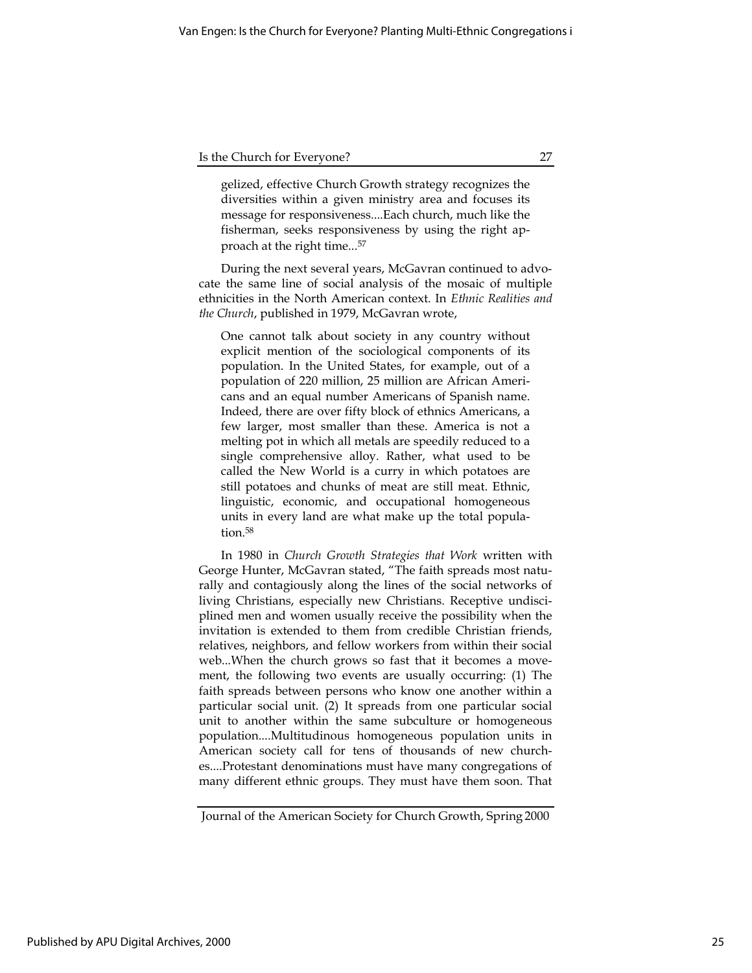gelized, effective Church Growth strategy recognizes the diversities within a given ministry area and focuses its message for responsiveness....Each church, much like the fisherman, seeks responsiveness by using the right approach at the right time...<sup>57</sup>

During the next several years, McGavran continued to advocate the same line of social analysis of the mosaic of multiple ethnicities in the North American context. In Ethnic Realities and the Church, published in 1979, McGavran wrote,

One cannot talk about society in any country without explicit mention of the sociological components of its population. In the United States, for example, out of a population of 220 million, 25 million are African Americans and an equal number Americans of Spanish name. Indeed, there are over fifty block of ethnics Americans, a few larger, most smaller than these. America is not a melting pot in which all metals are speedily reduced to a single comprehensive alloy. Rather, what used to be called the New World is a curry in which potatoes are still potatoes and chunks of meat are still meat. Ethnic, linguistic, economic, and occupational homogeneous units in every land are what make up the total population.<sup>58</sup>

In 1980 in Church Growth Strategies that Work written with George Hunter, McGavran stated, "The faith spreads most naturally and contagiously along the lines of the social networks of living Christians, especially new Christians. Receptive undisciplined men and women usually receive the possibility when the invitation is extended to them from credible Christian friends, relatives, neighbors, and fellow workers from within their social web...When the church grows so fast that it becomes a movement, the following two events are usually occurring: (1) The faith spreads between persons who know one another within a particular social unit. (2) It spreads from one particular social unit to another within the same subculture or homogeneous population....Multitudinous homogeneous population units in American society call for tens of thousands of new churches....Protestant denominations must have many congregations of many different ethnic groups. They must have them soon. That

Journal of the American Society for Church Growth, Spring 2000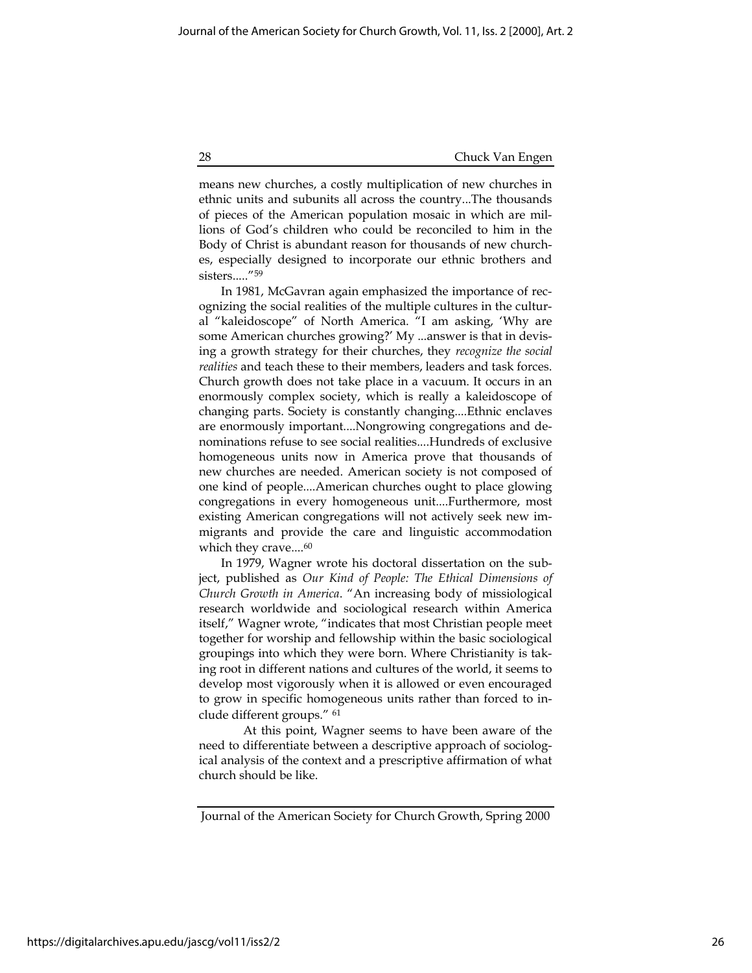means new churches, a costly multiplication of new churches in ethnic units and subunits all across the country...The thousands of pieces of the American population mosaic in which are millions of God's children who could be reconciled to him in the Body of Christ is abundant reason for thousands of new churches, especially designed to incorporate our ethnic brothers and sisters....."<sup>59</sup>

In 1981, McGavran again emphasized the importance of recognizing the social realities of the multiple cultures in the cultural "kaleidoscope" of North America. "I am asking, 'Why are some American churches growing?' My ...answer is that in devising a growth strategy for their churches, they recognize the social realities and teach these to their members, leaders and task forces. Church growth does not take place in a vacuum. It occurs in an enormously complex society, which is really a kaleidoscope of changing parts. Society is constantly changing....Ethnic enclaves are enormously important....Nongrowing congregations and denominations refuse to see social realities....Hundreds of exclusive homogeneous units now in America prove that thousands of new churches are needed. American society is not composed of one kind of people....American churches ought to place glowing congregations in every homogeneous unit....Furthermore, most existing American congregations will not actively seek new immigrants and provide the care and linguistic accommodation which they crave....<sup>60</sup>

In 1979, Wagner wrote his doctoral dissertation on the subject, published as Our Kind of People: The Ethical Dimensions of Church Growth in America. "An increasing body of missiological research worldwide and sociological research within America itself," Wagner wrote, "indicates that most Christian people meet together for worship and fellowship within the basic sociological groupings into which they were born. Where Christianity is taking root in different nations and cultures of the world, it seems to develop most vigorously when it is allowed or even encouraged to grow in specific homogeneous units rather than forced to include different groups." <sup>61</sup>

At this point, Wagner seems to have been aware of the need to differentiate between a descriptive approach of sociological analysis of the context and a prescriptive affirmation of what church should be like.

Journal of the American Society for Church Growth, Spring 2000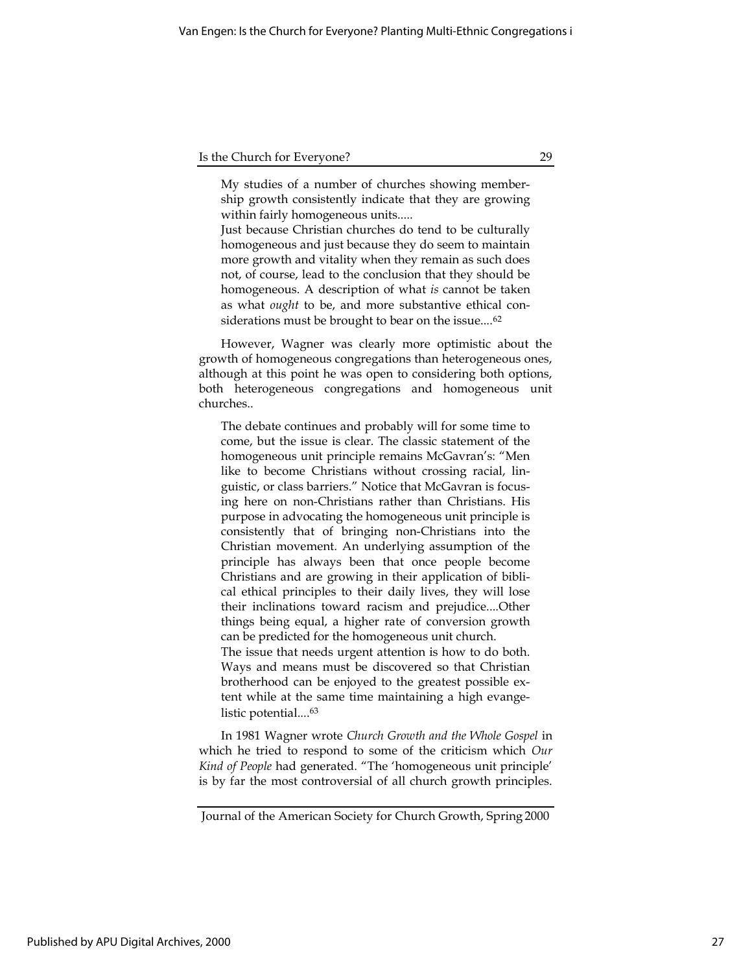My studies of a number of churches showing membership growth consistently indicate that they are growing within fairly homogeneous units.....

Just because Christian churches do tend to be culturally homogeneous and just because they do seem to maintain more growth and vitality when they remain as such does not, of course, lead to the conclusion that they should be homogeneous. A description of what is cannot be taken as what ought to be, and more substantive ethical considerations must be brought to bear on the issue....<sup>62</sup>

However, Wagner was clearly more optimistic about the growth of homogeneous congregations than heterogeneous ones, although at this point he was open to considering both options, both heterogeneous congregations and homogeneous unit churches..

The debate continues and probably will for some time to come, but the issue is clear. The classic statement of the homogeneous unit principle remains McGavran's: "Men like to become Christians without crossing racial, linguistic, or class barriers." Notice that McGavran is focusing here on non-Christians rather than Christians. His purpose in advocating the homogeneous unit principle is consistently that of bringing non-Christians into the Christian movement. An underlying assumption of the principle has always been that once people become Christians and are growing in their application of biblical ethical principles to their daily lives, they will lose their inclinations toward racism and prejudice....Other things being equal, a higher rate of conversion growth can be predicted for the homogeneous unit church. The issue that needs urgent attention is how to do both. Ways and means must be discovered so that Christian brotherhood can be enjoyed to the greatest possible extent while at the same time maintaining a high evangelistic potential....<sup>63</sup>

In 1981 Wagner wrote Church Growth and the Whole Gospel in which he tried to respond to some of the criticism which Our Kind of People had generated. "The 'homogeneous unit principle' is by far the most controversial of all church growth principles.

Journal of the American Society for Church Growth, Spring 2000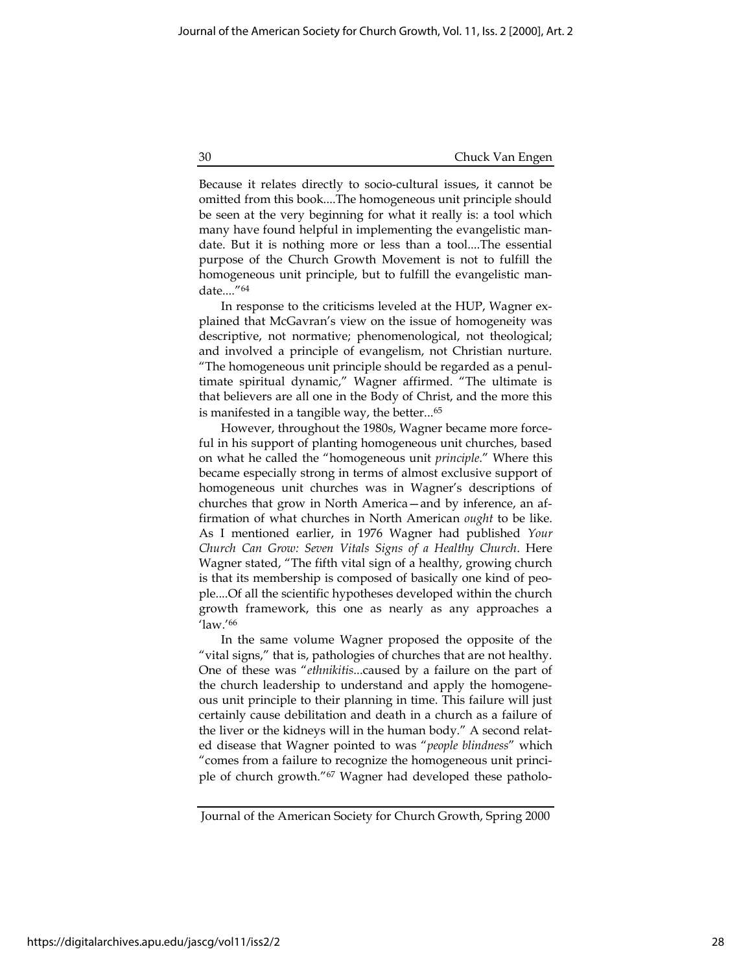Because it relates directly to socio-cultural issues, it cannot be omitted from this book....The homogeneous unit principle should be seen at the very beginning for what it really is: a tool which many have found helpful in implementing the evangelistic mandate. But it is nothing more or less than a tool....The essential purpose of the Church Growth Movement is not to fulfill the homogeneous unit principle, but to fulfill the evangelistic mandate...."<sup>64</sup>

In response to the criticisms leveled at the HUP, Wagner explained that McGavran's view on the issue of homogeneity was descriptive, not normative; phenomenological, not theological; and involved a principle of evangelism, not Christian nurture. "The homogeneous unit principle should be regarded as a penultimate spiritual dynamic," Wagner affirmed. "The ultimate is that believers are all one in the Body of Christ, and the more this is manifested in a tangible way, the better...<sup>65</sup>

However, throughout the 1980s, Wagner became more forceful in his support of planting homogeneous unit churches, based on what he called the "homogeneous unit principle." Where this became especially strong in terms of almost exclusive support of homogeneous unit churches was in Wagner's descriptions of churches that grow in North America—and by inference, an affirmation of what churches in North American ought to be like. As I mentioned earlier, in 1976 Wagner had published Your Church Can Grow: Seven Vitals Signs of a Healthy Church. Here Wagner stated, "The fifth vital sign of a healthy, growing church is that its membership is composed of basically one kind of people....Of all the scientific hypotheses developed within the church growth framework, this one as nearly as any approaches a 'law.'<sup>66</sup>

In the same volume Wagner proposed the opposite of the "vital signs," that is, pathologies of churches that are not healthy. One of these was "ethnikitis...caused by a failure on the part of the church leadership to understand and apply the homogeneous unit principle to their planning in time. This failure will just certainly cause debilitation and death in a church as a failure of the liver or the kidneys will in the human body." A second related disease that Wagner pointed to was "people blindness" which "comes from a failure to recognize the homogeneous unit principle of church growth."67 Wagner had developed these patholo-

Journal of the American Society for Church Growth, Spring 2000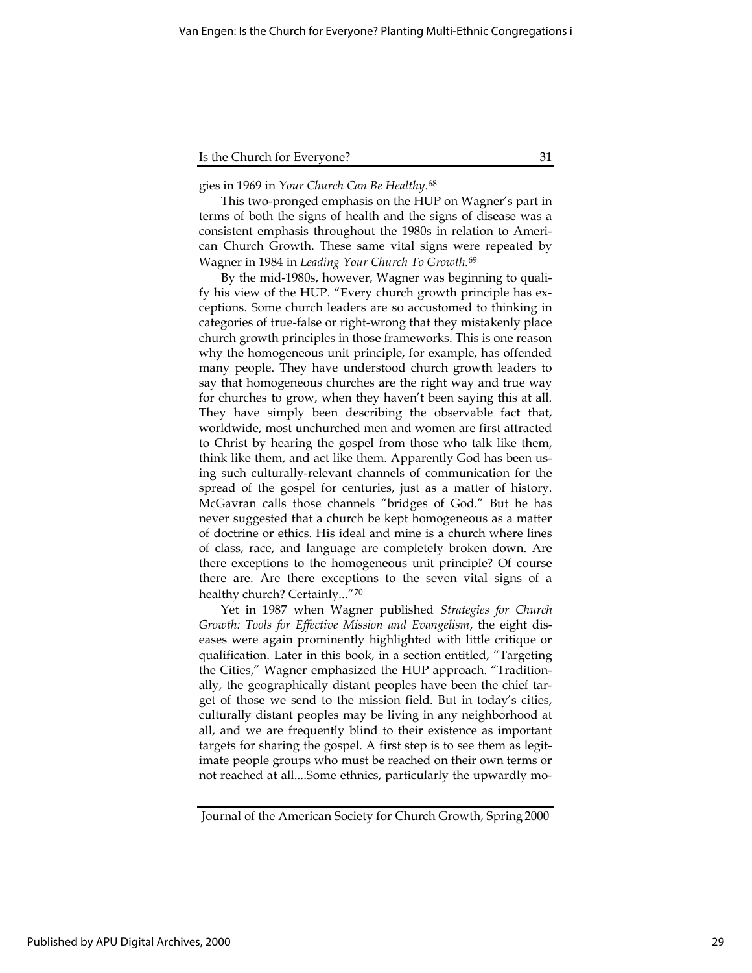gies in 1969 in Your Church Can Be Healthy.<sup>68</sup>

This two-pronged emphasis on the HUP on Wagner's part in terms of both the signs of health and the signs of disease was a consistent emphasis throughout the 1980s in relation to American Church Growth. These same vital signs were repeated by Wagner in 1984 in Leading Your Church To Growth.<sup>69</sup>

By the mid-1980s, however, Wagner was beginning to qualify his view of the HUP. "Every church growth principle has exceptions. Some church leaders are so accustomed to thinking in categories of true-false or right-wrong that they mistakenly place church growth principles in those frameworks. This is one reason why the homogeneous unit principle, for example, has offended many people. They have understood church growth leaders to say that homogeneous churches are the right way and true way for churches to grow, when they haven't been saying this at all. They have simply been describing the observable fact that, worldwide, most unchurched men and women are first attracted to Christ by hearing the gospel from those who talk like them, think like them, and act like them. Apparently God has been using such culturally-relevant channels of communication for the spread of the gospel for centuries, just as a matter of history. McGavran calls those channels "bridges of God." But he has never suggested that a church be kept homogeneous as a matter of doctrine or ethics. His ideal and mine is a church where lines of class, race, and language are completely broken down. Are there exceptions to the homogeneous unit principle? Of course there are. Are there exceptions to the seven vital signs of a healthy church? Certainly..."<sup>70</sup>

Yet in 1987 when Wagner published Strategies for Church Growth: Tools for Effective Mission and Evangelism, the eight diseases were again prominently highlighted with little critique or qualification. Later in this book, in a section entitled, "Targeting the Cities," Wagner emphasized the HUP approach. "Traditionally, the geographically distant peoples have been the chief target of those we send to the mission field. But in today's cities, culturally distant peoples may be living in any neighborhood at all, and we are frequently blind to their existence as important targets for sharing the gospel. A first step is to see them as legitimate people groups who must be reached on their own terms or not reached at all....Some ethnics, particularly the upwardly mo-

Journal of the American Society for Church Growth, Spring 2000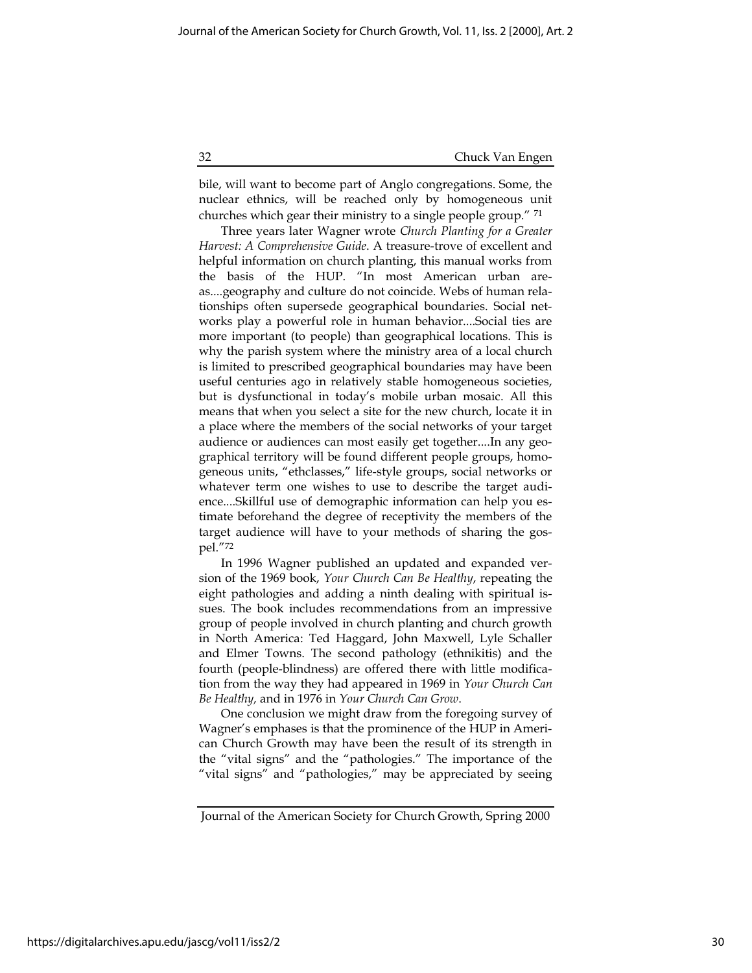bile, will want to become part of Anglo congregations. Some, the nuclear ethnics, will be reached only by homogeneous unit churches which gear their ministry to a single people group." <sup>71</sup>

Three years later Wagner wrote Church Planting for a Greater Harvest: A Comprehensive Guide. A treasure-trove of excellent and helpful information on church planting, this manual works from the basis of the HUP. "In most American urban areas....geography and culture do not coincide. Webs of human relationships often supersede geographical boundaries. Social networks play a powerful role in human behavior....Social ties are more important (to people) than geographical locations. This is why the parish system where the ministry area of a local church is limited to prescribed geographical boundaries may have been useful centuries ago in relatively stable homogeneous societies, but is dysfunctional in today's mobile urban mosaic. All this means that when you select a site for the new church, locate it in a place where the members of the social networks of your target audience or audiences can most easily get together....In any geographical territory will be found different people groups, homogeneous units, "ethclasses," life-style groups, social networks or whatever term one wishes to use to describe the target audience....Skillful use of demographic information can help you estimate beforehand the degree of receptivity the members of the target audience will have to your methods of sharing the gospel."<sup>72</sup>

In 1996 Wagner published an updated and expanded version of the 1969 book, Your Church Can Be Healthy, repeating the eight pathologies and adding a ninth dealing with spiritual issues. The book includes recommendations from an impressive group of people involved in church planting and church growth in North America: Ted Haggard, John Maxwell, Lyle Schaller and Elmer Towns. The second pathology (ethnikitis) and the fourth (people-blindness) are offered there with little modification from the way they had appeared in 1969 in Your Church Can Be Healthy, and in 1976 in Your Church Can Grow.

One conclusion we might draw from the foregoing survey of Wagner's emphases is that the prominence of the HUP in American Church Growth may have been the result of its strength in the "vital signs" and the "pathologies." The importance of the "vital signs" and "pathologies," may be appreciated by seeing

Journal of the American Society for Church Growth, Spring 2000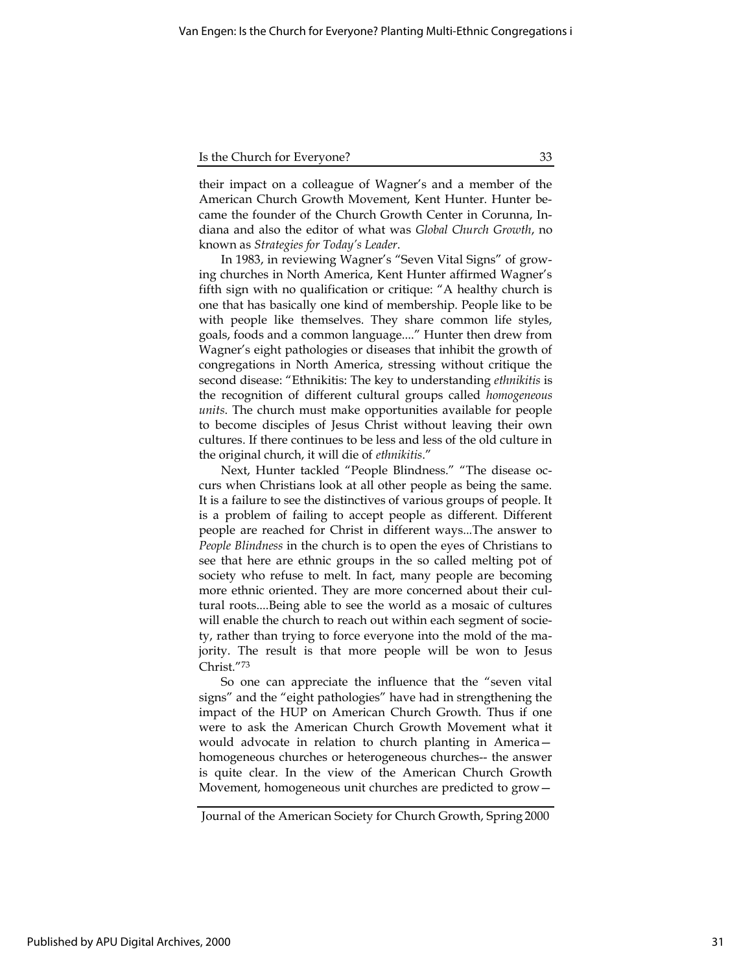| Is the Church for Everyone? |  |
|-----------------------------|--|
|                             |  |

their impact on a colleague of Wagner's and a member of the American Church Growth Movement, Kent Hunter. Hunter became the founder of the Church Growth Center in Corunna, Indiana and also the editor of what was Global Church Growth, no known as Strategies for Today's Leader.

In 1983, in reviewing Wagner's "Seven Vital Signs" of growing churches in North America, Kent Hunter affirmed Wagner's fifth sign with no qualification or critique: "A healthy church is one that has basically one kind of membership. People like to be with people like themselves. They share common life styles, goals, foods and a common language...." Hunter then drew from Wagner's eight pathologies or diseases that inhibit the growth of congregations in North America, stressing without critique the second disease: "Ethnikitis: The key to understanding *ethnikitis* is the recognition of different cultural groups called homogeneous units. The church must make opportunities available for people to become disciples of Jesus Christ without leaving their own cultures. If there continues to be less and less of the old culture in the original church, it will die of ethnikitis."

Next, Hunter tackled "People Blindness." "The disease occurs when Christians look at all other people as being the same. It is a failure to see the distinctives of various groups of people. It is a problem of failing to accept people as different. Different people are reached for Christ in different ways...The answer to People Blindness in the church is to open the eyes of Christians to see that here are ethnic groups in the so called melting pot of society who refuse to melt. In fact, many people are becoming more ethnic oriented. They are more concerned about their cultural roots....Being able to see the world as a mosaic of cultures will enable the church to reach out within each segment of society, rather than trying to force everyone into the mold of the majority. The result is that more people will be won to Jesus Christ."<sup>73</sup>

So one can appreciate the influence that the "seven vital signs" and the "eight pathologies" have had in strengthening the impact of the HUP on American Church Growth. Thus if one were to ask the American Church Growth Movement what it would advocate in relation to church planting in America homogeneous churches or heterogeneous churches-- the answer is quite clear. In the view of the American Church Growth Movement, homogeneous unit churches are predicted to grow—

Journal of the American Society for Church Growth, Spring 2000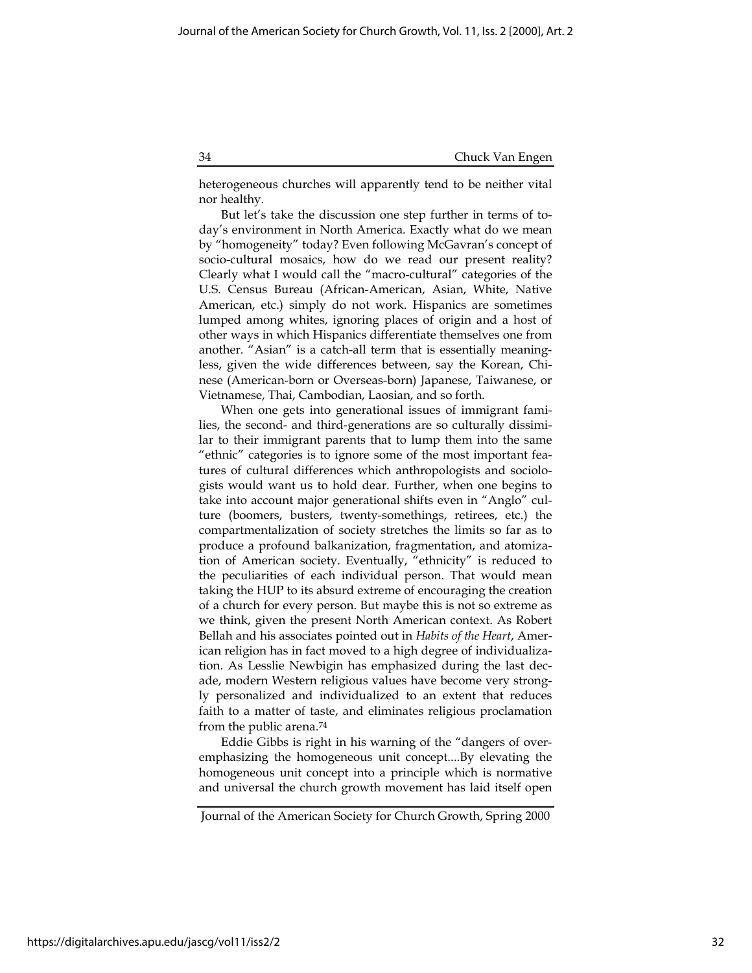heterogeneous churches will apparently tend to be neither vital nor healthy.

But let's take the discussion one step further in terms of today's environment in North America. Exactly what do we mean by "homogeneity" today? Even following McGavran's concept of socio-cultural mosaics, how do we read our present reality? Clearly what I would call the "macro-cultural" categories of the U.S. Census Bureau (African-American, Asian, White, Native American, etc.) simply do not work. Hispanics are sometimes lumped among whites, ignoring places of origin and a host of other ways in which Hispanics differentiate themselves one from another. "Asian" is a catch-all term that is essentially meaningless, given the wide differences between, say the Korean, Chinese (American-born or Overseas-born) Japanese, Taiwanese, or Vietnamese, Thai, Cambodian, Laosian, and so forth.

When one gets into generational issues of immigrant families, the second- and third-generations are so culturally dissimilar to their immigrant parents that to lump them into the same "ethnic" categories is to ignore some of the most important features of cultural differences which anthropologists and sociologists would want us to hold dear. Further, when one begins to take into account major generational shifts even in "Anglo" culture (boomers, busters, twenty-somethings, retirees, etc.) the compartmentalization of society stretches the limits so far as to produce a profound balkanization, fragmentation, and atomization of American society. Eventually, "ethnicity" is reduced to the peculiarities of each individual person. That would mean taking the HUP to its absurd extreme of encouraging the creation of a church for every person. But maybe this is not so extreme as we think, given the present North American context. As Robert Bellah and his associates pointed out in Habits of the Heart, American religion has in fact moved to a high degree of individualization. As Lesslie Newbigin has emphasized during the last decade, modern Western religious values have become very strongly personalized and individualized to an extent that reduces faith to a matter of taste, and eliminates religious proclamation from the public arena.<sup>74</sup>

Eddie Gibbs is right in his warning of the "dangers of overemphasizing the homogeneous unit concept....By elevating the homogeneous unit concept into a principle which is normative and universal the church growth movement has laid itself open

Journal of the American Society for Church Growth, Spring 2000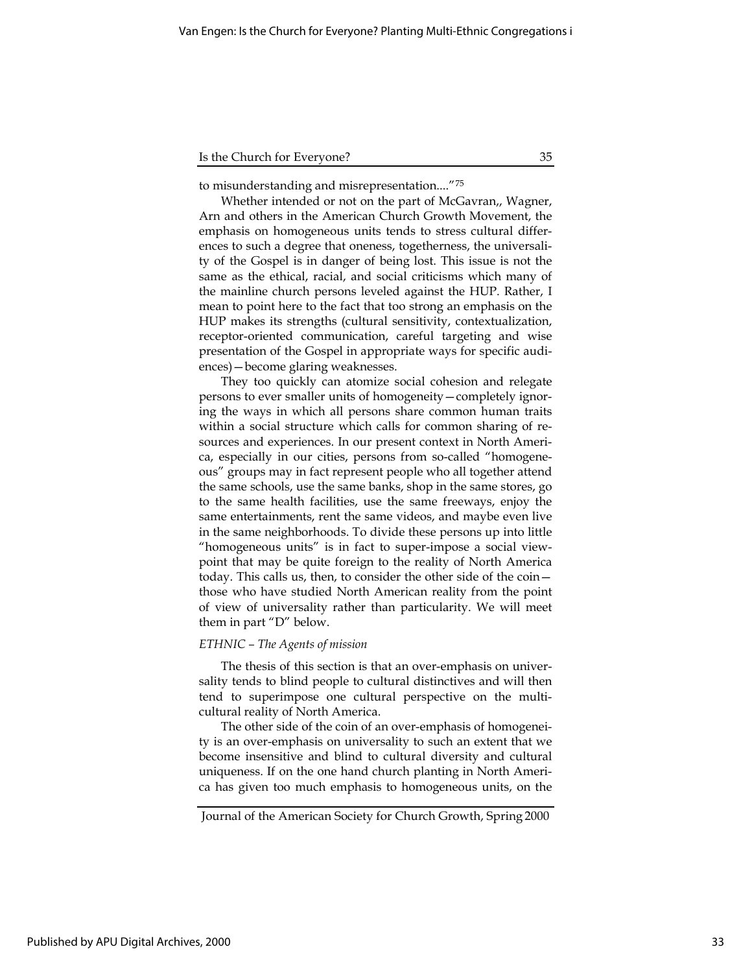to misunderstanding and misrepresentation...."<sup>75</sup>

Whether intended or not on the part of McGavran,, Wagner, Arn and others in the American Church Growth Movement, the emphasis on homogeneous units tends to stress cultural differences to such a degree that oneness, togetherness, the universality of the Gospel is in danger of being lost. This issue is not the same as the ethical, racial, and social criticisms which many of the mainline church persons leveled against the HUP. Rather, I mean to point here to the fact that too strong an emphasis on the HUP makes its strengths (cultural sensitivity, contextualization, receptor-oriented communication, careful targeting and wise presentation of the Gospel in appropriate ways for specific audiences)—become glaring weaknesses.

They too quickly can atomize social cohesion and relegate persons to ever smaller units of homogeneity—completely ignoring the ways in which all persons share common human traits within a social structure which calls for common sharing of resources and experiences. In our present context in North America, especially in our cities, persons from so-called "homogeneous" groups may in fact represent people who all together attend the same schools, use the same banks, shop in the same stores, go to the same health facilities, use the same freeways, enjoy the same entertainments, rent the same videos, and maybe even live in the same neighborhoods. To divide these persons up into little "homogeneous units" is in fact to super-impose a social viewpoint that may be quite foreign to the reality of North America today. This calls us, then, to consider the other side of the coin those who have studied North American reality from the point of view of universality rather than particularity. We will meet them in part "D" below.

#### ETHNIC – The Agents of mission

The thesis of this section is that an over-emphasis on universality tends to blind people to cultural distinctives and will then tend to superimpose one cultural perspective on the multicultural reality of North America.

The other side of the coin of an over-emphasis of homogeneity is an over-emphasis on universality to such an extent that we become insensitive and blind to cultural diversity and cultural uniqueness. If on the one hand church planting in North America has given too much emphasis to homogeneous units, on the

Journal of the American Society for Church Growth, Spring 2000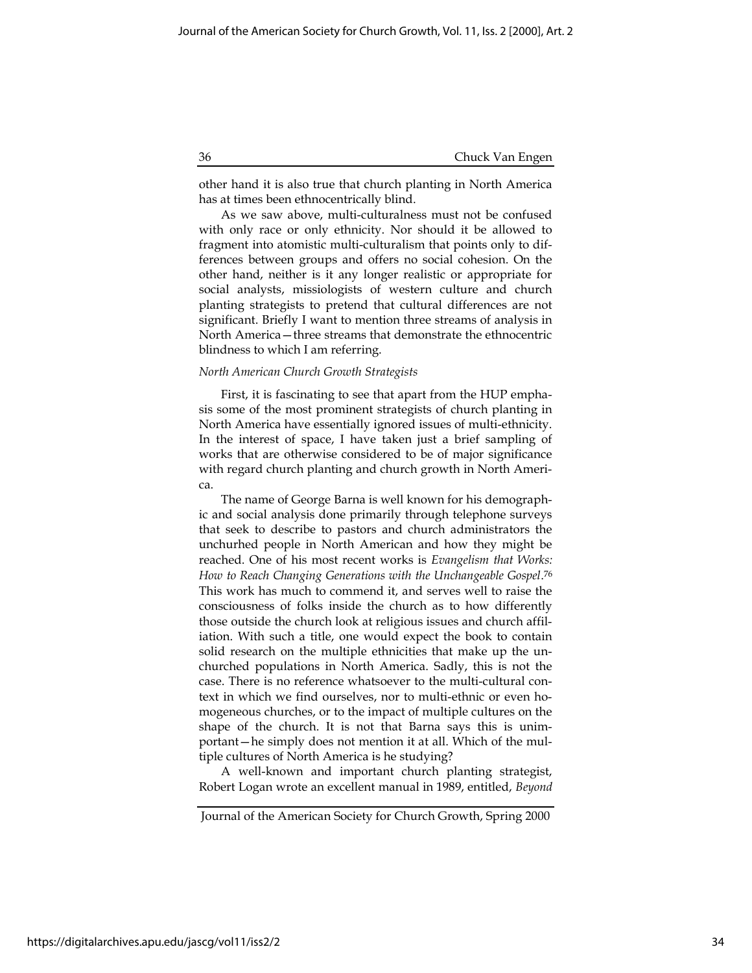other hand it is also true that church planting in North America has at times been ethnocentrically blind.

As we saw above, multi-culturalness must not be confused with only race or only ethnicity. Nor should it be allowed to fragment into atomistic multi-culturalism that points only to differences between groups and offers no social cohesion. On the other hand, neither is it any longer realistic or appropriate for social analysts, missiologists of western culture and church planting strategists to pretend that cultural differences are not significant. Briefly I want to mention three streams of analysis in North America—three streams that demonstrate the ethnocentric blindness to which I am referring.

#### North American Church Growth Strategists

First, it is fascinating to see that apart from the HUP emphasis some of the most prominent strategists of church planting in North America have essentially ignored issues of multi-ethnicity. In the interest of space, I have taken just a brief sampling of works that are otherwise considered to be of major significance with regard church planting and church growth in North America.

The name of George Barna is well known for his demographic and social analysis done primarily through telephone surveys that seek to describe to pastors and church administrators the unchurhed people in North American and how they might be reached. One of his most recent works is Evangelism that Works: How to Reach Changing Generations with the Unchangeable Gospel. 76 This work has much to commend it, and serves well to raise the consciousness of folks inside the church as to how differently those outside the church look at religious issues and church affiliation. With such a title, one would expect the book to contain solid research on the multiple ethnicities that make up the unchurched populations in North America. Sadly, this is not the case. There is no reference whatsoever to the multi-cultural context in which we find ourselves, nor to multi-ethnic or even homogeneous churches, or to the impact of multiple cultures on the shape of the church. It is not that Barna says this is unimportant—he simply does not mention it at all. Which of the multiple cultures of North America is he studying?

A well-known and important church planting strategist, Robert Logan wrote an excellent manual in 1989, entitled, Beyond

Journal of the American Society for Church Growth, Spring 2000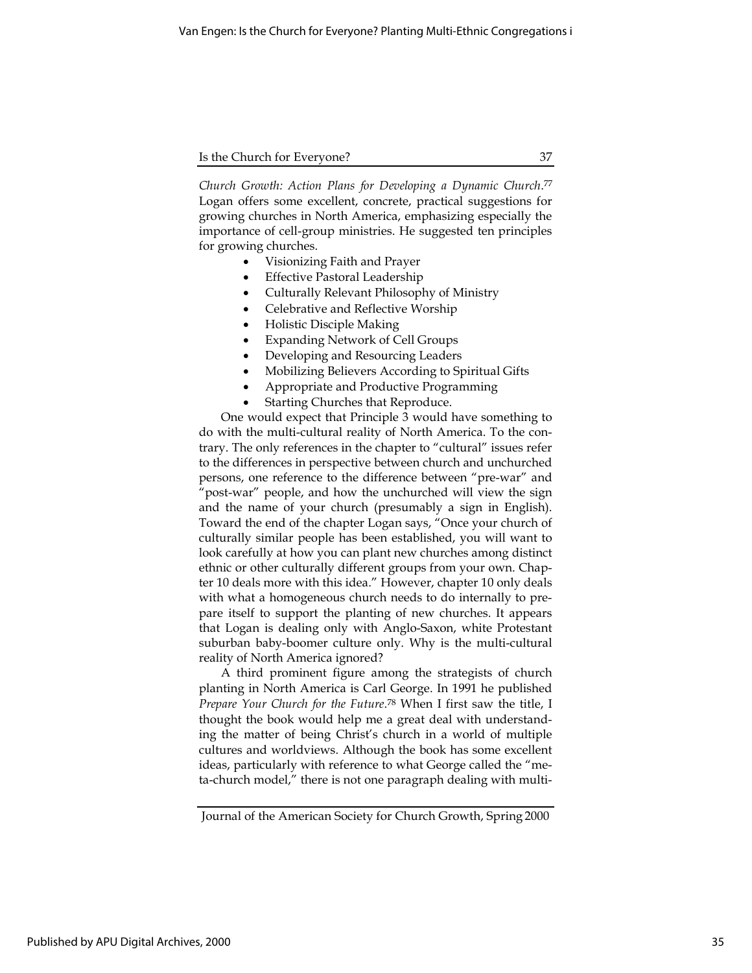Church Growth: Action Plans for Developing a Dynamic Church. 77 Logan offers some excellent, concrete, practical suggestions for growing churches in North America, emphasizing especially the importance of cell-group ministries. He suggested ten principles for growing churches.

- Visionizing Faith and Prayer
- Effective Pastoral Leadership
- Culturally Relevant Philosophy of Ministry
- Celebrative and Reflective Worship
- Holistic Disciple Making
- Expanding Network of Cell Groups
- Developing and Resourcing Leaders
- Mobilizing Believers According to Spiritual Gifts
- Appropriate and Productive Programming
- Starting Churches that Reproduce.

One would expect that Principle 3 would have something to do with the multi-cultural reality of North America. To the contrary. The only references in the chapter to "cultural" issues refer to the differences in perspective between church and unchurched persons, one reference to the difference between "pre-war" and 'post-war" people, and how the unchurched will view the sign and the name of your church (presumably a sign in English). Toward the end of the chapter Logan says, "Once your church of culturally similar people has been established, you will want to look carefully at how you can plant new churches among distinct ethnic or other culturally different groups from your own. Chapter 10 deals more with this idea." However, chapter 10 only deals with what a homogeneous church needs to do internally to prepare itself to support the planting of new churches. It appears that Logan is dealing only with Anglo-Saxon, white Protestant suburban baby-boomer culture only. Why is the multi-cultural reality of North America ignored?

A third prominent figure among the strategists of church planting in North America is Carl George. In 1991 he published Prepare Your Church for the Future.<sup>78</sup> When I first saw the title, I thought the book would help me a great deal with understanding the matter of being Christ's church in a world of multiple cultures and worldviews. Although the book has some excellent ideas, particularly with reference to what George called the "meta-church model," there is not one paragraph dealing with multi-

Journal of the American Society for Church Growth, Spring 2000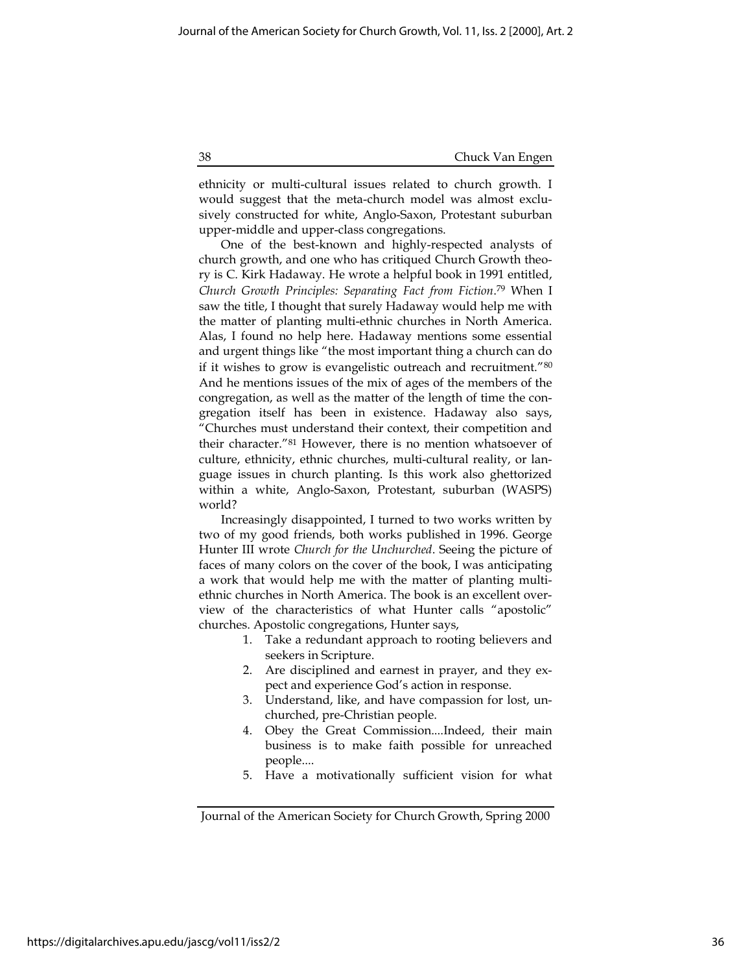ethnicity or multi-cultural issues related to church growth. I would suggest that the meta-church model was almost exclusively constructed for white, Anglo-Saxon, Protestant suburban upper-middle and upper-class congregations.

One of the best-known and highly-respected analysts of church growth, and one who has critiqued Church Growth theory is C. Kirk Hadaway. He wrote a helpful book in 1991 entitled, Church Growth Principles: Separating Fact from Fiction. <sup>79</sup> When I saw the title, I thought that surely Hadaway would help me with the matter of planting multi-ethnic churches in North America. Alas, I found no help here. Hadaway mentions some essential and urgent things like "the most important thing a church can do if it wishes to grow is evangelistic outreach and recruitment."<sup>80</sup> And he mentions issues of the mix of ages of the members of the congregation, as well as the matter of the length of time the congregation itself has been in existence. Hadaway also says, "Churches must understand their context, their competition and their character."<sup>81</sup> However, there is no mention whatsoever of culture, ethnicity, ethnic churches, multi-cultural reality, or language issues in church planting. Is this work also ghettorized within a white, Anglo-Saxon, Protestant, suburban (WASPS) world?

Increasingly disappointed, I turned to two works written by two of my good friends, both works published in 1996. George Hunter III wrote Church for the Unchurched. Seeing the picture of faces of many colors on the cover of the book, I was anticipating a work that would help me with the matter of planting multiethnic churches in North America. The book is an excellent overview of the characteristics of what Hunter calls "apostolic" churches. Apostolic congregations, Hunter says,

- 1. Take a redundant approach to rooting believers and seekers in Scripture.
- 2. Are disciplined and earnest in prayer, and they expect and experience God's action in response.
- 3. Understand, like, and have compassion for lost, unchurched, pre-Christian people.
- 4. Obey the Great Commission....Indeed, their main business is to make faith possible for unreached people....
- 5. Have a motivationally sufficient vision for what

Journal of the American Society for Church Growth, Spring 2000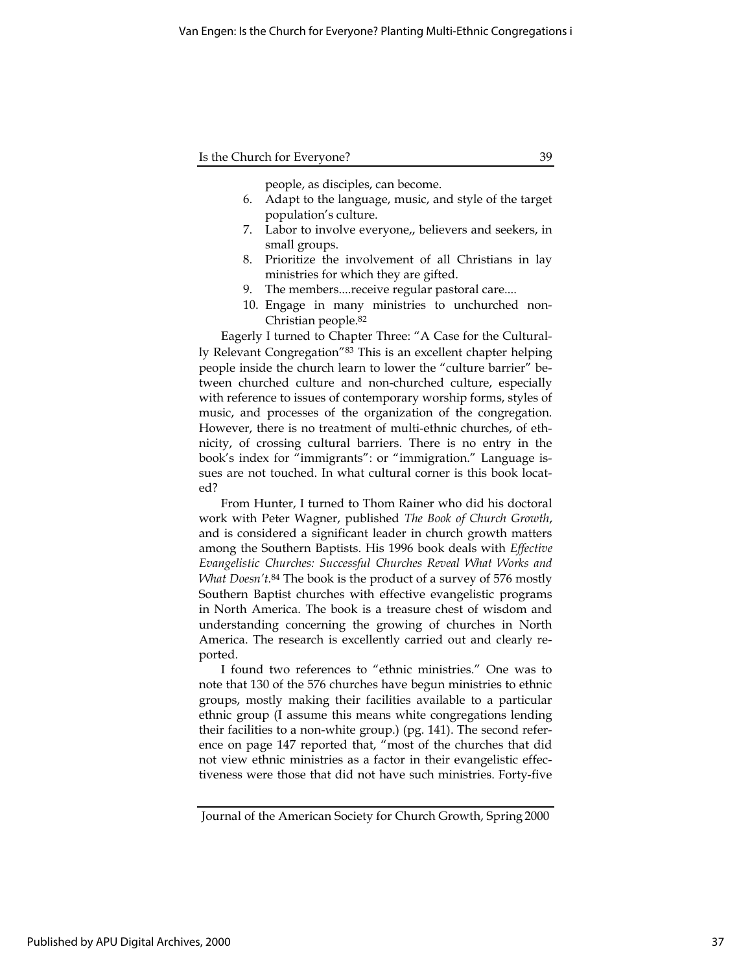people, as disciples, can become.

- 6. Adapt to the language, music, and style of the target population's culture.
- 7. Labor to involve everyone,, believers and seekers, in small groups.
- 8. Prioritize the involvement of all Christians in lay ministries for which they are gifted.
- 9. The members....receive regular pastoral care....
- 10. Engage in many ministries to unchurched non-Christian people.<sup>82</sup>

Eagerly I turned to Chapter Three: "A Case for the Culturally Relevant Congregation"<sup>83</sup> This is an excellent chapter helping people inside the church learn to lower the "culture barrier" between churched culture and non-churched culture, especially with reference to issues of contemporary worship forms, styles of music, and processes of the organization of the congregation. However, there is no treatment of multi-ethnic churches, of ethnicity, of crossing cultural barriers. There is no entry in the book's index for "immigrants": or "immigration." Language issues are not touched. In what cultural corner is this book located?

From Hunter, I turned to Thom Rainer who did his doctoral work with Peter Wagner, published The Book of Church Growth, and is considered a significant leader in church growth matters among the Southern Baptists. His 1996 book deals with Effective Evangelistic Churches: Successful Churches Reveal What Works and What Doesn't.<sup>84</sup> The book is the product of a survey of 576 mostly Southern Baptist churches with effective evangelistic programs in North America. The book is a treasure chest of wisdom and understanding concerning the growing of churches in North America. The research is excellently carried out and clearly reported.

I found two references to "ethnic ministries." One was to note that 130 of the 576 churches have begun ministries to ethnic groups, mostly making their facilities available to a particular ethnic group (I assume this means white congregations lending their facilities to a non-white group.) (pg. 141). The second reference on page 147 reported that, "most of the churches that did not view ethnic ministries as a factor in their evangelistic effectiveness were those that did not have such ministries. Forty-five

Journal of the American Society for Church Growth, Spring 2000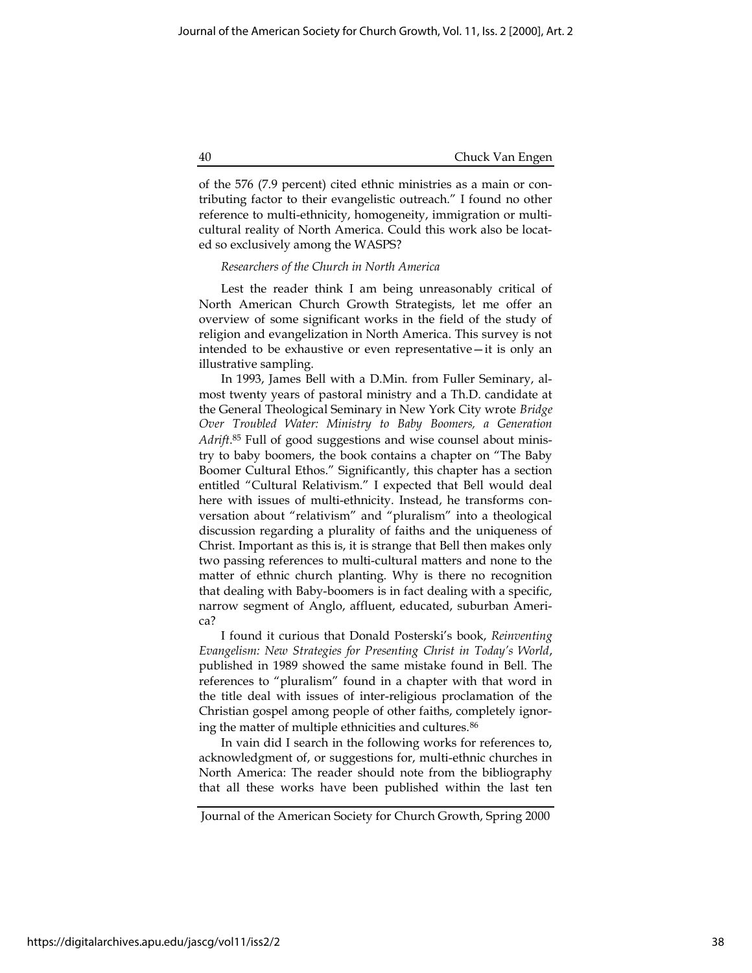of the 576 (7.9 percent) cited ethnic ministries as a main or contributing factor to their evangelistic outreach." I found no other reference to multi-ethnicity, homogeneity, immigration or multicultural reality of North America. Could this work also be located so exclusively among the WASPS?

# Researchers of the Church in North America

Lest the reader think I am being unreasonably critical of North American Church Growth Strategists, let me offer an overview of some significant works in the field of the study of religion and evangelization in North America. This survey is not intended to be exhaustive or even representative—it is only an illustrative sampling.

In 1993, James Bell with a D.Min. from Fuller Seminary, almost twenty years of pastoral ministry and a Th.D. candidate at the General Theological Seminary in New York City wrote Bridge Over Troubled Water: Ministry to Baby Boomers, a Generation Adrift.<sup>85</sup> Full of good suggestions and wise counsel about ministry to baby boomers, the book contains a chapter on "The Baby Boomer Cultural Ethos." Significantly, this chapter has a section entitled "Cultural Relativism." I expected that Bell would deal here with issues of multi-ethnicity. Instead, he transforms conversation about "relativism" and "pluralism" into a theological discussion regarding a plurality of faiths and the uniqueness of Christ. Important as this is, it is strange that Bell then makes only two passing references to multi-cultural matters and none to the matter of ethnic church planting. Why is there no recognition that dealing with Baby-boomers is in fact dealing with a specific, narrow segment of Anglo, affluent, educated, suburban America?

I found it curious that Donald Posterski's book, Reinventing Evangelism: New Strategies for Presenting Christ in Today's World, published in 1989 showed the same mistake found in Bell. The references to "pluralism" found in a chapter with that word in the title deal with issues of inter-religious proclamation of the Christian gospel among people of other faiths, completely ignoring the matter of multiple ethnicities and cultures.<sup>86</sup>

In vain did I search in the following works for references to, acknowledgment of, or suggestions for, multi-ethnic churches in North America: The reader should note from the bibliography that all these works have been published within the last ten

Journal of the American Society for Church Growth, Spring 2000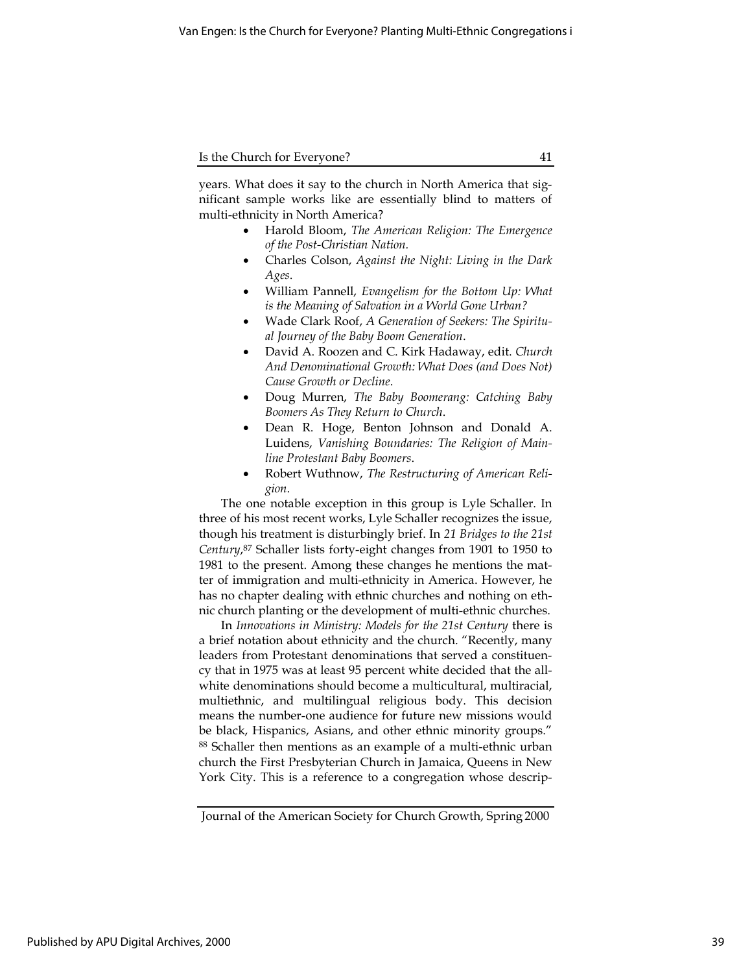years. What does it say to the church in North America that significant sample works like are essentially blind to matters of multi-ethnicity in North America?

- Harold Bloom, The American Religion: The Emergence of the Post-Christian Nation.
- Charles Colson, Against the Night: Living in the Dark Ages.
- William Pannell, Evangelism for the Bottom Up: What is the Meaning of Salvation in a World Gone Urban?
- Wade Clark Roof, A Generation of Seekers: The Spiritual Journey of the Baby Boom Generation.
- David A. Roozen and C. Kirk Hadaway, edit. Church And Denominational Growth: What Does (and Does Not) Cause Growth or Decline.
- Doug Murren, The Baby Boomerang: Catching Baby Boomers As They Return to Church.
- Dean R. Hoge, Benton Johnson and Donald A. Luidens, Vanishing Boundaries: The Religion of Mainline Protestant Baby Boomers.
- Robert Wuthnow, The Restructuring of American Religion.

The one notable exception in this group is Lyle Schaller. In three of his most recent works, Lyle Schaller recognizes the issue, though his treatment is disturbingly brief. In 21 Bridges to the 21st Century, <sup>87</sup> Schaller lists forty-eight changes from 1901 to 1950 to 1981 to the present. Among these changes he mentions the matter of immigration and multi-ethnicity in America. However, he has no chapter dealing with ethnic churches and nothing on ethnic church planting or the development of multi-ethnic churches.

In Innovations in Ministry: Models for the 21st Century there is a brief notation about ethnicity and the church. "Recently, many leaders from Protestant denominations that served a constituency that in 1975 was at least 95 percent white decided that the allwhite denominations should become a multicultural, multiracial, multiethnic, and multilingual religious body. This decision means the number-one audience for future new missions would be black, Hispanics, Asians, and other ethnic minority groups." <sup>88</sup> Schaller then mentions as an example of a multi-ethnic urban church the First Presbyterian Church in Jamaica, Queens in New York City. This is a reference to a congregation whose descrip-

Journal of the American Society for Church Growth, Spring 2000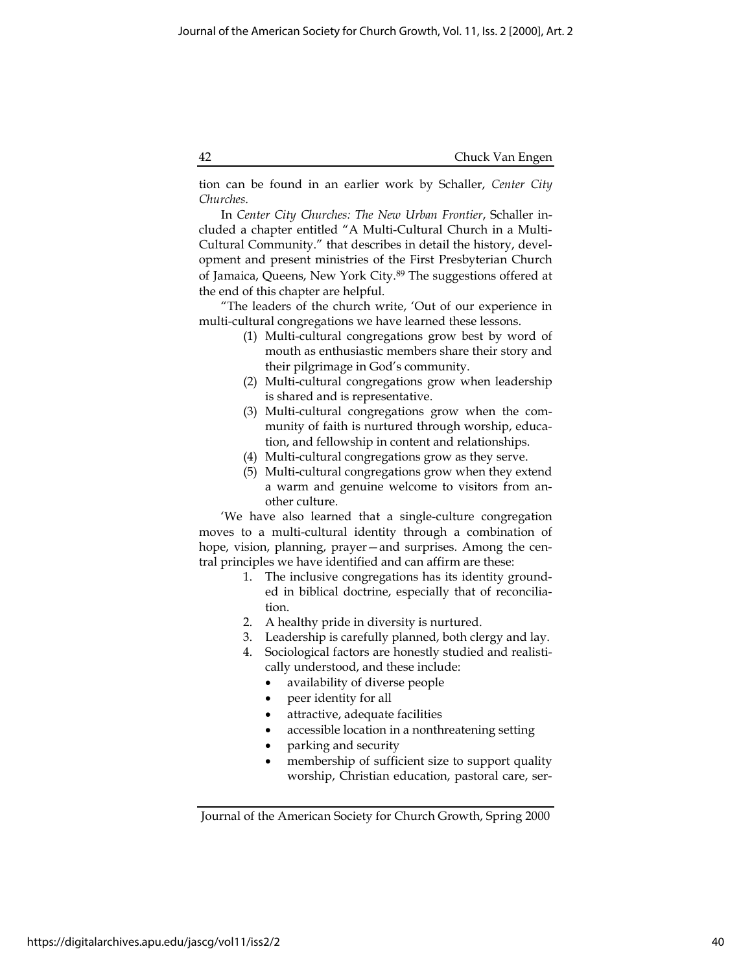tion can be found in an earlier work by Schaller, Center City Churches.

In Center City Churches: The New Urban Frontier, Schaller included a chapter entitled "A Multi-Cultural Church in a Multi-Cultural Community." that describes in detail the history, development and present ministries of the First Presbyterian Church of Jamaica, Queens, New York City.<sup>89</sup> The suggestions offered at the end of this chapter are helpful.

"The leaders of the church write, 'Out of our experience in multi-cultural congregations we have learned these lessons.

- (1) Multi-cultural congregations grow best by word of mouth as enthusiastic members share their story and their pilgrimage in God's community.
- (2) Multi-cultural congregations grow when leadership is shared and is representative.
- (3) Multi-cultural congregations grow when the community of faith is nurtured through worship, education, and fellowship in content and relationships.
- (4) Multi-cultural congregations grow as they serve.
- (5) Multi-cultural congregations grow when they extend a warm and genuine welcome to visitors from another culture.

'We have also learned that a single-culture congregation moves to a multi-cultural identity through a combination of hope, vision, planning, prayer—and surprises. Among the central principles we have identified and can affirm are these:

- 1. The inclusive congregations has its identity grounded in biblical doctrine, especially that of reconciliation.
- 2. A healthy pride in diversity is nurtured.
- 3. Leadership is carefully planned, both clergy and lay.
- 4. Sociological factors are honestly studied and realistically understood, and these include:
	- availability of diverse people
	- peer identity for all
	- attractive, adequate facilities
	- accessible location in a nonthreatening setting
	- parking and security
	- membership of sufficient size to support quality worship, Christian education, pastoral care, ser-

Journal of the American Society for Church Growth, Spring 2000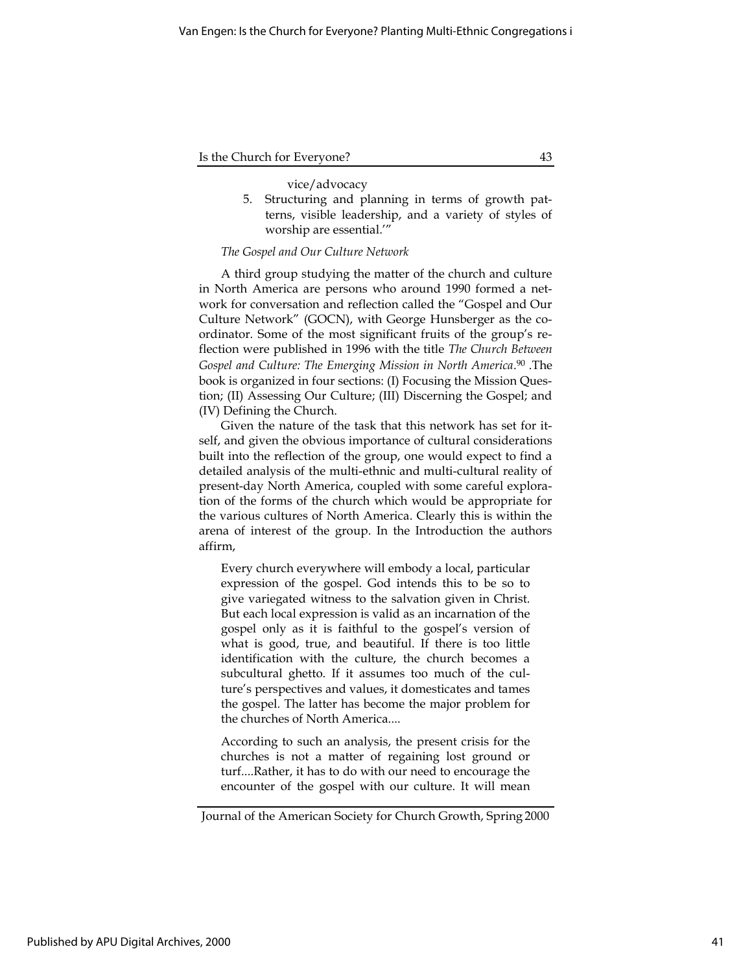#### vice/advocacy

5. Structuring and planning in terms of growth patterns, visible leadership, and a variety of styles of worship are essential.'"

# The Gospel and Our Culture Network

A third group studying the matter of the church and culture in North America are persons who around 1990 formed a network for conversation and reflection called the "Gospel and Our Culture Network" (GOCN), with George Hunsberger as the coordinator. Some of the most significant fruits of the group's reflection were published in 1996 with the title The Church Between Gospel and Culture: The Emerging Mission in North America. <sup>90</sup> .The book is organized in four sections: (I) Focusing the Mission Question; (II) Assessing Our Culture; (III) Discerning the Gospel; and (IV) Defining the Church.

Given the nature of the task that this network has set for itself, and given the obvious importance of cultural considerations built into the reflection of the group, one would expect to find a detailed analysis of the multi-ethnic and multi-cultural reality of present-day North America, coupled with some careful exploration of the forms of the church which would be appropriate for the various cultures of North America. Clearly this is within the arena of interest of the group. In the Introduction the authors affirm,

Every church everywhere will embody a local, particular expression of the gospel. God intends this to be so to give variegated witness to the salvation given in Christ. But each local expression is valid as an incarnation of the gospel only as it is faithful to the gospel's version of what is good, true, and beautiful. If there is too little identification with the culture, the church becomes a subcultural ghetto. If it assumes too much of the culture's perspectives and values, it domesticates and tames the gospel. The latter has become the major problem for the churches of North America....

According to such an analysis, the present crisis for the churches is not a matter of regaining lost ground or turf....Rather, it has to do with our need to encourage the encounter of the gospel with our culture. It will mean

Journal of the American Society for Church Growth, Spring 2000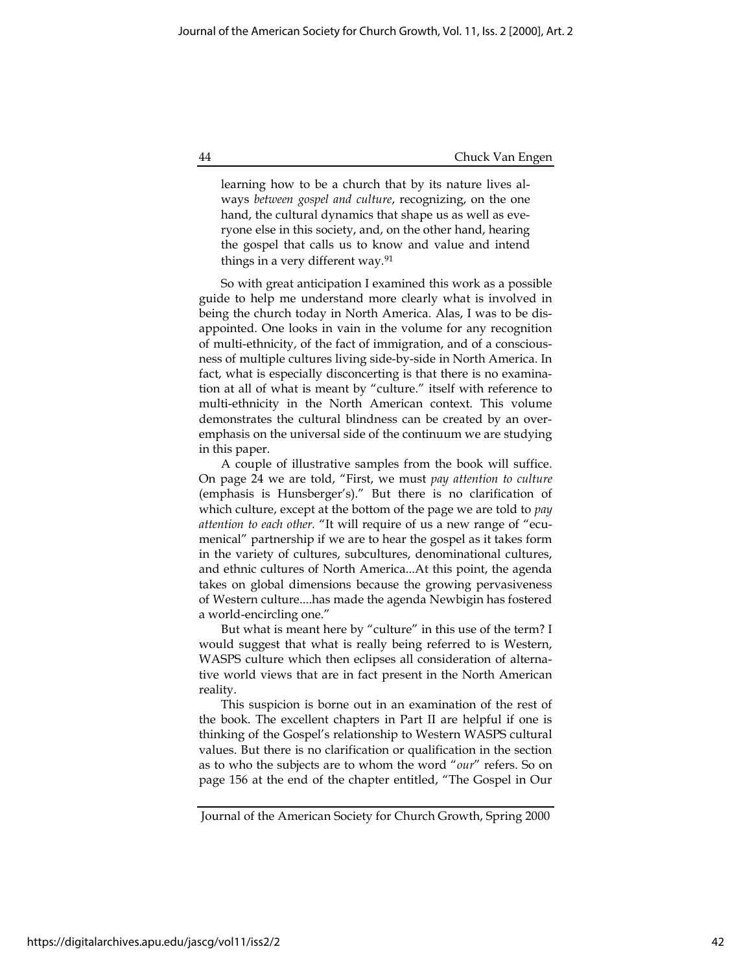learning how to be a church that by its nature lives always between gospel and culture, recognizing, on the one hand, the cultural dynamics that shape us as well as everyone else in this society, and, on the other hand, hearing the gospel that calls us to know and value and intend things in a very different way.<sup>91</sup>

So with great anticipation I examined this work as a possible guide to help me understand more clearly what is involved in being the church today in North America. Alas, I was to be disappointed. One looks in vain in the volume for any recognition of multi-ethnicity, of the fact of immigration, and of a consciousness of multiple cultures living side-by-side in North America. In fact, what is especially disconcerting is that there is no examination at all of what is meant by "culture." itself with reference to multi-ethnicity in the North American context. This volume demonstrates the cultural blindness can be created by an overemphasis on the universal side of the continuum we are studying in this paper.

A couple of illustrative samples from the book will suffice. On page 24 we are told, "First, we must pay attention to culture (emphasis is Hunsberger's)." But there is no clarification of which culture, except at the bottom of the page we are told to *pay* attention to each other. "It will require of us a new range of "ecumenical" partnership if we are to hear the gospel as it takes form in the variety of cultures, subcultures, denominational cultures, and ethnic cultures of North America...At this point, the agenda takes on global dimensions because the growing pervasiveness of Western culture....has made the agenda Newbigin has fostered a world-encircling one."

But what is meant here by "culture" in this use of the term? I would suggest that what is really being referred to is Western, WASPS culture which then eclipses all consideration of alternative world views that are in fact present in the North American reality.

This suspicion is borne out in an examination of the rest of the book. The excellent chapters in Part II are helpful if one is thinking of the Gospel's relationship to Western WASPS cultural values. But there is no clarification or qualification in the section as to who the subjects are to whom the word "our" refers. So on page 156 at the end of the chapter entitled, "The Gospel in Our

Journal of the American Society for Church Growth, Spring 2000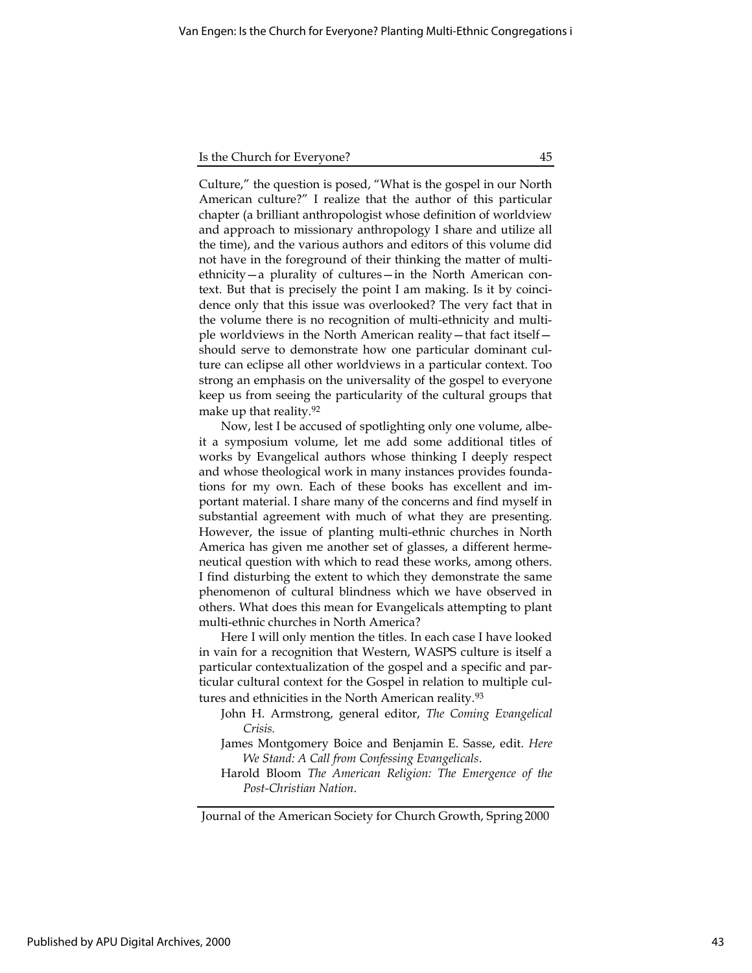Culture," the question is posed, "What is the gospel in our North American culture?" I realize that the author of this particular chapter (a brilliant anthropologist whose definition of worldview and approach to missionary anthropology I share and utilize all the time), and the various authors and editors of this volume did not have in the foreground of their thinking the matter of multiethnicity—a plurality of cultures—in the North American context. But that is precisely the point I am making. Is it by coincidence only that this issue was overlooked? The very fact that in the volume there is no recognition of multi-ethnicity and multiple worldviews in the North American reality—that fact itself should serve to demonstrate how one particular dominant culture can eclipse all other worldviews in a particular context. Too strong an emphasis on the universality of the gospel to everyone keep us from seeing the particularity of the cultural groups that make up that reality.<sup>92</sup>

Now, lest I be accused of spotlighting only one volume, albeit a symposium volume, let me add some additional titles of works by Evangelical authors whose thinking I deeply respect and whose theological work in many instances provides foundations for my own. Each of these books has excellent and important material. I share many of the concerns and find myself in substantial agreement with much of what they are presenting. However, the issue of planting multi-ethnic churches in North America has given me another set of glasses, a different hermeneutical question with which to read these works, among others. I find disturbing the extent to which they demonstrate the same phenomenon of cultural blindness which we have observed in others. What does this mean for Evangelicals attempting to plant multi-ethnic churches in North America?

Here I will only mention the titles. In each case I have looked in vain for a recognition that Western, WASPS culture is itself a particular contextualization of the gospel and a specific and particular cultural context for the Gospel in relation to multiple cultures and ethnicities in the North American reality.<sup>93</sup>

- John H. Armstrong, general editor, The Coming Evangelical Crisis.
- James Montgomery Boice and Benjamin E. Sasse, edit. Here We Stand: A Call from Confessing Evangelicals.
- Harold Bloom The American Religion: The Emergence of the Post-Christian Nation.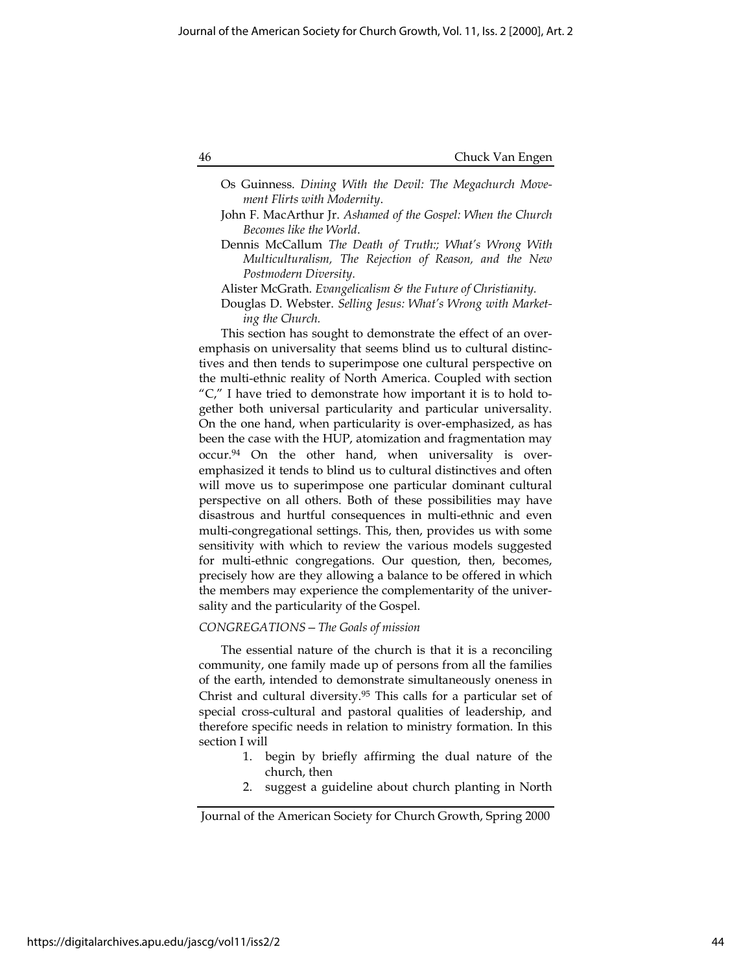- Os Guinness. Dining With the Devil: The Megachurch Movement Flirts with Modernity.
- John F. MacArthur Jr. Ashamed of the Gospel: When the Church Becomes like the World.
- Dennis McCallum The Death of Truth:; What's Wrong With Multiculturalism, The Rejection of Reason, and the New Postmodern Diversity.
- Alister McGrath. Evangelicalism & the Future of Christianity.
- Douglas D. Webster. Selling Jesus: What's Wrong with Marketing the Church.

This section has sought to demonstrate the effect of an overemphasis on universality that seems blind us to cultural distinctives and then tends to superimpose one cultural perspective on the multi-ethnic reality of North America. Coupled with section "C," I have tried to demonstrate how important it is to hold together both universal particularity and particular universality. On the one hand, when particularity is over-emphasized, as has been the case with the HUP, atomization and fragmentation may occur.94 On the other hand, when universality is overemphasized it tends to blind us to cultural distinctives and often will move us to superimpose one particular dominant cultural perspective on all others. Both of these possibilities may have disastrous and hurtful consequences in multi-ethnic and even multi-congregational settings. This, then, provides us with some sensitivity with which to review the various models suggested for multi-ethnic congregations. Our question, then, becomes, precisely how are they allowing a balance to be offered in which the members may experience the complementarity of the universality and the particularity of the Gospel.

# CONGREGATIONS—The Goals of mission

The essential nature of the church is that it is a reconciling community, one family made up of persons from all the families of the earth, intended to demonstrate simultaneously oneness in Christ and cultural diversity.<sup>95</sup> This calls for a particular set of special cross-cultural and pastoral qualities of leadership, and therefore specific needs in relation to ministry formation. In this section I will

- 1. begin by briefly affirming the dual nature of the church, then
- 2. suggest a guideline about church planting in North

Journal of the American Society for Church Growth, Spring 2000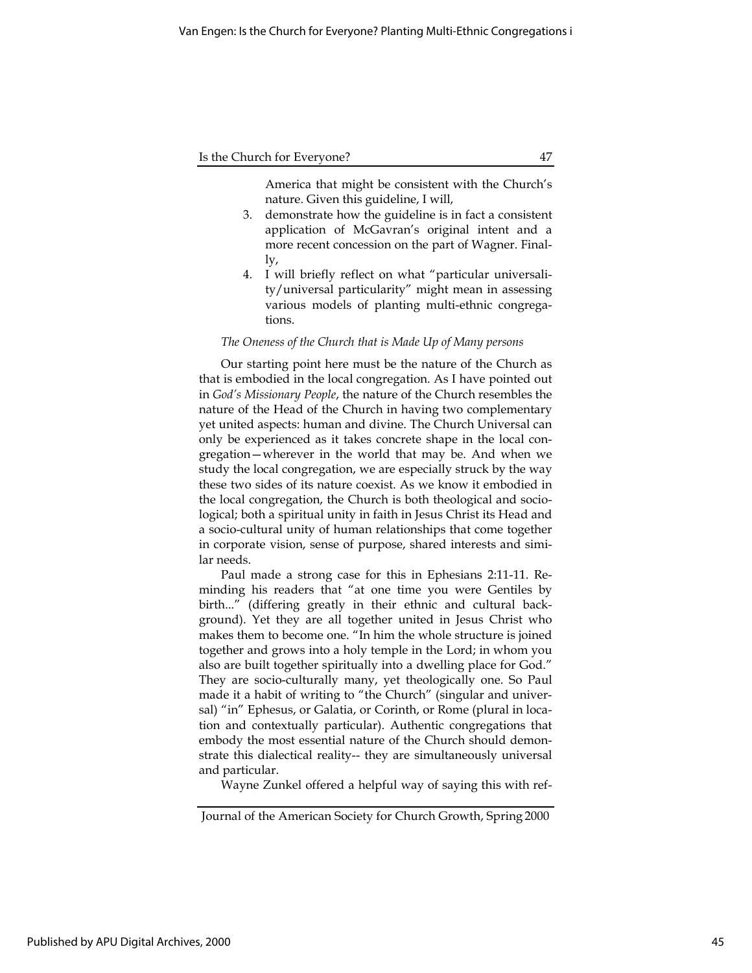America that might be consistent with the Church's nature. Given this guideline, I will,

- 3. demonstrate how the guideline is in fact a consistent application of McGavran's original intent and a more recent concession on the part of Wagner. Finally,
- 4. I will briefly reflect on what "particular universality/universal particularity" might mean in assessing various models of planting multi-ethnic congregations.

#### The Oneness of the Church that is Made Up of Many persons

Our starting point here must be the nature of the Church as that is embodied in the local congregation. As I have pointed out in God's Missionary People, the nature of the Church resembles the nature of the Head of the Church in having two complementary yet united aspects: human and divine. The Church Universal can only be experienced as it takes concrete shape in the local congregation—wherever in the world that may be. And when we study the local congregation, we are especially struck by the way these two sides of its nature coexist. As we know it embodied in the local congregation, the Church is both theological and sociological; both a spiritual unity in faith in Jesus Christ its Head and a socio-cultural unity of human relationships that come together in corporate vision, sense of purpose, shared interests and similar needs.

Paul made a strong case for this in Ephesians 2:11-11. Reminding his readers that "at one time you were Gentiles by birth..." (differing greatly in their ethnic and cultural background). Yet they are all together united in Jesus Christ who makes them to become one. "In him the whole structure is joined together and grows into a holy temple in the Lord; in whom you also are built together spiritually into a dwelling place for God." They are socio-culturally many, yet theologically one. So Paul made it a habit of writing to "the Church" (singular and universal) "in" Ephesus, or Galatia, or Corinth, or Rome (plural in location and contextually particular). Authentic congregations that embody the most essential nature of the Church should demonstrate this dialectical reality-- they are simultaneously universal and particular.

Wayne Zunkel offered a helpful way of saying this with ref-

Journal of the American Society for Church Growth, Spring 2000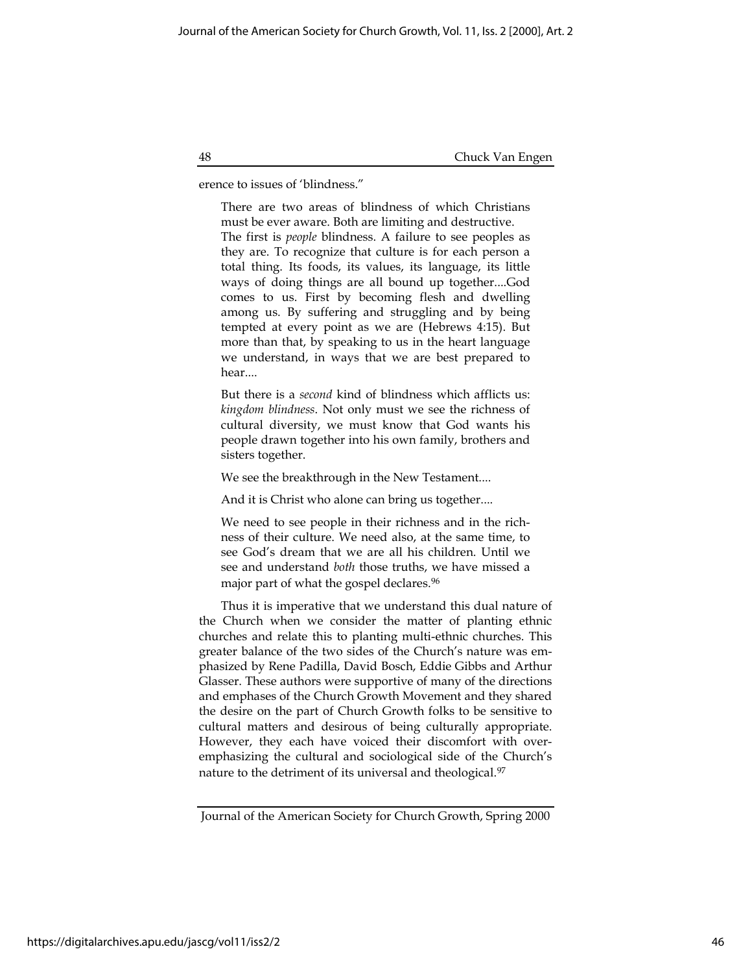erence to issues of 'blindness."

There are two areas of blindness of which Christians must be ever aware. Both are limiting and destructive. The first is people blindness. A failure to see peoples as they are. To recognize that culture is for each person a total thing. Its foods, its values, its language, its little ways of doing things are all bound up together....God comes to us. First by becoming flesh and dwelling among us. By suffering and struggling and by being tempted at every point as we are (Hebrews 4:15). But more than that, by speaking to us in the heart language we understand, in ways that we are best prepared to hear....

But there is a *second* kind of blindness which afflicts us: kingdom blindness. Not only must we see the richness of cultural diversity, we must know that God wants his people drawn together into his own family, brothers and sisters together.

We see the breakthrough in the New Testament....

And it is Christ who alone can bring us together....

We need to see people in their richness and in the richness of their culture. We need also, at the same time, to see God's dream that we are all his children. Until we see and understand both those truths, we have missed a major part of what the gospel declares.<sup>96</sup>

Thus it is imperative that we understand this dual nature of the Church when we consider the matter of planting ethnic churches and relate this to planting multi-ethnic churches. This greater balance of the two sides of the Church's nature was emphasized by Rene Padilla, David Bosch, Eddie Gibbs and Arthur Glasser. These authors were supportive of many of the directions and emphases of the Church Growth Movement and they shared the desire on the part of Church Growth folks to be sensitive to cultural matters and desirous of being culturally appropriate. However, they each have voiced their discomfort with overemphasizing the cultural and sociological side of the Church's nature to the detriment of its universal and theological.<sup>97</sup>

Journal of the American Society for Church Growth, Spring 2000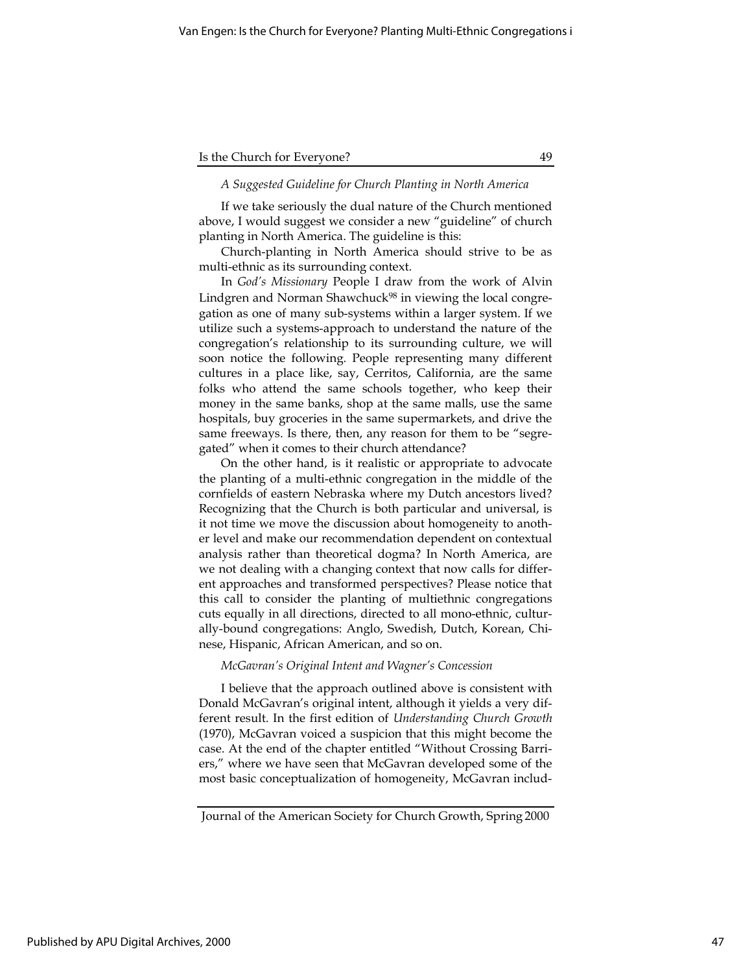## A Suggested Guideline for Church Planting in North America

If we take seriously the dual nature of the Church mentioned above, I would suggest we consider a new "guideline" of church planting in North America. The guideline is this:

Church-planting in North America should strive to be as multi-ethnic as its surrounding context.

In God's Missionary People I draw from the work of Alvin Lindgren and Norman Shawchuck<sup>98</sup> in viewing the local congregation as one of many sub-systems within a larger system. If we utilize such a systems-approach to understand the nature of the congregation's relationship to its surrounding culture, we will soon notice the following. People representing many different cultures in a place like, say, Cerritos, California, are the same folks who attend the same schools together, who keep their money in the same banks, shop at the same malls, use the same hospitals, buy groceries in the same supermarkets, and drive the same freeways. Is there, then, any reason for them to be "segregated" when it comes to their church attendance?

On the other hand, is it realistic or appropriate to advocate the planting of a multi-ethnic congregation in the middle of the cornfields of eastern Nebraska where my Dutch ancestors lived? Recognizing that the Church is both particular and universal, is it not time we move the discussion about homogeneity to another level and make our recommendation dependent on contextual analysis rather than theoretical dogma? In North America, are we not dealing with a changing context that now calls for different approaches and transformed perspectives? Please notice that this call to consider the planting of multiethnic congregations cuts equally in all directions, directed to all mono-ethnic, culturally-bound congregations: Anglo, Swedish, Dutch, Korean, Chinese, Hispanic, African American, and so on.

#### McGavran's Original Intent and Wagner's Concession

I believe that the approach outlined above is consistent with Donald McGavran's original intent, although it yields a very different result. In the first edition of Understanding Church Growth (1970), McGavran voiced a suspicion that this might become the case. At the end of the chapter entitled "Without Crossing Barriers," where we have seen that McGavran developed some of the most basic conceptualization of homogeneity, McGavran includ-

Journal of the American Society for Church Growth, Spring 2000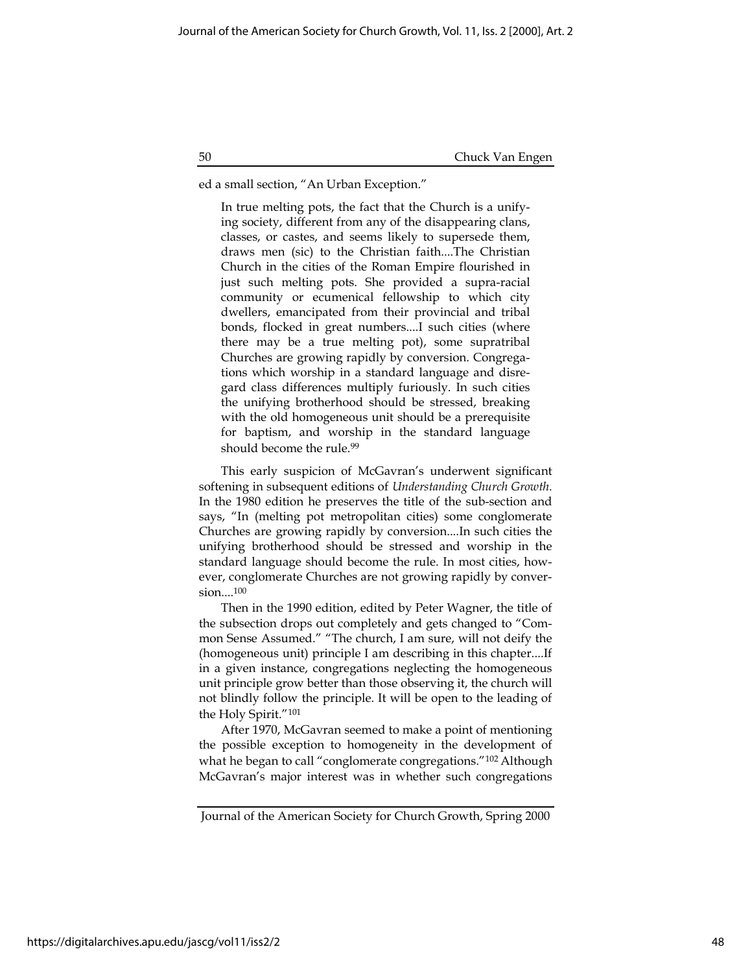ed a small section, "An Urban Exception."

In true melting pots, the fact that the Church is a unifying society, different from any of the disappearing clans, classes, or castes, and seems likely to supersede them, draws men (sic) to the Christian faith....The Christian Church in the cities of the Roman Empire flourished in just such melting pots. She provided a supra-racial community or ecumenical fellowship to which city dwellers, emancipated from their provincial and tribal bonds, flocked in great numbers....I such cities (where there may be a true melting pot), some supratribal Churches are growing rapidly by conversion. Congregations which worship in a standard language and disregard class differences multiply furiously. In such cities the unifying brotherhood should be stressed, breaking with the old homogeneous unit should be a prerequisite for baptism, and worship in the standard language should become the rule.<sup>99</sup>

This early suspicion of McGavran's underwent significant softening in subsequent editions of Understanding Church Growth. In the 1980 edition he preserves the title of the sub-section and says, "In (melting pot metropolitan cities) some conglomerate Churches are growing rapidly by conversion....In such cities the unifying brotherhood should be stressed and worship in the standard language should become the rule. In most cities, however, conglomerate Churches are not growing rapidly by conversion....<sup>100</sup>

Then in the 1990 edition, edited by Peter Wagner, the title of the subsection drops out completely and gets changed to "Common Sense Assumed." "The church, I am sure, will not deify the (homogeneous unit) principle I am describing in this chapter....If in a given instance, congregations neglecting the homogeneous unit principle grow better than those observing it, the church will not blindly follow the principle. It will be open to the leading of the Holy Spirit."<sup>101</sup>

After 1970, McGavran seemed to make a point of mentioning the possible exception to homogeneity in the development of what he began to call "conglomerate congregations."<sup>102</sup> Although McGavran's major interest was in whether such congregations

Journal of the American Society for Church Growth, Spring 2000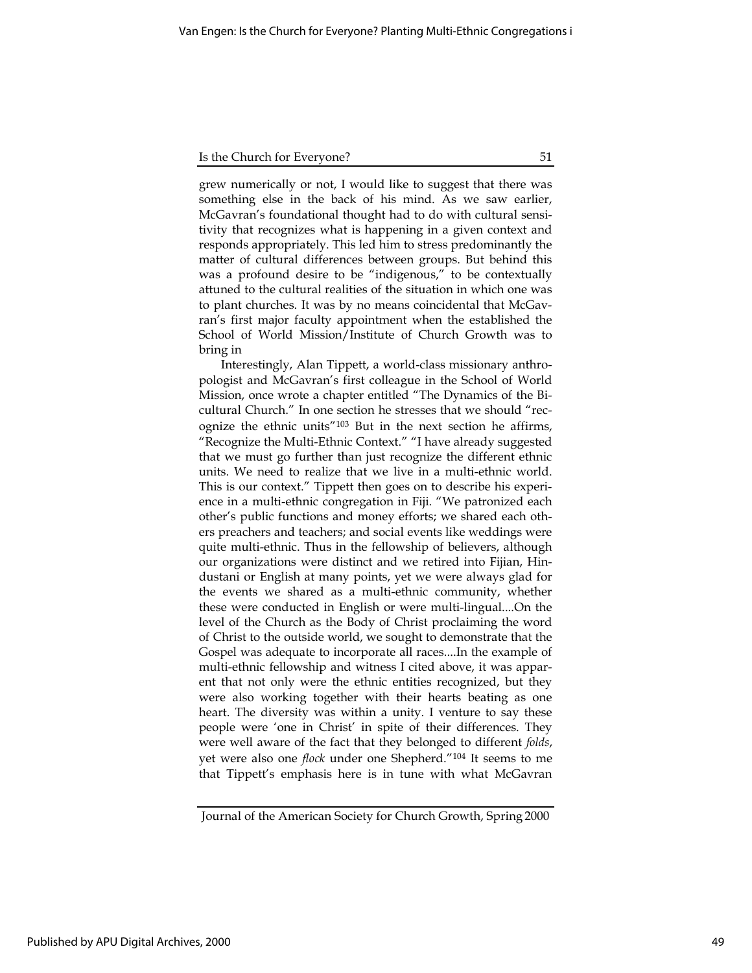grew numerically or not, I would like to suggest that there was something else in the back of his mind. As we saw earlier, McGavran's foundational thought had to do with cultural sensitivity that recognizes what is happening in a given context and responds appropriately. This led him to stress predominantly the matter of cultural differences between groups. But behind this was a profound desire to be "indigenous," to be contextually attuned to the cultural realities of the situation in which one was to plant churches. It was by no means coincidental that McGavran's first major faculty appointment when the established the School of World Mission/Institute of Church Growth was to bring in

Interestingly, Alan Tippett, a world-class missionary anthropologist and McGavran's first colleague in the School of World Mission, once wrote a chapter entitled "The Dynamics of the Bicultural Church." In one section he stresses that we should "recognize the ethnic units"<sup>103</sup> But in the next section he affirms, "Recognize the Multi-Ethnic Context." "I have already suggested that we must go further than just recognize the different ethnic units. We need to realize that we live in a multi-ethnic world. This is our context." Tippett then goes on to describe his experience in a multi-ethnic congregation in Fiji. "We patronized each other's public functions and money efforts; we shared each others preachers and teachers; and social events like weddings were quite multi-ethnic. Thus in the fellowship of believers, although our organizations were distinct and we retired into Fijian, Hindustani or English at many points, yet we were always glad for the events we shared as a multi-ethnic community, whether these were conducted in English or were multi-lingual....On the level of the Church as the Body of Christ proclaiming the word of Christ to the outside world, we sought to demonstrate that the Gospel was adequate to incorporate all races....In the example of multi-ethnic fellowship and witness I cited above, it was apparent that not only were the ethnic entities recognized, but they were also working together with their hearts beating as one heart. The diversity was within a unity. I venture to say these people were 'one in Christ' in spite of their differences. They were well aware of the fact that they belonged to different folds, yet were also one flock under one Shepherd."<sup>104</sup> It seems to me that Tippett's emphasis here is in tune with what McGavran

Journal of the American Society for Church Growth, Spring 2000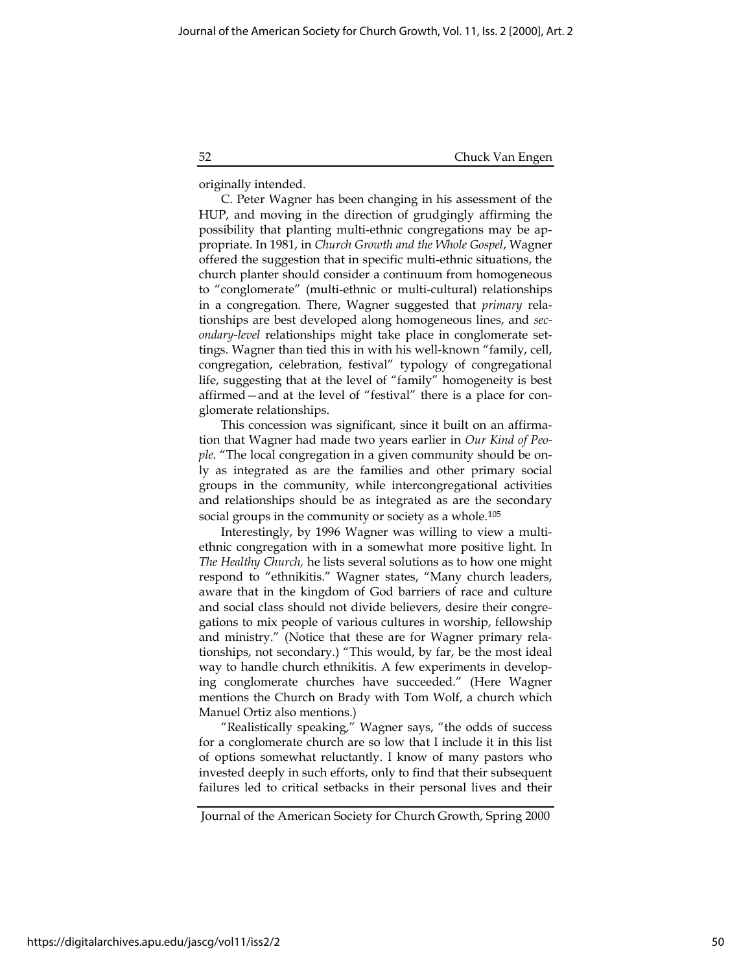originally intended.

C. Peter Wagner has been changing in his assessment of the HUP, and moving in the direction of grudgingly affirming the possibility that planting multi-ethnic congregations may be appropriate. In 1981, in Church Growth and the Whole Gospel, Wagner offered the suggestion that in specific multi-ethnic situations, the church planter should consider a continuum from homogeneous to "conglomerate" (multi-ethnic or multi-cultural) relationships in a congregation. There, Wagner suggested that primary relationships are best developed along homogeneous lines, and secondary-level relationships might take place in conglomerate settings. Wagner than tied this in with his well-known "family, cell, congregation, celebration, festival" typology of congregational life, suggesting that at the level of "family" homogeneity is best affirmed—and at the level of "festival" there is a place for conglomerate relationships.

This concession was significant, since it built on an affirmation that Wagner had made two years earlier in Our Kind of People. "The local congregation in a given community should be only as integrated as are the families and other primary social groups in the community, while intercongregational activities and relationships should be as integrated as are the secondary social groups in the community or society as a whole.<sup>105</sup>

Interestingly, by 1996 Wagner was willing to view a multiethnic congregation with in a somewhat more positive light. In The Healthy Church, he lists several solutions as to how one might respond to "ethnikitis." Wagner states, "Many church leaders, aware that in the kingdom of God barriers of race and culture and social class should not divide believers, desire their congregations to mix people of various cultures in worship, fellowship and ministry." (Notice that these are for Wagner primary relationships, not secondary.) "This would, by far, be the most ideal way to handle church ethnikitis. A few experiments in developing conglomerate churches have succeeded." (Here Wagner mentions the Church on Brady with Tom Wolf, a church which Manuel Ortiz also mentions.)

"Realistically speaking," Wagner says, "the odds of success for a conglomerate church are so low that I include it in this list of options somewhat reluctantly. I know of many pastors who invested deeply in such efforts, only to find that their subsequent failures led to critical setbacks in their personal lives and their

https://digitalarchives.apu.edu/jascg/vol11/iss2/2

Journal of the American Society for Church Growth, Spring 2000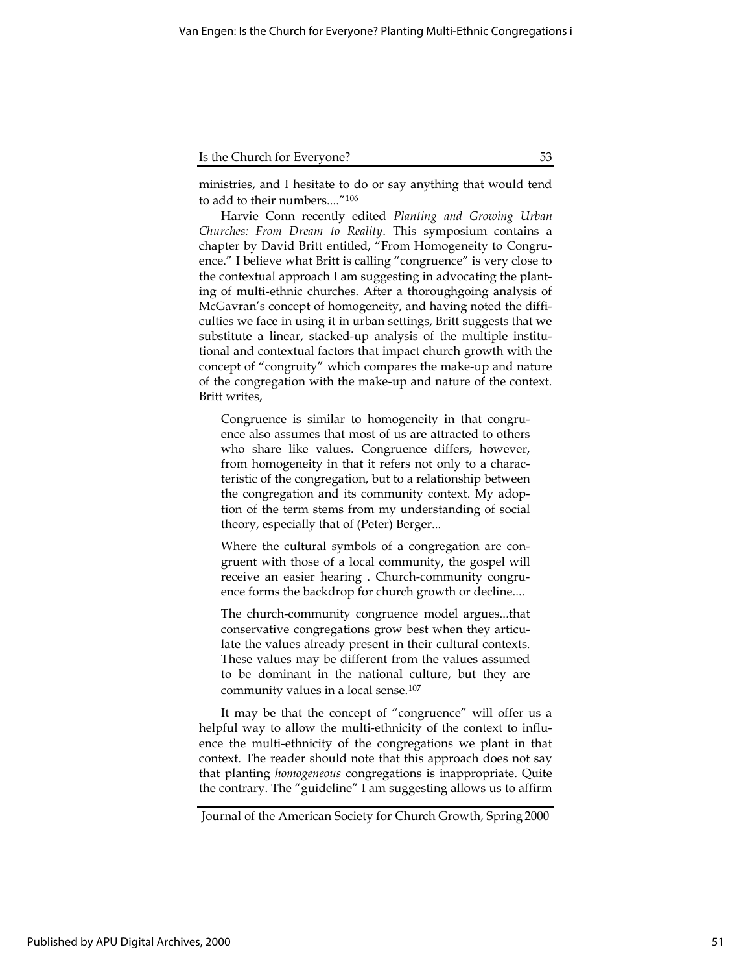ministries, and I hesitate to do or say anything that would tend to add to their numbers...."<sup>106</sup>

Harvie Conn recently edited Planting and Growing Urban Churches: From Dream to Reality. This symposium contains a chapter by David Britt entitled, "From Homogeneity to Congruence." I believe what Britt is calling "congruence" is very close to the contextual approach I am suggesting in advocating the planting of multi-ethnic churches. After a thoroughgoing analysis of McGavran's concept of homogeneity, and having noted the difficulties we face in using it in urban settings, Britt suggests that we substitute a linear, stacked-up analysis of the multiple institutional and contextual factors that impact church growth with the concept of "congruity" which compares the make-up and nature of the congregation with the make-up and nature of the context. Britt writes,

Congruence is similar to homogeneity in that congruence also assumes that most of us are attracted to others who share like values. Congruence differs, however, from homogeneity in that it refers not only to a characteristic of the congregation, but to a relationship between the congregation and its community context. My adoption of the term stems from my understanding of social theory, especially that of (Peter) Berger...

Where the cultural symbols of a congregation are congruent with those of a local community, the gospel will receive an easier hearing . Church-community congruence forms the backdrop for church growth or decline....

The church-community congruence model argues...that conservative congregations grow best when they articulate the values already present in their cultural contexts. These values may be different from the values assumed to be dominant in the national culture, but they are community values in a local sense.<sup>107</sup>

It may be that the concept of "congruence" will offer us a helpful way to allow the multi-ethnicity of the context to influence the multi-ethnicity of the congregations we plant in that context. The reader should note that this approach does not say that planting homogeneous congregations is inappropriate. Quite the contrary. The "guideline" I am suggesting allows us to affirm

Journal of the American Society for Church Growth, Spring 2000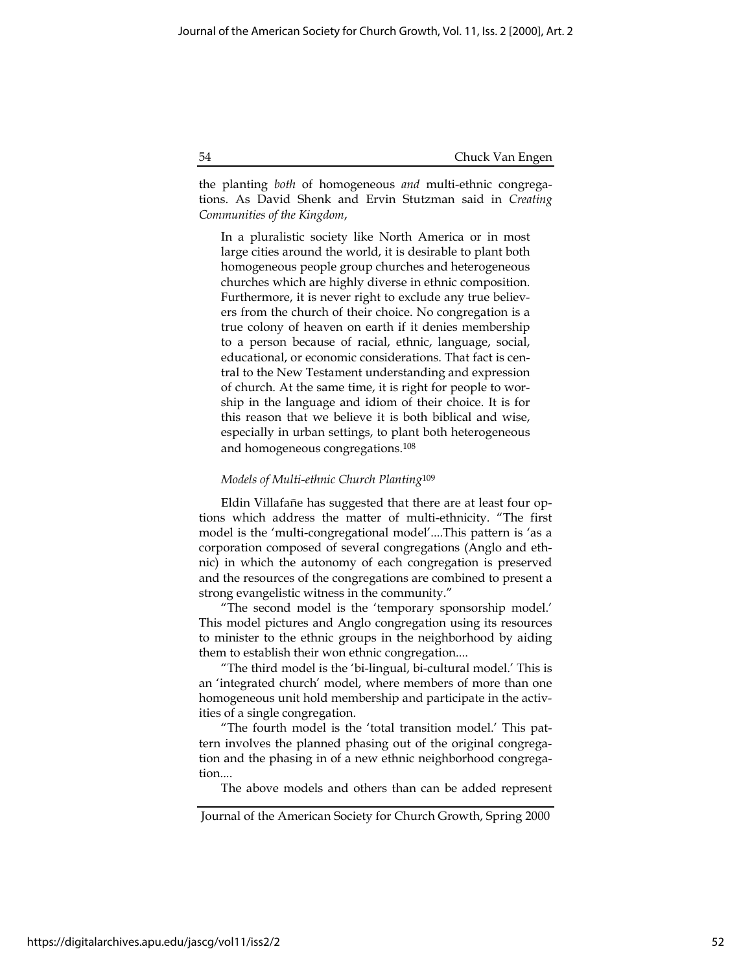the planting both of homogeneous and multi-ethnic congregations. As David Shenk and Ervin Stutzman said in Creating Communities of the Kingdom,

In a pluralistic society like North America or in most large cities around the world, it is desirable to plant both homogeneous people group churches and heterogeneous churches which are highly diverse in ethnic composition. Furthermore, it is never right to exclude any true believers from the church of their choice. No congregation is a true colony of heaven on earth if it denies membership to a person because of racial, ethnic, language, social, educational, or economic considerations. That fact is central to the New Testament understanding and expression of church. At the same time, it is right for people to worship in the language and idiom of their choice. It is for this reason that we believe it is both biblical and wise, especially in urban settings, to plant both heterogeneous and homogeneous congregations.<sup>108</sup>

## Models of Multi-ethnic Church Planting<sup>109</sup>

Eldin Villafañe has suggested that there are at least four options which address the matter of multi-ethnicity. "The first model is the 'multi-congregational model'....This pattern is 'as a corporation composed of several congregations (Anglo and ethnic) in which the autonomy of each congregation is preserved and the resources of the congregations are combined to present a strong evangelistic witness in the community."

"The second model is the 'temporary sponsorship model.' This model pictures and Anglo congregation using its resources to minister to the ethnic groups in the neighborhood by aiding them to establish their won ethnic congregation....

"The third model is the 'bi-lingual, bi-cultural model.' This is an 'integrated church' model, where members of more than one homogeneous unit hold membership and participate in the activities of a single congregation.

"The fourth model is the 'total transition model.' This pattern involves the planned phasing out of the original congregation and the phasing in of a new ethnic neighborhood congregation....

The above models and others than can be added represent

Journal of the American Society for Church Growth, Spring 2000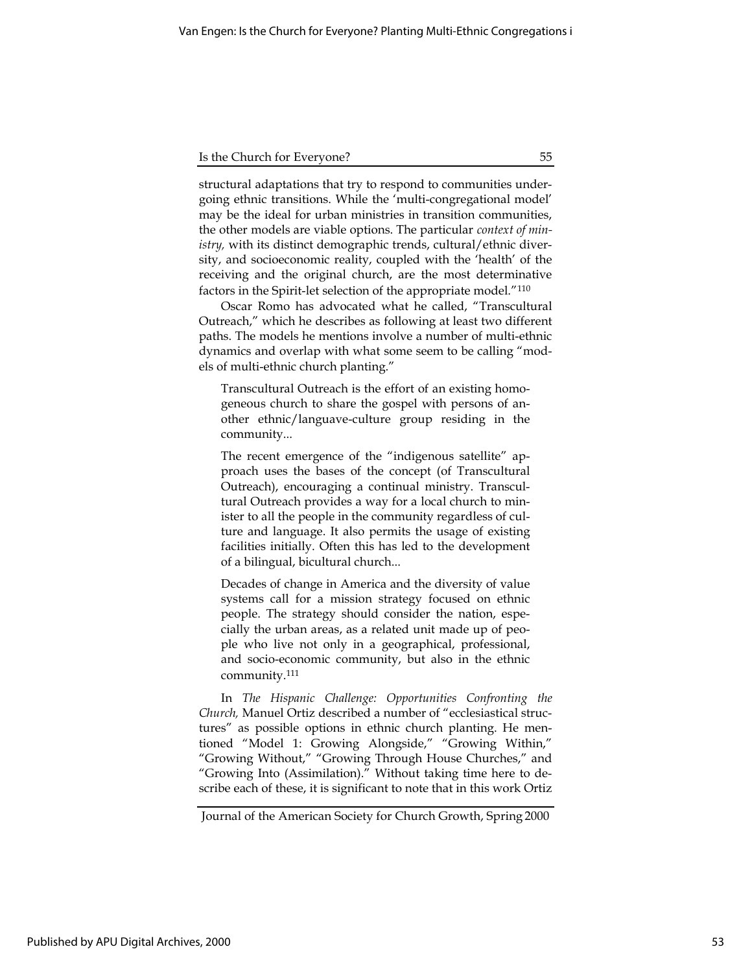structural adaptations that try to respond to communities undergoing ethnic transitions. While the 'multi-congregational model' may be the ideal for urban ministries in transition communities, the other models are viable options. The particular context of ministry, with its distinct demographic trends, cultural/ethnic diversity, and socioeconomic reality, coupled with the 'health' of the receiving and the original church, are the most determinative factors in the Spirit-let selection of the appropriate model."<sup>110</sup>

Oscar Romo has advocated what he called, "Transcultural Outreach," which he describes as following at least two different paths. The models he mentions involve a number of multi-ethnic dynamics and overlap with what some seem to be calling "models of multi-ethnic church planting."

Transcultural Outreach is the effort of an existing homogeneous church to share the gospel with persons of another ethnic/languave-culture group residing in the community...

The recent emergence of the "indigenous satellite" approach uses the bases of the concept (of Transcultural Outreach), encouraging a continual ministry. Transcultural Outreach provides a way for a local church to minister to all the people in the community regardless of culture and language. It also permits the usage of existing facilities initially. Often this has led to the development of a bilingual, bicultural church...

Decades of change in America and the diversity of value systems call for a mission strategy focused on ethnic people. The strategy should consider the nation, especially the urban areas, as a related unit made up of people who live not only in a geographical, professional, and socio-economic community, but also in the ethnic community.<sup>111</sup>

In The Hispanic Challenge: Opportunities Confronting the Church, Manuel Ortiz described a number of "ecclesiastical structures" as possible options in ethnic church planting. He mentioned "Model 1: Growing Alongside," "Growing Within," "Growing Without," "Growing Through House Churches," and "Growing Into (Assimilation)." Without taking time here to describe each of these, it is significant to note that in this work Ortiz

Journal of the American Society for Church Growth, Spring 2000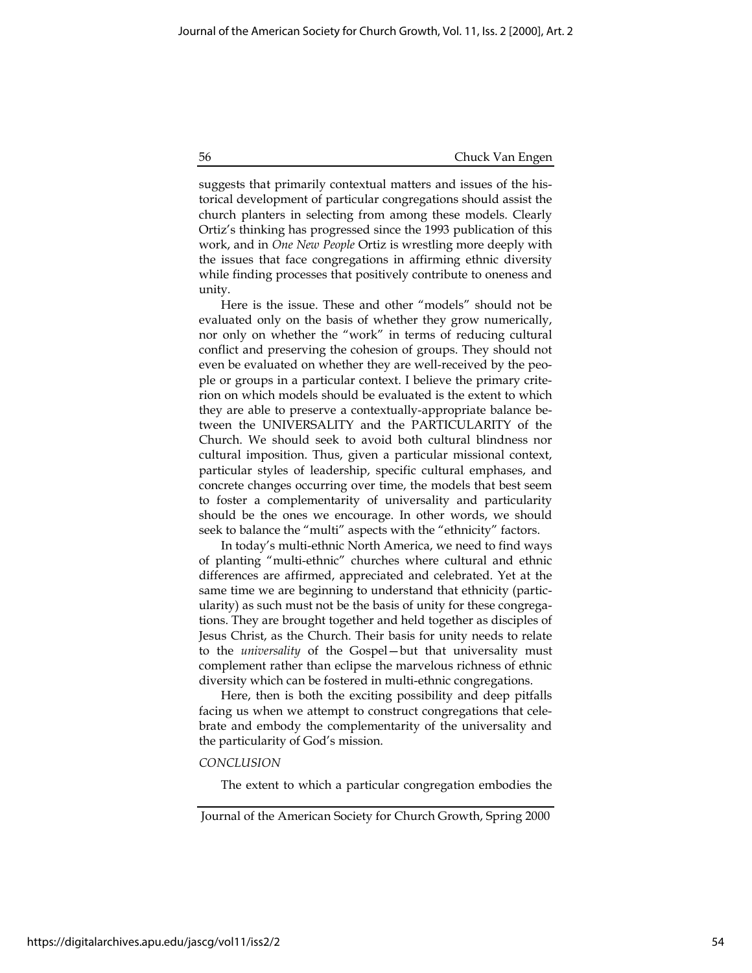suggests that primarily contextual matters and issues of the historical development of particular congregations should assist the church planters in selecting from among these models. Clearly Ortiz's thinking has progressed since the 1993 publication of this work, and in One New People Ortiz is wrestling more deeply with the issues that face congregations in affirming ethnic diversity while finding processes that positively contribute to oneness and unity.

Here is the issue. These and other "models" should not be evaluated only on the basis of whether they grow numerically, nor only on whether the "work" in terms of reducing cultural conflict and preserving the cohesion of groups. They should not even be evaluated on whether they are well-received by the people or groups in a particular context. I believe the primary criterion on which models should be evaluated is the extent to which they are able to preserve a contextually-appropriate balance between the UNIVERSALITY and the PARTICULARITY of the Church. We should seek to avoid both cultural blindness nor cultural imposition. Thus, given a particular missional context, particular styles of leadership, specific cultural emphases, and concrete changes occurring over time, the models that best seem to foster a complementarity of universality and particularity should be the ones we encourage. In other words, we should seek to balance the "multi" aspects with the "ethnicity" factors.

In today's multi-ethnic North America, we need to find ways of planting "multi-ethnic" churches where cultural and ethnic differences are affirmed, appreciated and celebrated. Yet at the same time we are beginning to understand that ethnicity (particularity) as such must not be the basis of unity for these congregations. They are brought together and held together as disciples of Jesus Christ, as the Church. Their basis for unity needs to relate to the universality of the Gospel—but that universality must complement rather than eclipse the marvelous richness of ethnic diversity which can be fostered in multi-ethnic congregations.

Here, then is both the exciting possibility and deep pitfalls facing us when we attempt to construct congregations that celebrate and embody the complementarity of the universality and the particularity of God's mission.

## **CONCLUSION**

The extent to which a particular congregation embodies the

Journal of the American Society for Church Growth, Spring 2000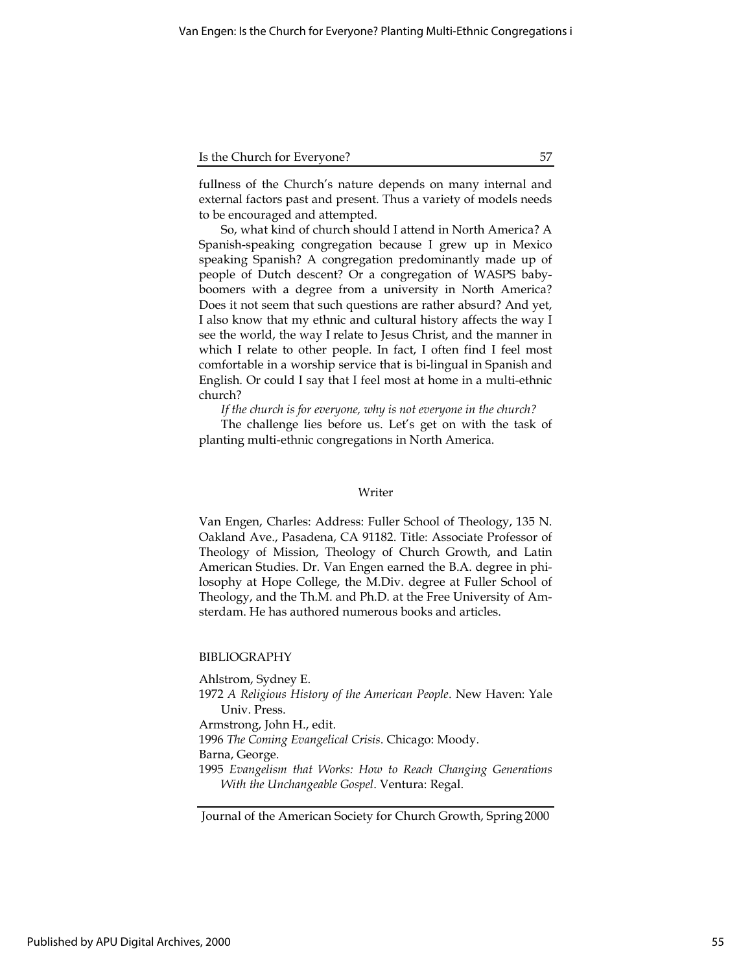| Is the Church for Everyone? |  |
|-----------------------------|--|
|                             |  |

fullness of the Church's nature depends on many internal and external factors past and present. Thus a variety of models needs to be encouraged and attempted.

So, what kind of church should I attend in North America? A Spanish-speaking congregation because I grew up in Mexico speaking Spanish? A congregation predominantly made up of people of Dutch descent? Or a congregation of WASPS babyboomers with a degree from a university in North America? Does it not seem that such questions are rather absurd? And yet, I also know that my ethnic and cultural history affects the way I see the world, the way I relate to Jesus Christ, and the manner in which I relate to other people. In fact, I often find I feel most comfortable in a worship service that is bi-lingual in Spanish and English. Or could I say that I feel most at home in a multi-ethnic church?

If the church is for everyone, why is not everyone in the church?

The challenge lies before us. Let's get on with the task of planting multi-ethnic congregations in North America.

## Writer

Van Engen, Charles: Address: Fuller School of Theology, 135 N. Oakland Ave., Pasadena, CA 91182. Title: Associate Professor of Theology of Mission, Theology of Church Growth, and Latin American Studies. Dr. Van Engen earned the B.A. degree in philosophy at Hope College, the M.Div. degree at Fuller School of Theology, and the Th.M. and Ph.D. at the Free University of Amsterdam. He has authored numerous books and articles.

# BIBLIOGRAPHY

Ahlstrom, Sydney E. 1972 A Religious History of the American People. New Haven: Yale Univ. Press. Armstrong, John H., edit. 1996 The Coming Evangelical Crisis. Chicago: Moody. Barna, George. 1995 Evangelism that Works: How to Reach Changing Generations With the Unchangeable Gospel. Ventura: Regal.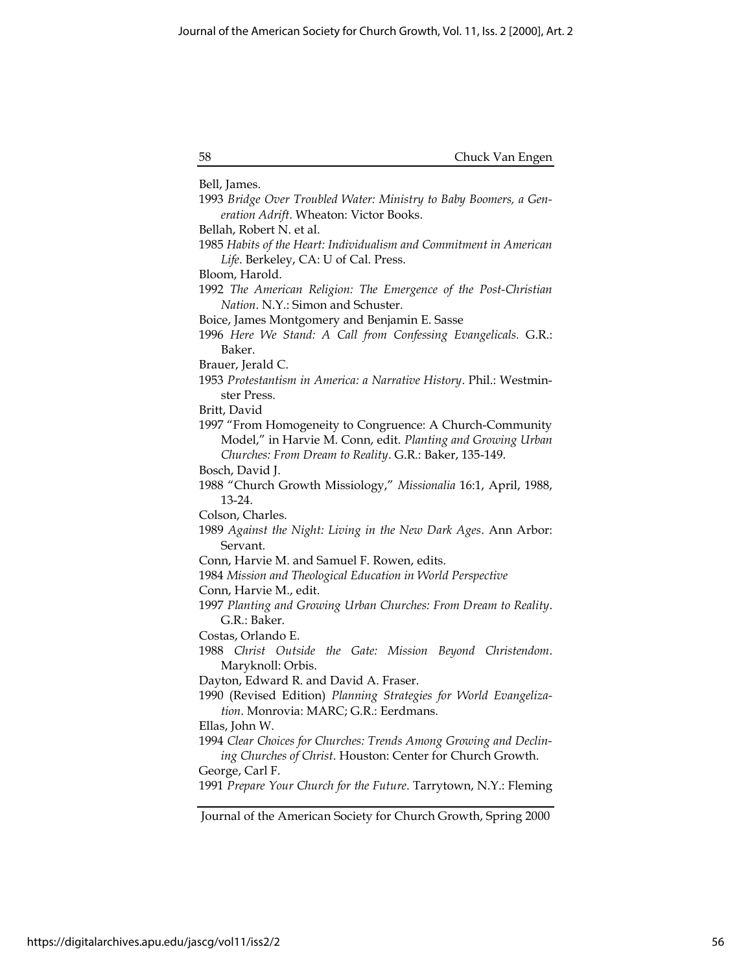| 58 | Chuck Van Engen |
|----|-----------------|
|    |                 |

Bell, James. 1993 Bridge Over Troubled Water: Ministry to Baby Boomers, a Generation Adrift. Wheaton: Victor Books. Bellah, Robert N. et al. 1985 Habits of the Heart: Individualism and Commitment in American Life. Berkeley, CA: U of Cal. Press. Bloom, Harold. 1992 The American Religion: The Emergence of the Post-Christian Nation. N.Y.: Simon and Schuster. Boice, James Montgomery and Benjamin E. Sasse 1996 Here We Stand: A Call from Confessing Evangelicals. G.R.: Baker. Brauer, Jerald C. 1953 Protestantism in America: a Narrative History. Phil.: Westminster Press. Britt, David 1997 "From Homogeneity to Congruence: A Church-Community Model," in Harvie M. Conn, edit. Planting and Growing Urban Churches: From Dream to Reality. G.R.: Baker, 135-149. Bosch, David J. 1988 "Church Growth Missiology," Missionalia 16:1, April, 1988, 13-24. Colson, Charles. 1989 Against the Night: Living in the New Dark Ages. Ann Arbor: Servant. Conn, Harvie M. and Samuel F. Rowen, edits. 1984 Mission and Theological Education in World Perspective Conn, Harvie M., edit. 1997 Planting and Growing Urban Churches: From Dream to Reality. G.R.: Baker. Costas, Orlando E. 1988 Christ Outside the Gate: Mission Beyond Christendom. Maryknoll: Orbis. Dayton, Edward R. and David A. Fraser. 1990 (Revised Edition) Planning Strategies for World Evangelization. Monrovia: MARC; G.R.: Eerdmans. Ellas, John W. 1994 Clear Choices for Churches: Trends Among Growing and Declining Churches of Christ. Houston: Center for Church Growth. George, Carl F. 1991 Prepare Your Church for the Future. Tarrytown, N.Y.: Fleming

Journal of the American Society for Church Growth, Spring 2000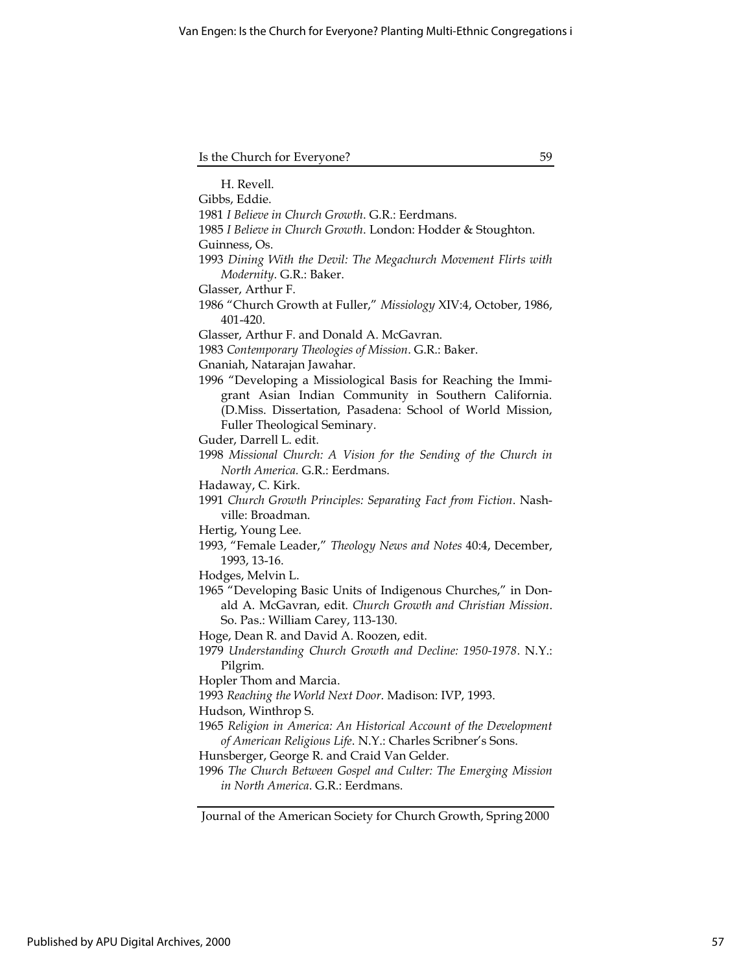| Is the Church for Everyone? |  |
|-----------------------------|--|
|-----------------------------|--|

H. Revell. Gibbs, Eddie. 1981 I Believe in Church Growth. G.R.: Eerdmans. 1985 I Believe in Church Growth. London: Hodder & Stoughton. Guinness, Os. 1993 Dining With the Devil: The Megachurch Movement Flirts with Modernity. G.R.: Baker. Glasser, Arthur F. 1986 "Church Growth at Fuller," Missiology XIV:4, October, 1986, 401-420. Glasser, Arthur F. and Donald A. McGavran. 1983 Contemporary Theologies of Mission. G.R.: Baker. Gnaniah, Natarajan Jawahar. 1996 "Developing a Missiological Basis for Reaching the Immigrant Asian Indian Community in Southern California. (D.Miss. Dissertation, Pasadena: School of World Mission, Fuller Theological Seminary. Guder, Darrell L. edit. 1998 Missional Church: A Vision for the Sending of the Church in North America. G.R.: Eerdmans. Hadaway, C. Kirk. 1991 Church Growth Principles: Separating Fact from Fiction. Nashville: Broadman. Hertig, Young Lee. 1993, "Female Leader," Theology News and Notes 40:4, December, 1993, 13-16. Hodges, Melvin L. 1965 "Developing Basic Units of Indigenous Churches," in Donald A. McGavran, edit. Church Growth and Christian Mission. So. Pas.: William Carey, 113-130. Hoge, Dean R. and David A. Roozen, edit. 1979 Understanding Church Growth and Decline: 1950-1978. N.Y.: Pilgrim. Hopler Thom and Marcia. 1993 Reaching the World Next Door. Madison: IVP, 1993. Hudson, Winthrop S. 1965 Religion in America: An Historical Account of the Development of American Religious Life. N.Y.: Charles Scribner's Sons. Hunsberger, George R. and Craid Van Gelder. 1996 The Church Between Gospel and Culter: The Emerging Mission in North America. G.R.: Eerdmans.

Journal of the American Society for Church Growth, Spring 2000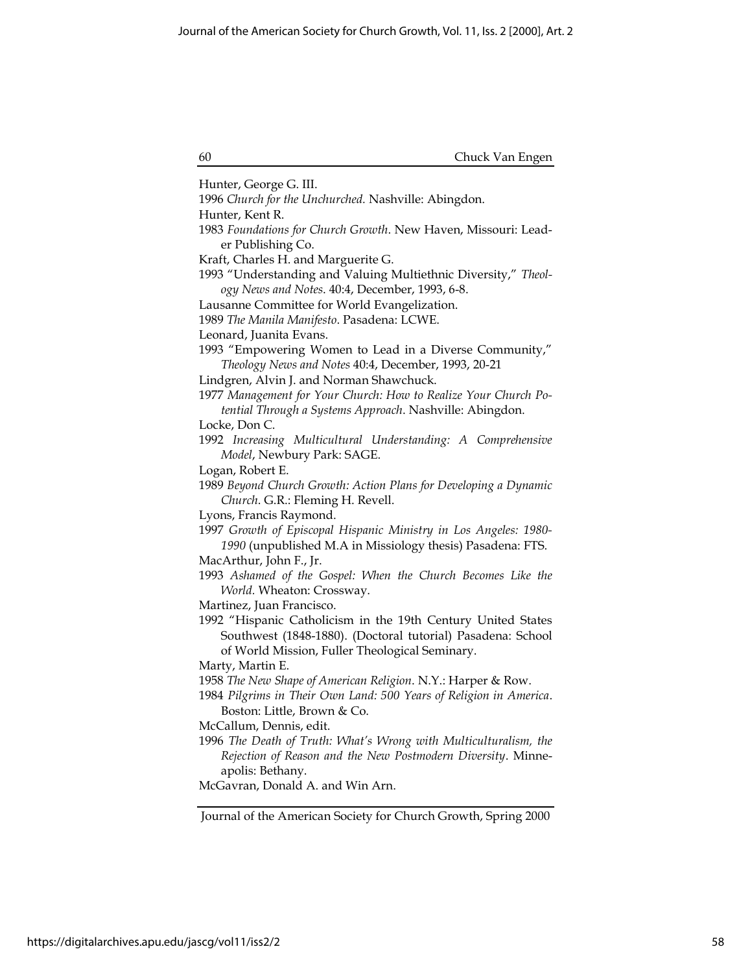| 60 | Chuck Van Engen |
|----|-----------------|
|----|-----------------|

Hunter, George G. III. 1996 Church for the Unchurched. Nashville: Abingdon. Hunter, Kent R. 1983 Foundations for Church Growth. New Haven, Missouri: Leader Publishing Co. Kraft, Charles H. and Marguerite G. 1993 "Understanding and Valuing Multiethnic Diversity," Theology News and Notes. 40:4, December, 1993, 6-8. Lausanne Committee for World Evangelization. 1989 The Manila Manifesto. Pasadena: LCWE. Leonard, Juanita Evans. 1993 "Empowering Women to Lead in a Diverse Community," Theology News and Notes 40:4, December, 1993, 20-21 Lindgren, Alvin J. and Norman Shawchuck. 1977 Management for Your Church: How to Realize Your Church Potential Through a Systems Approach. Nashville: Abingdon. Locke, Don C. 1992 Increasing Multicultural Understanding: A Comprehensive Model, Newbury Park: SAGE. Logan, Robert E. 1989 Beyond Church Growth: Action Plans for Developing a Dynamic Church. G.R.: Fleming H. Revell. Lyons, Francis Raymond. 1997 Growth of Episcopal Hispanic Ministry in Los Angeles: 1980- 1990 (unpublished M.A in Missiology thesis) Pasadena: FTS. MacArthur, John F., Jr. 1993 Ashamed of the Gospel: When the Church Becomes Like the World. Wheaton: Crossway. Martinez, Juan Francisco. 1992 "Hispanic Catholicism in the 19th Century United States Southwest (1848-1880). (Doctoral tutorial) Pasadena: School of World Mission, Fuller Theological Seminary. Marty, Martin E. 1958 The New Shape of American Religion. N.Y.: Harper & Row. 1984 Pilgrims in Their Own Land: 500 Years of Religion in America. Boston: Little, Brown & Co. McCallum, Dennis, edit. 1996 The Death of Truth: What's Wrong with Multiculturalism, the Rejection of Reason and the New Postmodern Diversity. Minneapolis: Bethany. McGavran, Donald A. and Win Arn.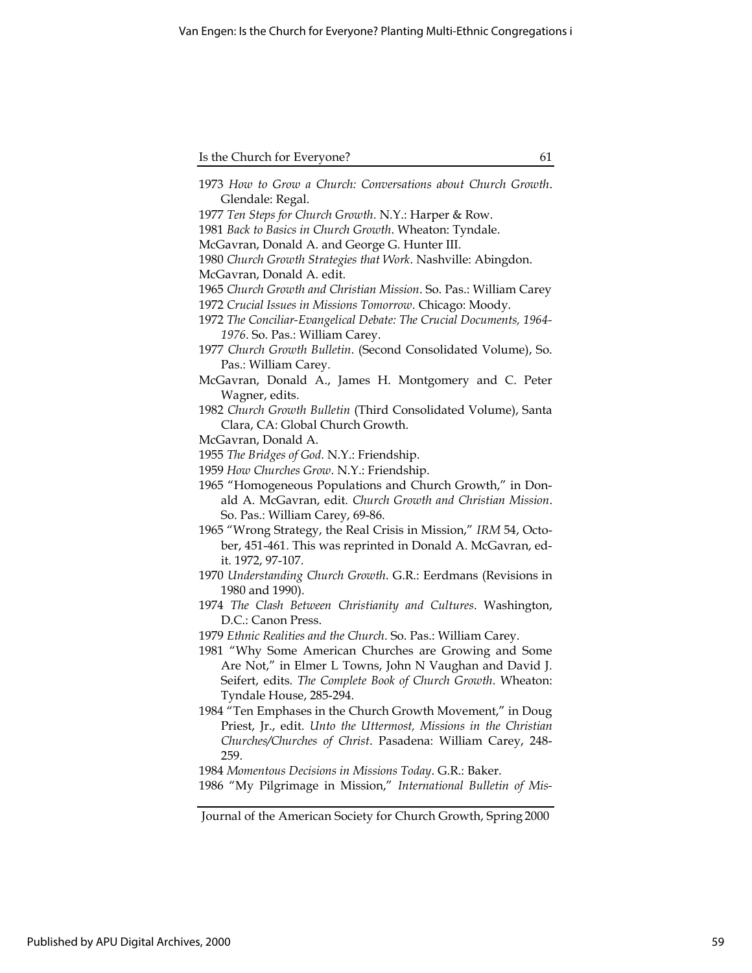| 1973 How to Grow a Church: Conversations about Church Growth.       |
|---------------------------------------------------------------------|
| Glendale: Regal.                                                    |
| 1977 Ten Steps for Church Growth. N.Y.: Harper & Row.               |
| 1981 Back to Basics in Church Growth. Wheaton: Tyndale.             |
| McGavran, Donald A. and George G. Hunter III.                       |
| 1980 Church Growth Strategies that Work. Nashville: Abingdon.       |
| McGavran, Donald A. edit.                                           |
| 1965 Church Growth and Christian Mission. So. Pas.: William Carey   |
| 1972 Crucial Issues in Missions Tomorrow. Chicago: Moody.           |
| 1972 The Conciliar-Evangelical Debate: The Crucial Documents, 1964- |
| 1976. So. Pas.: William Carey.                                      |
| 1977 Church Growth Bulletin. (Second Consolidated Volume), So.      |
| Pas.: William Carey.                                                |
| McGavran, Donald A., James H. Montgomery and C. Peter               |
| Wagner, edits.                                                      |
| 1982 Church Growth Bulletin (Third Consolidated Volume), Santa      |
| Clara, CA: Global Church Growth.                                    |
|                                                                     |
| McGavran, Donald A.                                                 |
| 1955 The Bridges of God. N.Y.: Friendship.                          |
| 1959 How Churches Grow. N.Y.: Friendship.                           |
| 1965 "Homogeneous Populations and Church Growth," in Don-           |
| ald A. McGavran, edit. Church Growth and Christian Mission.         |
| So. Pas.: William Carey, 69-86.                                     |
| 1965 "Wrong Strategy, the Real Crisis in Mission," IRM 54, Octo-    |
| ber, 451-461. This was reprinted in Donald A. McGavran, ed-         |
| it. 1972, 97-107.                                                   |
| 1970 Understanding Church Growth. G.R.: Eerdmans (Revisions in      |
| 1980 and 1990).                                                     |
| 1974 The Clash Between Christianity and Cultures. Washington,       |
| D.C.: Canon Press.                                                  |
| 1979 Ethnic Realities and the Church. So. Pas.: William Carey.      |
| 1981 "Why Some American Churches are Growing and Some               |
| Are Not," in Elmer L Towns, John N Vaughan and David J.             |
| Seifert, edits. The Complete Book of Church Growth. Wheaton:        |
| Tyndale House, 285-294.                                             |
| 1984 "Ten Emphases in the Church Growth Movement," in Doug          |
| Priest, Jr., edit. Unto the Uttermost, Missions in the Christian    |
| Churches/Churches of Christ. Pasadena: William Carey, 248-          |
| 259.                                                                |
| 1984 Momentous Decisions in Missions Today. G.R.: Baker.            |
| 1986 "My Pilgrimage in Mission," International Bulletin of Mis-     |
|                                                                     |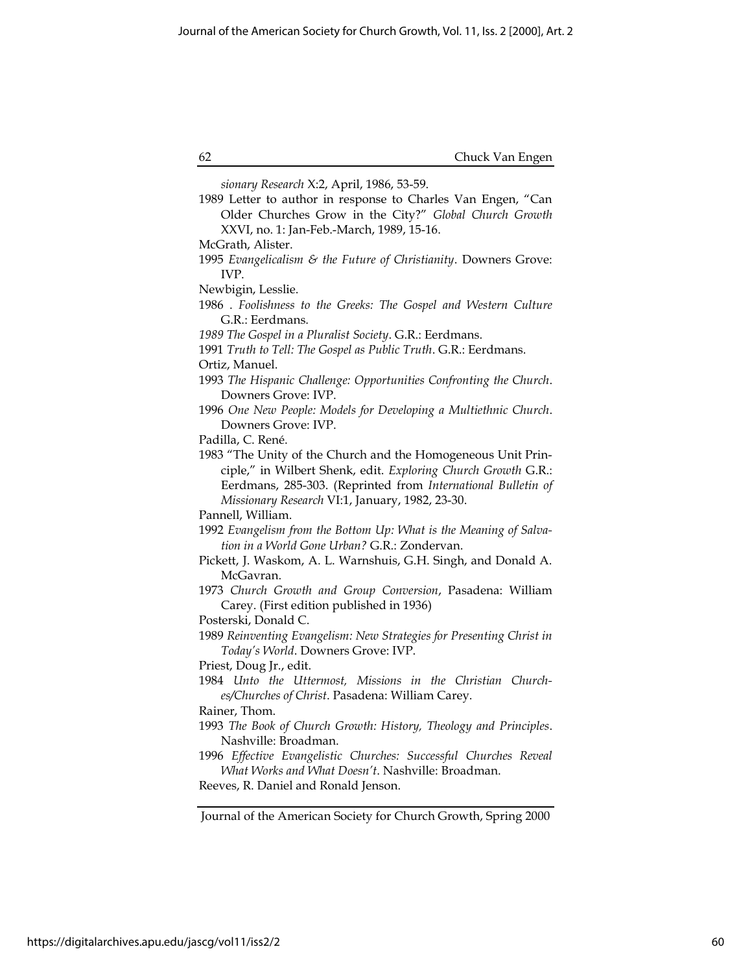| McGrath, Alister.<br>1995 Evangelicalism & the Future of Christianity. Downers Grove:<br>IVP.<br>Newbigin, Lesslie.<br>1986 . Foolishness to the Greeks: The Gospel and Western Culture                                                                               |
|-----------------------------------------------------------------------------------------------------------------------------------------------------------------------------------------------------------------------------------------------------------------------|
|                                                                                                                                                                                                                                                                       |
| G.R.: Eerdmans.                                                                                                                                                                                                                                                       |
| 1989 The Gospel in a Pluralist Society. G.R.: Eerdmans.<br>1991 Truth to Tell: The Gospel as Public Truth. G.R.: Eerdmans.                                                                                                                                            |
| Ortiz, Manuel.<br>1993 The Hispanic Challenge: Opportunities Confronting the Church.<br>Downers Grove: IVP.                                                                                                                                                           |
| 1996 One New People: Models for Developing a Multiethnic Church.<br>Downers Grove: IVP.                                                                                                                                                                               |
| Padilla, C. René.<br>1983 "The Unity of the Church and the Homogeneous Unit Prin-<br>ciple," in Wilbert Shenk, edit. Exploring Church Growth G.R.:<br>Eerdmans, 285-303. (Reprinted from International Bulletin of<br>Missionary Research VI:1, January, 1982, 23-30. |
| Pannell, William.<br>1992 Evangelism from the Bottom Up: What is the Meaning of Salva-<br>tion in a World Gone Urban? G.R.: Zondervan.<br>Pickett, J. Waskom, A. L. Warnshuis, G.H. Singh, and Donald A.<br>McGavran.                                                 |
| 1973 Church Growth and Group Conversion, Pasadena: William<br>Carey. (First edition published in 1936)<br>Posterski, Donald C.                                                                                                                                        |
| 1989 Reinventing Evangelism: New Strategies for Presenting Christ in<br>Today's World. Downers Grove: IVP.                                                                                                                                                            |
| Priest, Doug Jr., edit.<br>1984 Unto the Uttermost, Missions in the Christian Church-<br>es/Churches of Christ. Pasadena: William Carey.<br>Rainer, Thom.                                                                                                             |
| 1993 The Book of Church Growth: History, Theology and Principles.<br>Nashville: Broadman.                                                                                                                                                                             |
| 1996 Effective Evangelistic Churches: Successful Churches Reveal<br>What Works and What Doesn't. Nashville: Broadman.<br>Reeves, R. Daniel and Ronald Jenson.                                                                                                         |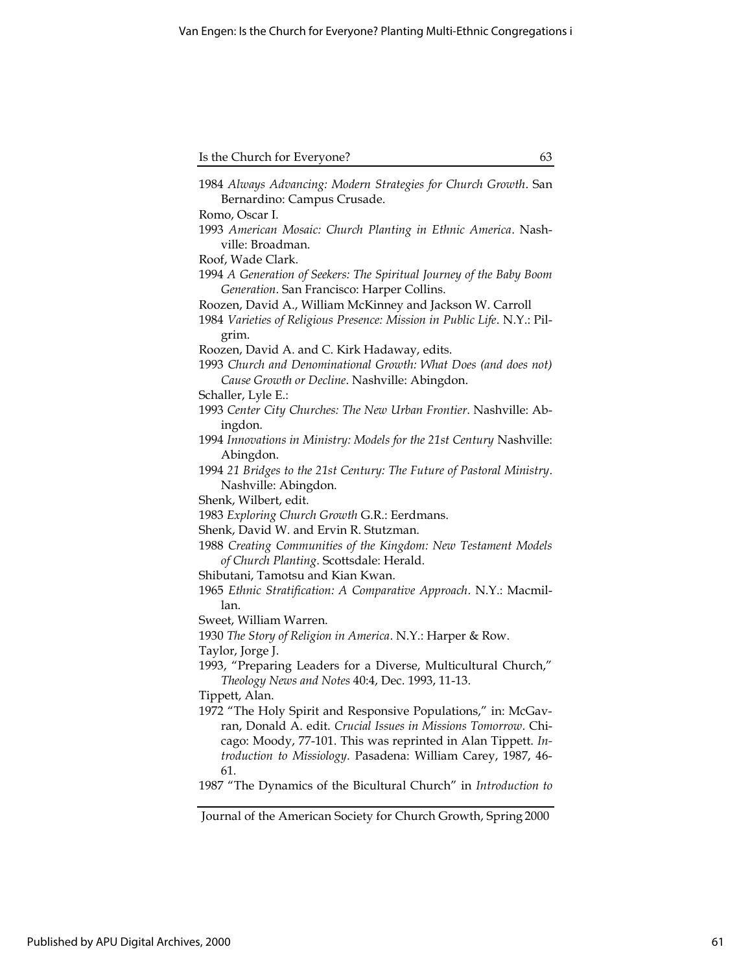| Is the Church for Everyone? |  |
|-----------------------------|--|

| 1984 Always Advancing: Modern Strategies for Church Growth. San<br>Bernardino: Campus Crusade. |
|------------------------------------------------------------------------------------------------|
| Romo, Oscar I.                                                                                 |
| 1993 American Mosaic: Church Planting in Ethnic America. Nash-                                 |
| ville: Broadman.                                                                               |
| Roof, Wade Clark.                                                                              |
| 1994 A Generation of Seekers: The Spiritual Journey of the Baby Boom                           |
| Generation. San Francisco: Harper Collins.                                                     |
| Roozen, David A., William McKinney and Jackson W. Carroll                                      |
| 1984 Varieties of Religious Presence: Mission in Public Life. N.Y.: Pil-                       |
| grim.                                                                                          |
| Roozen, David A. and C. Kirk Hadaway, edits.                                                   |
| 1993 Church and Denominational Growth: What Does (and does not)                                |
| Cause Growth or Decline. Nashville: Abingdon.                                                  |
| Schaller, Lyle E.:                                                                             |
| 1993 Center City Churches: The New Urban Frontier. Nashville: Ab-                              |
| ingdon.                                                                                        |
| 1994 Innovations in Ministry: Models for the 21st Century Nashville:                           |
| Abingdon.                                                                                      |
| 1994 21 Bridges to the 21st Century: The Future of Pastoral Ministry.                          |
| Nashville: Abingdon.                                                                           |
| Shenk, Wilbert, edit.                                                                          |
| 1983 Exploring Church Growth G.R.: Eerdmans.                                                   |
| Shenk, David W. and Ervin R. Stutzman.                                                         |
| 1988 Creating Communities of the Kingdom: New Testament Models                                 |
| of Church Planting. Scottsdale: Herald.                                                        |
| Shibutani, Tamotsu and Kian Kwan.                                                              |
| 1965 Ethnic Stratification: A Comparative Approach. N.Y.: Macmil-                              |
| lan.                                                                                           |
| Sweet, William Warren.                                                                         |
| 1930 The Story of Religion in America. N.Y.: Harper & Row.                                     |
| Taylor, Jorge J.                                                                               |
| 1993, "Preparing Leaders for a Diverse, Multicultural Church,"                                 |
| Theology News and Notes 40:4, Dec. 1993, 11-13.                                                |
| Tippett, Alan.                                                                                 |
| 1972 "The Holy Spirit and Responsive Populations," in: McGav-                                  |
| ran, Donald A. edit. Crucial Issues in Missions Tomorrow. Chi-                                 |
| cago: Moody, 77-101. This was reprinted in Alan Tippett. In-                                   |
| troduction to Missiology. Pasadena: William Carey, 1987, 46-                                   |
| 61.                                                                                            |
| 1987 "The Dynamics of the Bicultural Church" in Introduction to                                |

Journal of the American Society for Church Growth, Spring 2000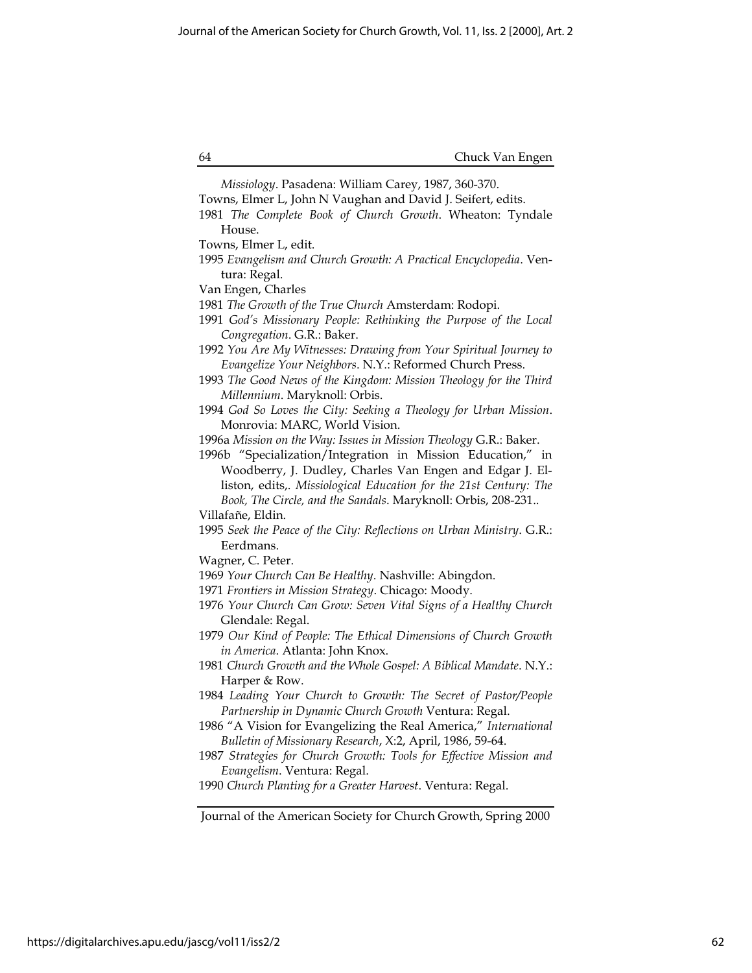Missiology. Pasadena: William Carey, 1987, 360-370. Towns, Elmer L, John N Vaughan and David J. Seifert, edits. 1981 The Complete Book of Church Growth. Wheaton: Tyndale House. Towns, Elmer L, edit. 1995 Evangelism and Church Growth: A Practical Encyclopedia. Ventura: Regal. Van Engen, Charles 1981 The Growth of the True Church Amsterdam: Rodopi. 1991 God's Missionary People: Rethinking the Purpose of the Local Congregation. G.R.: Baker. 1992 You Are My Witnesses: Drawing from Your Spiritual Journey to Evangelize Your Neighbors. N.Y.: Reformed Church Press. 1993 The Good News of the Kingdom: Mission Theology for the Third Millennium. Maryknoll: Orbis. 1994 God So Loves the City: Seeking a Theology for Urban Mission. Monrovia: MARC, World Vision. 1996a Mission on the Way: Issues in Mission Theology G.R.: Baker. 1996b "Specialization/Integration in Mission Education," in Woodberry, J. Dudley, Charles Van Engen and Edgar J. Elliston, edits,. Missiological Education for the 21st Century: The Book, The Circle, and the Sandals. Maryknoll: Orbis, 208-231.. Villafañe, Eldin. 1995 Seek the Peace of the City: Reflections on Urban Ministry. G.R.: Eerdmans. Wagner, C. Peter. 1969 Your Church Can Be Healthy. Nashville: Abingdon. 1971 Frontiers in Mission Strategy. Chicago: Moody. 1976 Your Church Can Grow: Seven Vital Signs of a Healthy Church Glendale: Regal. 1979 Our Kind of People: The Ethical Dimensions of Church Growth in America. Atlanta: John Knox. 1981 Church Growth and the Whole Gospel: A Biblical Mandate. N.Y.: Harper & Row. 1984 Leading Your Church to Growth: The Secret of Pastor/People Partnership in Dynamic Church Growth Ventura: Regal. 1986 "A Vision for Evangelizing the Real America," International Bulletin of Missionary Research, X:2, April, 1986, 59-64. 1987 Strategies for Church Growth: Tools for Effective Mission and Evangelism. Ventura: Regal. 1990 Church Planting for a Greater Harvest. Ventura: Regal.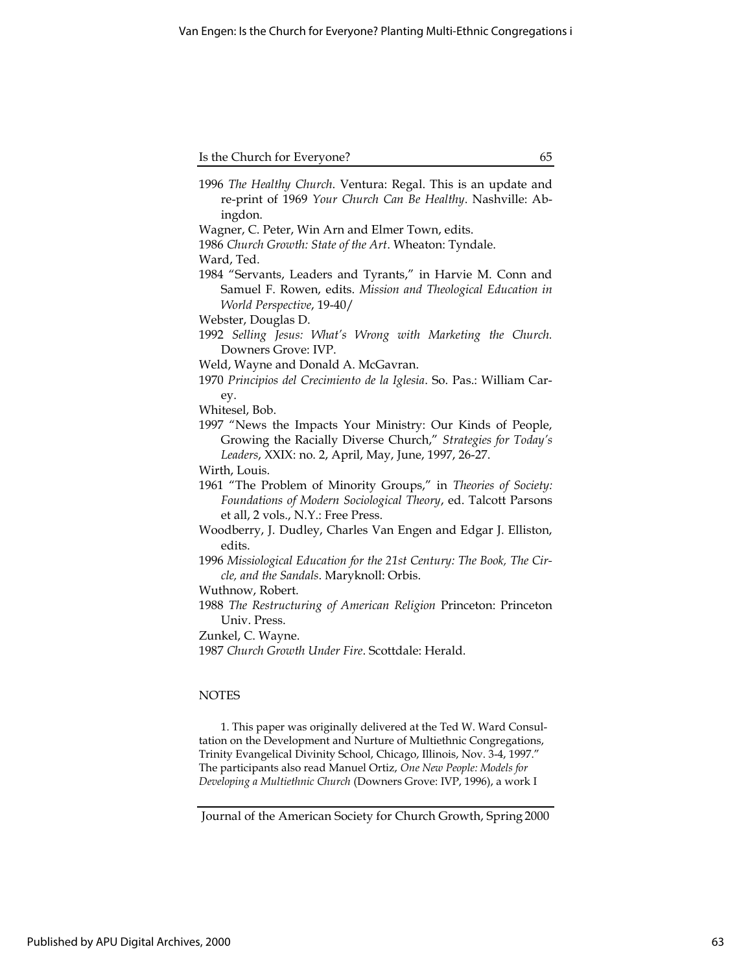|         |  |  | 1996 The Healthy Church. Ventura: Regal. This is an update and |  |
|---------|--|--|----------------------------------------------------------------|--|
|         |  |  | re-print of 1969 Your Church Can Be Healthy. Nashville: Ab-    |  |
| ingdon. |  |  |                                                                |  |
|         |  |  |                                                                |  |

Wagner, C. Peter, Win Arn and Elmer Town, edits.

1986 Church Growth: State of the Art. Wheaton: Tyndale.

Ward, Ted.

1984 "Servants, Leaders and Tyrants," in Harvie M. Conn and Samuel F. Rowen, edits. Mission and Theological Education in World Perspective, 19-40/

Webster, Douglas D.

- 1992 Selling Jesus: What's Wrong with Marketing the Church. Downers Grove: IVP.
- Weld, Wayne and Donald A. McGavran.
- 1970 Principios del Crecimiento de la Iglesia. So. Pas.: William Carey.

Whitesel, Bob.

1997 "News the Impacts Your Ministry: Our Kinds of People, Growing the Racially Diverse Church," Strategies for Today's Leaders, XXIX: no. 2, April, May, June, 1997, 26-27.

Wirth, Louis.

- 1961 "The Problem of Minority Groups," in Theories of Society: Foundations of Modern Sociological Theory, ed. Talcott Parsons et all, 2 vols., N.Y.: Free Press.
- Woodberry, J. Dudley, Charles Van Engen and Edgar J. Elliston, edits.
- 1996 Missiological Education for the 21st Century: The Book, The Circle, and the Sandals. Maryknoll: Orbis.
- Wuthnow, Robert.
- 1988 The Restructuring of American Religion Princeton: Princeton Univ. Press.
- Zunkel, C. Wayne.
- 1987 Church Growth Under Fire. Scottdale: Herald.

# NOTES

1. This paper was originally delivered at the Ted W. Ward Consultation on the Development and Nurture of Multiethnic Congregations, Trinity Evangelical Divinity School, Chicago, Illinois, Nov. 3-4, 1997." The participants also read Manuel Ortiz, One New People: Models for Developing a Multiethnic Church (Downers Grove: IVP, 1996), a work I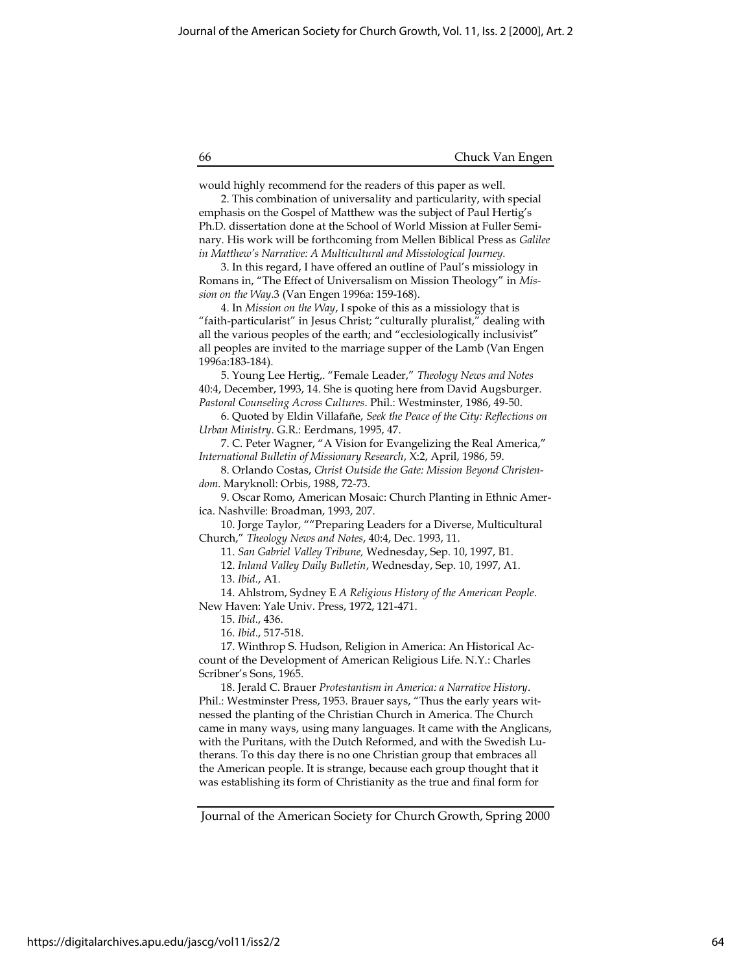would highly recommend for the readers of this paper as well.

2. This combination of universality and particularity, with special emphasis on the Gospel of Matthew was the subject of Paul Hertig's Ph.D. dissertation done at the School of World Mission at Fuller Seminary. His work will be forthcoming from Mellen Biblical Press as Galilee in Matthew's Narrative: A Multicultural and Missiological Journey.

3. In this regard, I have offered an outline of Paul's missiology in Romans in, "The Effect of Universalism on Mission Theology" in Mission on the Way.3 (Van Engen 1996a: 159-168).

4. In Mission on the Way, I spoke of this as a missiology that is "faith-particularist" in Jesus Christ; "culturally pluralist," dealing with all the various peoples of the earth; and "ecclesiologically inclusivist" all peoples are invited to the marriage supper of the Lamb (Van Engen 1996a:183-184).

5. Young Lee Hertig,. "Female Leader," Theology News and Notes 40:4, December, 1993, 14. She is quoting here from David Augsburger. Pastoral Counseling Across Cultures. Phil.: Westminster, 1986, 49-50.

6. Quoted by Eldin Villafañe, Seek the Peace of the City: Reflections on Urban Ministry. G.R.: Eerdmans, 1995, 47.

7. C. Peter Wagner, "A Vision for Evangelizing the Real America," International Bulletin of Missionary Research, X:2, April, 1986, 59.

8. Orlando Costas, Christ Outside the Gate: Mission Beyond Christendom. Maryknoll: Orbis, 1988, 72-73.

9. Oscar Romo, American Mosaic: Church Planting in Ethnic America. Nashville: Broadman, 1993, 207.

10. Jorge Taylor, ""Preparing Leaders for a Diverse, Multicultural Church," Theology News and Notes, 40:4, Dec. 1993, 11.

11. San Gabriel Valley Tribune, Wednesday, Sep. 10, 1997, B1.

12. Inland Valley Daily Bulletin, Wednesday, Sep. 10, 1997, A1.

13. Ibid., A1.

14. Ahlstrom, Sydney E A Religious History of the American People. New Haven: Yale Univ. Press, 1972, 121-471.

15. Ibid., 436.

16. Ibid., 517-518.

17. Winthrop S. Hudson, Religion in America: An Historical Account of the Development of American Religious Life. N.Y.: Charles Scribner's Sons, 1965.

18. Jerald C. Brauer Protestantism in America: a Narrative History. Phil.: Westminster Press, 1953. Brauer says, "Thus the early years witnessed the planting of the Christian Church in America. The Church came in many ways, using many languages. It came with the Anglicans, with the Puritans, with the Dutch Reformed, and with the Swedish Lutherans. To this day there is no one Christian group that embraces all the American people. It is strange, because each group thought that it was establishing its form of Christianity as the true and final form for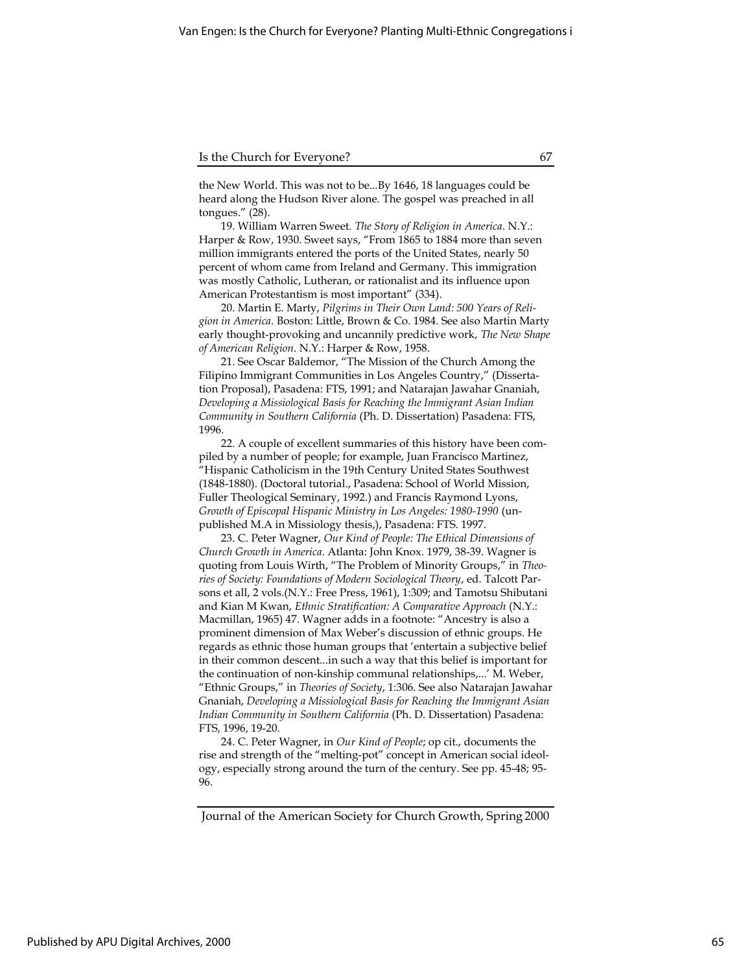the New World. This was not to be...By 1646, 18 languages could be heard along the Hudson River alone. The gospel was preached in all tongues." (28).

19. William Warren Sweet. The Story of Religion in America. N.Y.: Harper & Row, 1930. Sweet says, "From 1865 to 1884 more than seven million immigrants entered the ports of the United States, nearly 50 percent of whom came from Ireland and Germany. This immigration was mostly Catholic, Lutheran, or rationalist and its influence upon American Protestantism is most important" (334).

20. Martin E. Marty, Pilgrims in Their Own Land: 500 Years of Religion in America. Boston: Little, Brown & Co. 1984. See also Martin Marty early thought-provoking and uncannily predictive work, The New Shape of American Religion. N.Y.: Harper & Row, 1958.

21. See Oscar Baldemor, "The Mission of the Church Among the Filipino Immigrant Communities in Los Angeles Country," (Dissertation Proposal), Pasadena: FTS, 1991; and Natarajan Jawahar Gnaniah, Developing a Missiological Basis for Reaching the Immigrant Asian Indian Community in Southern California (Ph. D. Dissertation) Pasadena: FTS, 1996.

22. A couple of excellent summaries of this history have been compiled by a number of people; for example, Juan Francisco Martinez, "Hispanic Catholicism in the 19th Century United States Southwest (1848-1880). (Doctoral tutorial., Pasadena: School of World Mission, Fuller Theological Seminary, 1992.) and Francis Raymond Lyons, Growth of Episcopal Hispanic Ministry in Los Angeles: 1980-1990 (unpublished M.A in Missiology thesis,), Pasadena: FTS. 1997.

23. C. Peter Wagner, Our Kind of People: The Ethical Dimensions of Church Growth in America. Atlanta: John Knox. 1979, 38-39. Wagner is quoting from Louis Wirth, "The Problem of Minority Groups," in Theories of Society: Foundations of Modern Sociological Theory, ed. Talcott Parsons et all, 2 vols.(N.Y.: Free Press, 1961), 1:309; and Tamotsu Shibutani and Kian M Kwan, Ethnic Stratification: A Comparative Approach (N.Y.: Macmillan, 1965) 47. Wagner adds in a footnote: "Ancestry is also a prominent dimension of Max Weber's discussion of ethnic groups. He regards as ethnic those human groups that 'entertain a subjective belief in their common descent...in such a way that this belief is important for the continuation of non-kinship communal relationships,...' M. Weber, "Ethnic Groups," in Theories of Society, 1:306. See also Natarajan Jawahar Gnaniah, Developing a Missiological Basis for Reaching the Immigrant Asian Indian Community in Southern California (Ph. D. Dissertation) Pasadena: FTS, 1996, 19-20.

24. C. Peter Wagner, in Our Kind of People; op cit., documents the rise and strength of the "melting-pot" concept in American social ideology, especially strong around the turn of the century. See pp. 45-48; 95- 96.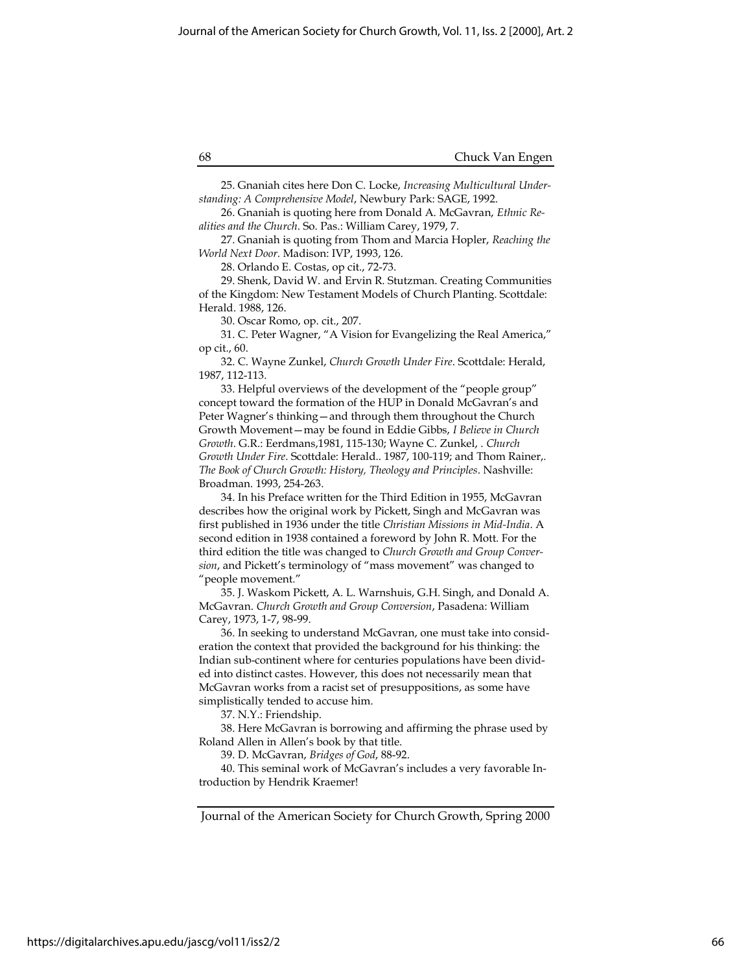25. Gnaniah cites here Don C. Locke, Increasing Multicultural Understanding: A Comprehensive Model, Newbury Park: SAGE, 1992.

26. Gnaniah is quoting here from Donald A. McGavran, Ethnic Realities and the Church. So. Pas.: William Carey, 1979, 7.

27. Gnaniah is quoting from Thom and Marcia Hopler, Reaching the World Next Door. Madison: IVP, 1993, 126.

28. Orlando E. Costas, op cit., 72-73.

29. Shenk, David W. and Ervin R. Stutzman. Creating Communities of the Kingdom: New Testament Models of Church Planting. Scottdale: Herald. 1988, 126.

30. Oscar Romo, op. cit., 207.

31. C. Peter Wagner, "A Vision for Evangelizing the Real America," op cit., 60.

32. C. Wayne Zunkel, Church Growth Under Fire. Scottdale: Herald, 1987, 112-113.

33. Helpful overviews of the development of the "people group" concept toward the formation of the HUP in Donald McGavran's and Peter Wagner's thinking—and through them throughout the Church Growth Movement—may be found in Eddie Gibbs, I Believe in Church Growth. G.R.: Eerdmans,1981, 115-130; Wayne C. Zunkel, . Church Growth Under Fire. Scottdale: Herald.. 1987, 100-119; and Thom Rainer,. The Book of Church Growth: History, Theology and Principles. Nashville: Broadman. 1993, 254-263.

34. In his Preface written for the Third Edition in 1955, McGavran describes how the original work by Pickett, Singh and McGavran was first published in 1936 under the title Christian Missions in Mid-India. A second edition in 1938 contained a foreword by John R. Mott. For the third edition the title was changed to Church Growth and Group Conversion, and Pickett's terminology of "mass movement" was changed to "people movement."

35. J. Waskom Pickett, A. L. Warnshuis, G.H. Singh, and Donald A. McGavran. Church Growth and Group Conversion, Pasadena: William Carey, 1973, 1-7, 98-99.

36. In seeking to understand McGavran, one must take into consideration the context that provided the background for his thinking: the Indian sub-continent where for centuries populations have been divided into distinct castes. However, this does not necessarily mean that McGavran works from a racist set of presuppositions, as some have simplistically tended to accuse him.

37. N.Y.: Friendship.

38. Here McGavran is borrowing and affirming the phrase used by Roland Allen in Allen's book by that title.

39. D. McGavran, Bridges of God, 88-92.

40. This seminal work of McGavran's includes a very favorable Introduction by Hendrik Kraemer!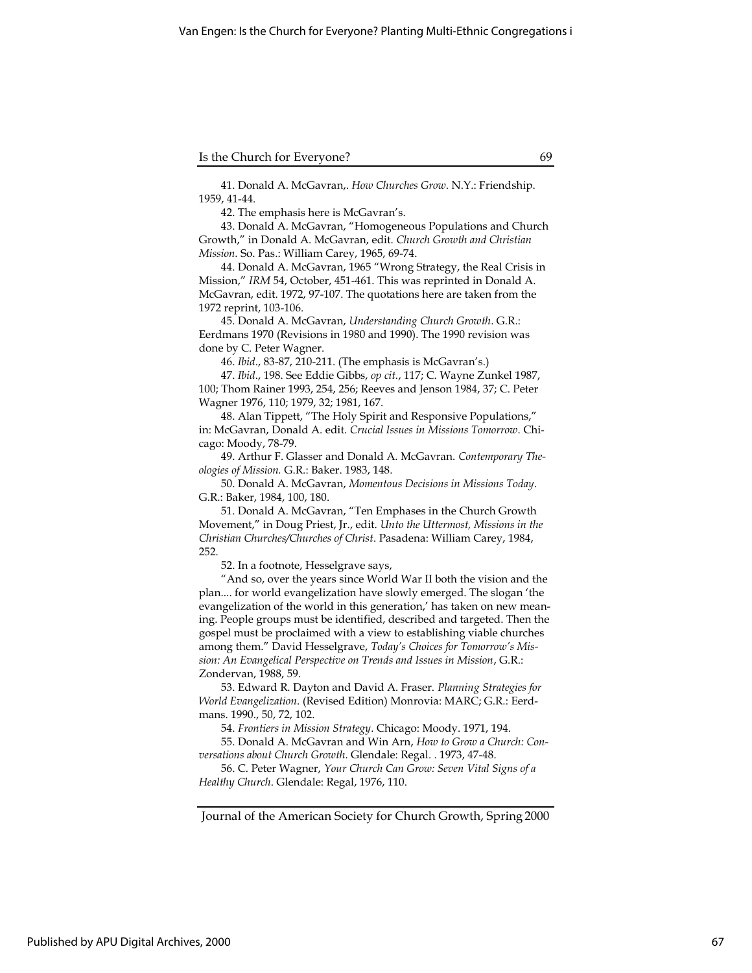41. Donald A. McGavran,. How Churches Grow. N.Y.: Friendship. 1959, 41-44.

42. The emphasis here is McGavran's.

43. Donald A. McGavran, "Homogeneous Populations and Church Growth," in Donald A. McGavran, edit. Church Growth and Christian Mission. So. Pas.: William Carey, 1965, 69-74.

44. Donald A. McGavran, 1965 "Wrong Strategy, the Real Crisis in Mission," IRM 54, October, 451-461. This was reprinted in Donald A. McGavran, edit. 1972, 97-107. The quotations here are taken from the 1972 reprint, 103-106.

45. Donald A. McGavran, Understanding Church Growth. G.R.: Eerdmans 1970 (Revisions in 1980 and 1990). The 1990 revision was done by C. Peter Wagner.

46. Ibid., 83-87, 210-211. (The emphasis is McGavran's.)

47. Ibid., 198. See Eddie Gibbs, op cit., 117; C. Wayne Zunkel 1987, 100; Thom Rainer 1993, 254, 256; Reeves and Jenson 1984, 37; C. Peter Wagner 1976, 110; 1979, 32; 1981, 167.

48. Alan Tippett, "The Holy Spirit and Responsive Populations," in: McGavran, Donald A. edit. Crucial Issues in Missions Tomorrow. Chicago: Moody, 78-79.

49. Arthur F. Glasser and Donald A. McGavran. Contemporary Theologies of Mission. G.R.: Baker. 1983, 148.

50. Donald A. McGavran, Momentous Decisions in Missions Today. G.R.: Baker, 1984, 100, 180.

51. Donald A. McGavran, "Ten Emphases in the Church Growth Movement," in Doug Priest, Jr., edit. Unto the Uttermost, Missions in the Christian Churches/Churches of Christ. Pasadena: William Carey, 1984, 252.

52. In a footnote, Hesselgrave says,

"And so, over the years since World War II both the vision and the plan.... for world evangelization have slowly emerged. The slogan 'the evangelization of the world in this generation,' has taken on new meaning. People groups must be identified, described and targeted. Then the gospel must be proclaimed with a view to establishing viable churches among them." David Hesselgrave, Today's Choices for Tomorrow's Mission: An Evangelical Perspective on Trends and Issues in Mission, G.R.: Zondervan, 1988, 59.

53. Edward R. Dayton and David A. Fraser. Planning Strategies for World Evangelization. (Revised Edition) Monrovia: MARC; G.R.: Eerdmans. 1990., 50, 72, 102.

54. Frontiers in Mission Strategy. Chicago: Moody. 1971, 194.

55. Donald A. McGavran and Win Arn, How to Grow a Church: Conversations about Church Growth. Glendale: Regal. . 1973, 47-48.

56. C. Peter Wagner, Your Church Can Grow: Seven Vital Signs of a Healthy Church. Glendale: Regal, 1976, 110.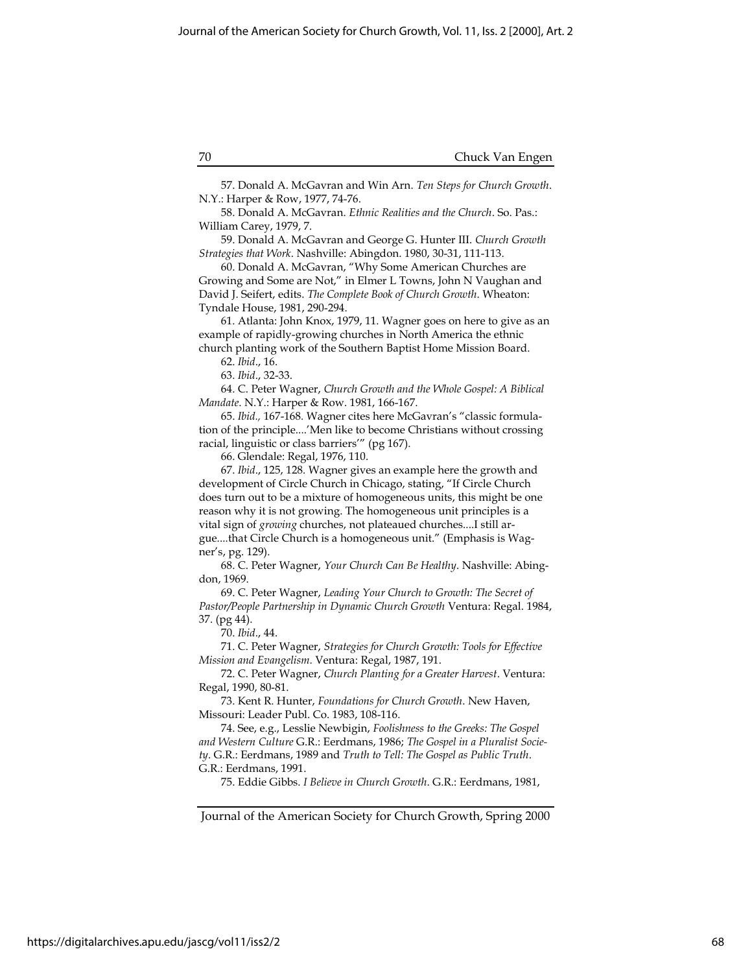57. Donald A. McGavran and Win Arn. Ten Steps for Church Growth. N.Y.: Harper & Row, 1977, 74-76.

58. Donald A. McGavran. Ethnic Realities and the Church. So. Pas.: William Carey, 1979, 7.

59. Donald A. McGavran and George G. Hunter III. Church Growth Strategies that Work. Nashville: Abingdon. 1980, 30-31, 111-113.

60. Donald A. McGavran, "Why Some American Churches are Growing and Some are Not," in Elmer L Towns, John N Vaughan and David J. Seifert, edits. The Complete Book of Church Growth. Wheaton: Tyndale House, 1981, 290-294.

61. Atlanta: John Knox, 1979, 11. Wagner goes on here to give as an example of rapidly-growing churches in North America the ethnic church planting work of the Southern Baptist Home Mission Board.

62. Ibid., 16.

63. Ibid., 32-33.

64. C. Peter Wagner, Church Growth and the Whole Gospel: A Biblical Mandate. N.Y.: Harper & Row. 1981, 166-167.

65. Ibid., 167-168. Wagner cites here McGavran's "classic formulation of the principle....'Men like to become Christians without crossing racial, linguistic or class barriers'" (pg 167).

66. Glendale: Regal, 1976, 110.

67. Ibid., 125, 128. Wagner gives an example here the growth and development of Circle Church in Chicago, stating, "If Circle Church does turn out to be a mixture of homogeneous units, this might be one reason why it is not growing. The homogeneous unit principles is a vital sign of growing churches, not plateaued churches....I still argue....that Circle Church is a homogeneous unit." (Emphasis is Wagner's, pg. 129).

68. C. Peter Wagner, Your Church Can Be Healthy. Nashville: Abingdon, 1969.

69. C. Peter Wagner, Leading Your Church to Growth: The Secret of Pastor/People Partnership in Dynamic Church Growth Ventura: Regal. 1984, 37. (pg 44).

70. Ibid., 44.

71. C. Peter Wagner, Strategies for Church Growth: Tools for Effective Mission and Evangelism. Ventura: Regal, 1987, 191.

72. C. Peter Wagner, Church Planting for a Greater Harvest. Ventura: Regal, 1990, 80-81.

73. Kent R. Hunter, Foundations for Church Growth. New Haven, Missouri: Leader Publ. Co. 1983, 108-116.

74. See, e.g., Lesslie Newbigin, Foolishness to the Greeks: The Gospel and Western Culture G.R.: Eerdmans, 1986; The Gospel in a Pluralist Society. G.R.: Eerdmans, 1989 and Truth to Tell: The Gospel as Public Truth. G.R.: Eerdmans, 1991.

75. Eddie Gibbs. I Believe in Church Growth. G.R.: Eerdmans, 1981,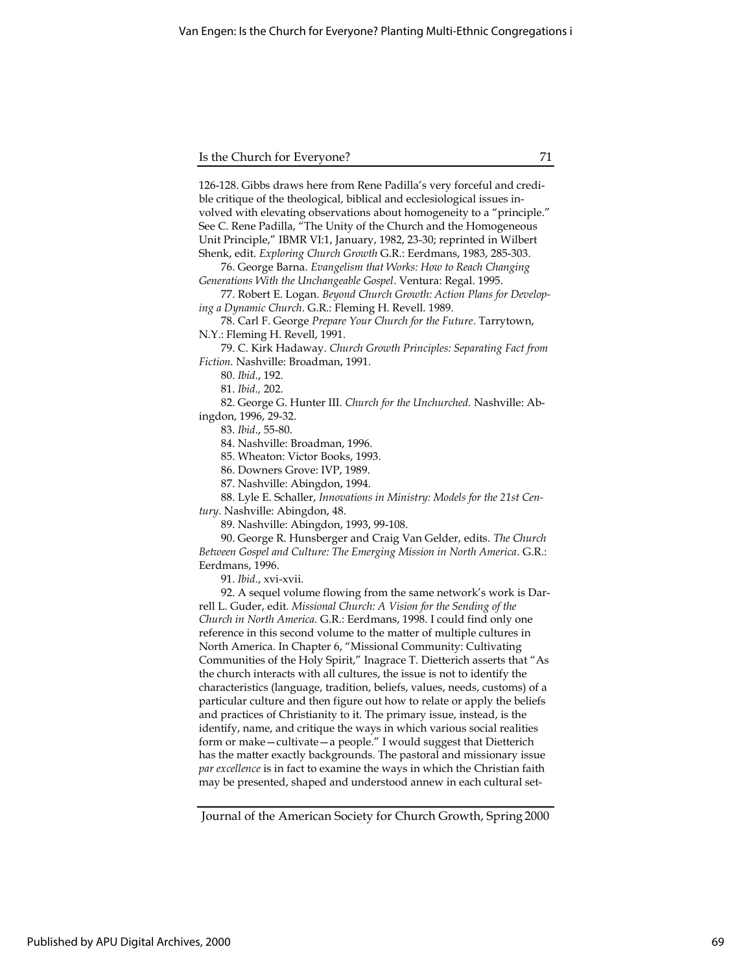126-128. Gibbs draws here from Rene Padilla's very forceful and credible critique of the theological, biblical and ecclesiological issues involved with elevating observations about homogeneity to a "principle." See C. Rene Padilla, "The Unity of the Church and the Homogeneous Unit Principle," IBMR VI:1, January, 1982, 23-30; reprinted in Wilbert Shenk, edit. Exploring Church Growth G.R.: Eerdmans, 1983, 285-303.

76. George Barna. Evangelism that Works: How to Reach Changing Generations With the Unchangeable Gospel. Ventura: Regal. 1995.

77. Robert E. Logan. Beyond Church Growth: Action Plans for Developing a Dynamic Church. G.R.: Fleming H. Revell. 1989.

78. Carl F. George Prepare Your Church for the Future. Tarrytown, N.Y.: Fleming H. Revell, 1991.

79. C. Kirk Hadaway. Church Growth Principles: Separating Fact from Fiction. Nashville: Broadman, 1991.

80. Ibid., 192.

81. Ibid., 202.

82. George G. Hunter III. Church for the Unchurched. Nashville: Abingdon, 1996, 29-32.

83. Ibid., 55-80.

84. Nashville: Broadman, 1996.

85. Wheaton: Victor Books, 1993.

86. Downers Grove: IVP, 1989.

87. Nashville: Abingdon, 1994.

88. Lyle E. Schaller, Innovations in Ministry: Models for the 21st Century. Nashville: Abingdon, 48.

89. Nashville: Abingdon, 1993, 99-108.

90. George R. Hunsberger and Craig Van Gelder, edits. The Church Between Gospel and Culture: The Emerging Mission in North America. G.R.: Eerdmans, 1996.

91. Ibid., xvi-xvii.

92. A sequel volume flowing from the same network's work is Darrell L. Guder, edit. Missional Church: A Vision for the Sending of the Church in North America. G.R.: Eerdmans, 1998. I could find only one reference in this second volume to the matter of multiple cultures in North America. In Chapter 6, "Missional Community: Cultivating Communities of the Holy Spirit," Inagrace T. Dietterich asserts that "As the church interacts with all cultures, the issue is not to identify the characteristics (language, tradition, beliefs, values, needs, customs) of a particular culture and then figure out how to relate or apply the beliefs and practices of Christianity to it. The primary issue, instead, is the identify, name, and critique the ways in which various social realities form or make—cultivate—a people." I would suggest that Dietterich has the matter exactly backgrounds. The pastoral and missionary issue par excellence is in fact to examine the ways in which the Christian faith may be presented, shaped and understood annew in each cultural set-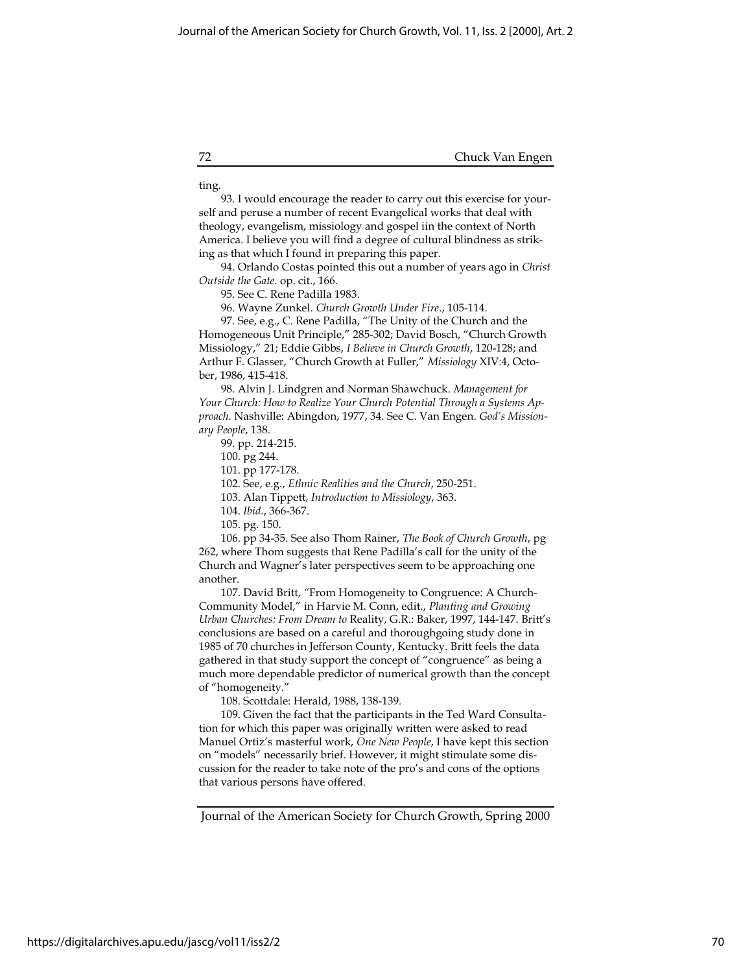ting.

93. I would encourage the reader to carry out this exercise for yourself and peruse a number of recent Evangelical works that deal with theology, evangelism, missiology and gospel iin the context of North America. I believe you will find a degree of cultural blindness as striking as that which I found in preparing this paper.

94. Orlando Costas pointed this out a number of years ago in Christ Outside the Gate. op. cit., 166.

95. See C. Rene Padilla 1983.

96. Wayne Zunkel. Church Growth Under Fire., 105-114.

97. See, e.g., C. Rene Padilla, "The Unity of the Church and the Homogeneous Unit Principle," 285-302; David Bosch, "Church Growth Missiology," 21; Eddie Gibbs, I Believe in Church Growth, 120-128; and Arthur F. Glasser, "Church Growth at Fuller," Missiology XIV:4, October, 1986, 415-418.

98. Alvin J. Lindgren and Norman Shawchuck. Management for Your Church: How to Realize Your Church Potential Through a Systems Approach. Nashville: Abingdon, 1977, 34. See C. Van Engen. God's Missionary People, 138.

99. pp. 214-215.

100. pg 244.

101. pp 177-178.

102. See, e.g., Ethnic Realities and the Church, 250-251.

103. Alan Tippett, Introduction to Missiology, 363.

104. Ibid., 366-367.

105. pg. 150.

106. pp 34-35. See also Thom Rainer, The Book of Church Growth, pg 262, where Thom suggests that Rene Padilla's call for the unity of the Church and Wagner's later perspectives seem to be approaching one another.

107. David Britt, "From Homogeneity to Congruence: A Church-Community Model," in Harvie M. Conn, edit., Planting and Growing Urban Churches: From Dream to Reality, G.R.: Baker, 1997, 144-147. Britt's conclusions are based on a careful and thoroughgoing study done in 1985 of 70 churches in Jefferson County, Kentucky. Britt feels the data gathered in that study support the concept of "congruence" as being a much more dependable predictor of numerical growth than the concept of "homogeneity."

108. Scottdale: Herald, 1988, 138-139.

109. Given the fact that the participants in the Ted Ward Consultation for which this paper was originally written were asked to read Manuel Ortiz's masterful work, One New People, I have kept this section on "models" necessarily brief. However, it might stimulate some discussion for the reader to take note of the pro's and cons of the options that various persons have offered.